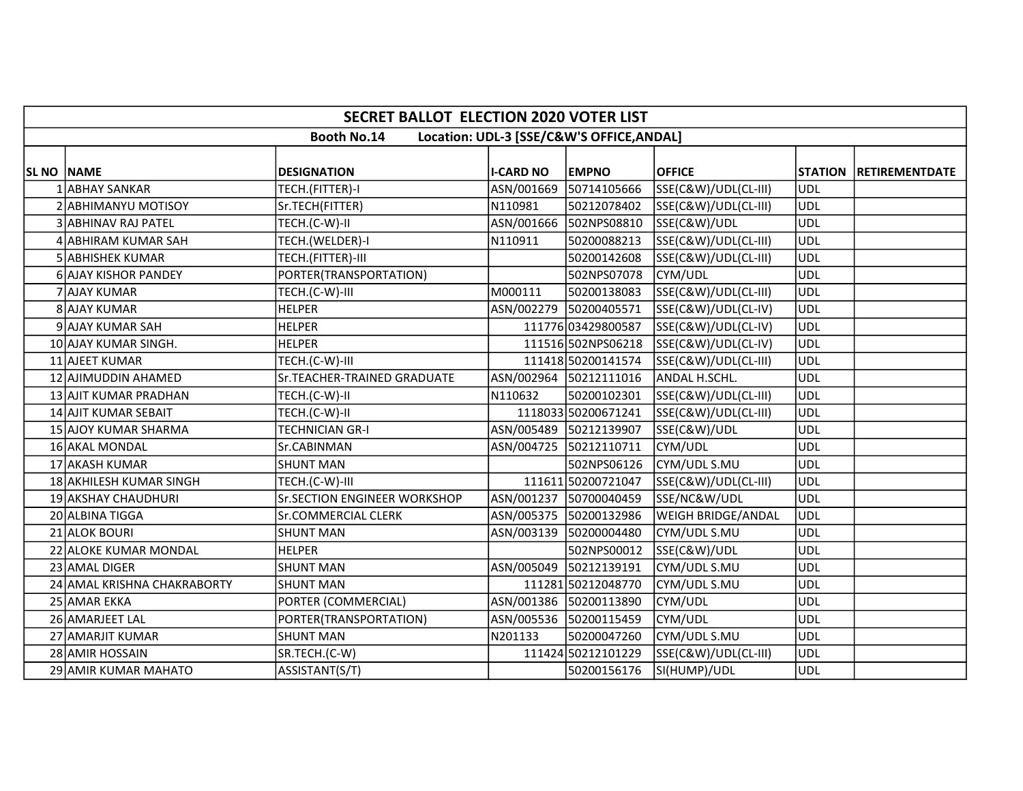|                   | <b>SECRET BALLOT ELECTION 2020 VOTER LIST</b>                   |                                     |                  |                        |                      |            |                        |  |  |  |  |
|-------------------|-----------------------------------------------------------------|-------------------------------------|------------------|------------------------|----------------------|------------|------------------------|--|--|--|--|
|                   | <b>Booth No.14</b><br>Location: UDL-3 [SSE/C&W'S OFFICE, ANDAL] |                                     |                  |                        |                      |            |                        |  |  |  |  |
| <b>SL NO NAME</b> |                                                                 | <b>DESIGNATION</b>                  | <b>I-CARD NO</b> | <b>EMPNO</b>           | <b>OFFICE</b>        |            | STATION RETIREMENTDATE |  |  |  |  |
|                   | <b>ABHAY SANKAR</b>                                             | TECH.(FITTER)-I                     | ASN/001669       | 50714105666            | SSE(C&W)/UDL(CL-III) | UDL        |                        |  |  |  |  |
|                   | 2 ABHIMANYU MOTISOY                                             | Sr.TECH(FITTER)                     | N110981          | 50212078402            | SSE(C&W)/UDL(CL-III) | UDL        |                        |  |  |  |  |
|                   | 3 ABHINAV RAJ PATEL                                             | TECH.(C-W)-II                       | ASN/001666       | 502NPS08810            | SSE(C&W)/UDL         | UDL        |                        |  |  |  |  |
|                   | 4 ABHIRAM KUMAR SAH                                             | TECH.(WELDER)-I                     | N110911          | 50200088213            | SSE(C&W)/UDL(CL-III) | UDL        |                        |  |  |  |  |
|                   | 5 ABHISHEK KUMAR                                                | TECH.(FITTER)-III                   |                  | 50200142608            | SSE(C&W)/UDL(CL-III) | <b>UDL</b> |                        |  |  |  |  |
|                   | <b>6 AJAY KISHOR PANDEY</b>                                     | PORTER(TRANSPORTATION)              |                  | 502NPS07078            | CYM/UDL              | UDL        |                        |  |  |  |  |
|                   | 7 AJAY KUMAR                                                    | TECH.(C-W)-III                      | M000111          | 50200138083            | SSE(C&W)/UDL(CL-III) | UDL        |                        |  |  |  |  |
|                   | 8 AJAY KUMAR                                                    | <b>HELPER</b>                       |                  | ASN/002279 50200405571 | SSE(C&W)/UDL(CL-IV)  | UDL        |                        |  |  |  |  |
|                   | 9 AJAY KUMAR SAH                                                | <b>HELPER</b>                       |                  | 111776 03429800587     | SSE(C&W)/UDL(CL-IV)  | UDL        |                        |  |  |  |  |
|                   | 10 AJAY KUMAR SINGH.                                            | HELPER                              |                  | 111516 502NPS06218     | SSE(C&W)/UDL(CL-IV)  | <b>UDL</b> |                        |  |  |  |  |
|                   | 11 AJEET KUMAR                                                  | TECH.(C-W)-III                      |                  | 111418 50200141574     | SSE(C&W)/UDL(CL-III) | <b>UDL</b> |                        |  |  |  |  |
|                   | 12 AJIMUDDIN AHAMED                                             | Sr.TEACHER-TRAINED GRADUATE         |                  | ASN/002964 50212111016 | ANDAL H.SCHL.        | <b>UDL</b> |                        |  |  |  |  |
|                   | 13 AJIT KUMAR PRADHAN                                           | TECH.(C-W)-II                       | N110632          | 50200102301            | SSE(C&W)/UDL(CL-III) | UDL        |                        |  |  |  |  |
|                   | 14 AJIT KUMAR SEBAIT                                            | TECH.(C-W)-II                       |                  | 1118033 50200671241    | SSE(C&W)/UDL(CL-III) | UDL        |                        |  |  |  |  |
|                   | 15 AJOY KUMAR SHARMA                                            | <b>TECHNICIAN GR-I</b>              |                  | ASN/005489 50212139907 | SSE(C&W)/UDL         | UDL        |                        |  |  |  |  |
|                   | 16 AKAL MONDAL                                                  | Sr.CABINMAN                         |                  | ASN/004725 50212110711 | CYM/UDL              | <b>UDL</b> |                        |  |  |  |  |
|                   | 17 AKASH KUMAR                                                  | <b>SHUNT MAN</b>                    |                  | 502NPS06126            | CYM/UDL S.MU         | UDL        |                        |  |  |  |  |
|                   | 18 AKHILESH KUMAR SINGH                                         | TECH.(C-W)-III                      |                  | 111611 50200721047     | SSE(C&W)/UDL(CL-III) | <b>UDL</b> |                        |  |  |  |  |
|                   | 19 AKSHAY CHAUDHURI                                             | <b>Sr.SECTION ENGINEER WORKSHOP</b> |                  | ASN/001237 50700040459 | SSE/NC&W/UDL         | UDL        |                        |  |  |  |  |
|                   | 20 ALBINA TIGGA                                                 | Sr.COMMERCIAL CLERK                 |                  | ASN/005375 50200132986 | WEIGH BRIDGE/ANDAL   | UDL        |                        |  |  |  |  |
|                   | 21 ALOK BOURI                                                   | <b>SHUNT MAN</b>                    | ASN/003139       | 50200004480            | CYM/UDL S.MU         | <b>UDL</b> |                        |  |  |  |  |
|                   | 22 ALOKE KUMAR MONDAL                                           | <b>HELPER</b>                       |                  | 502NPS00012            | SSE(C&W)/UDL         | <b>UDL</b> |                        |  |  |  |  |
|                   | 23 AMAL DIGER                                                   | <b>SHUNT MAN</b>                    | ASN/005049       | 50212139191            | CYM/UDL S.MU         | <b>UDL</b> |                        |  |  |  |  |
|                   | 24 AMAL KRISHNA CHAKRABORTY                                     | <b>SHUNT MAN</b>                    |                  | 111281 50212048770     | CYM/UDL S.MU         | UDL        |                        |  |  |  |  |
|                   | 25 AMAR EKKA                                                    | PORTER (COMMERCIAL)                 |                  | ASN/001386 50200113890 | CYM/UDL              | <b>UDL</b> |                        |  |  |  |  |
|                   | 26 AMARJEET LAL                                                 | PORTER(TRANSPORTATION)              |                  | ASN/005536 50200115459 | CYM/UDL              | <b>UDL</b> |                        |  |  |  |  |
|                   | 27 AMARJIT KUMAR                                                | <b>SHUNT MAN</b>                    | N201133          | 50200047260            | CYM/UDL S.MU         | UDL        |                        |  |  |  |  |
|                   | 28 AMIR HOSSAIN                                                 | SR.TECH.(C-W)                       |                  | 111424 50212101229     | SSE(C&W)/UDL(CL-III) | <b>UDL</b> |                        |  |  |  |  |
|                   | 29 AMIR KUMAR MAHATO                                            | ASSISTANT(S/T)                      |                  | 50200156176            | SI(HUMP)/UDL         | <b>UDL</b> |                        |  |  |  |  |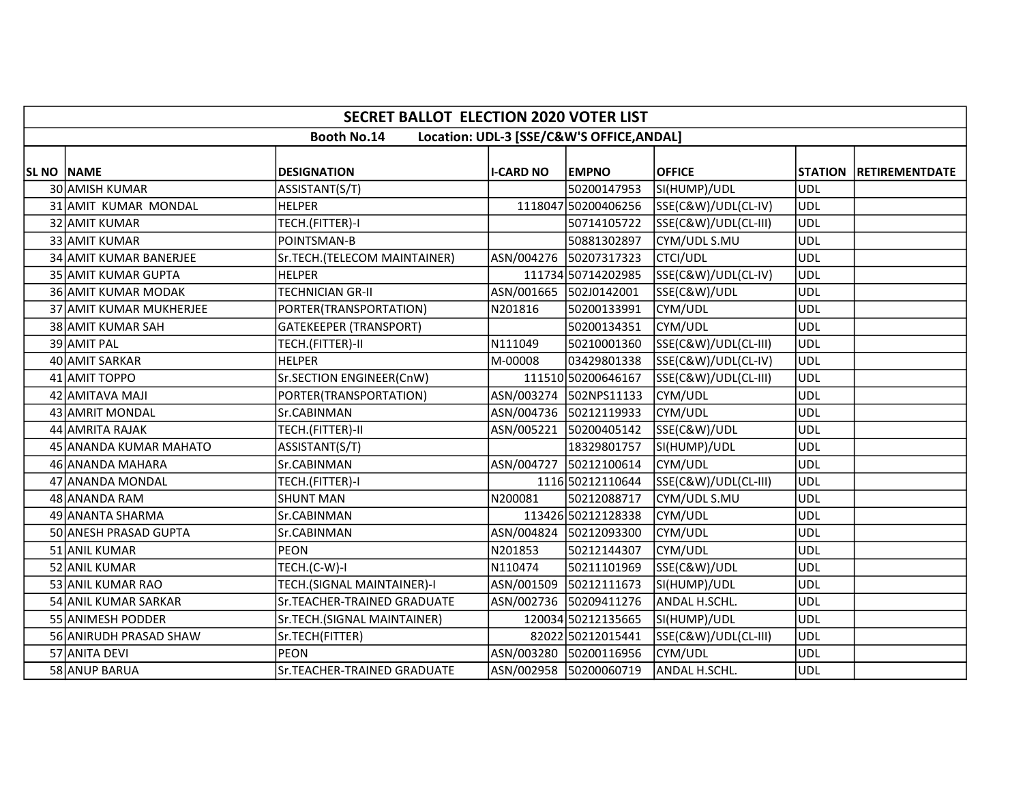|                   | <b>SECRET BALLOT ELECTION 2020 VOTER LIST</b>                   |                               |                        |                        |                      |            |                        |  |  |  |  |
|-------------------|-----------------------------------------------------------------|-------------------------------|------------------------|------------------------|----------------------|------------|------------------------|--|--|--|--|
|                   | <b>Booth No.14</b><br>Location: UDL-3 [SSE/C&W'S OFFICE, ANDAL] |                               |                        |                        |                      |            |                        |  |  |  |  |
| <b>SL NO NAME</b> |                                                                 | <b>DESIGNATION</b>            | <b>I-CARD NO</b>       | <b>EMPNO</b>           | <b>OFFICE</b>        |            | STATION RETIREMENTDATE |  |  |  |  |
|                   | 30 AMISH KUMAR                                                  | ASSISTANT(S/T)                |                        | 50200147953            | SI(HUMP)/UDL         | UDL        |                        |  |  |  |  |
|                   | 31 AMIT KUMAR MONDAL                                            | <b>HELPER</b>                 |                        | 1118047 50200406256    | SSE(C&W)/UDL(CL-IV)  | <b>UDL</b> |                        |  |  |  |  |
|                   | 32 AMIT KUMAR                                                   | TECH.(FITTER)-I               |                        | 50714105722            | SSE(C&W)/UDL(CL-III) | UDL        |                        |  |  |  |  |
|                   | 33 AMIT KUMAR                                                   | POINTSMAN-B                   |                        | 50881302897            | CYM/UDL S.MU         | <b>UDL</b> |                        |  |  |  |  |
|                   | 34 AMIT KUMAR BANERJEE                                          | Sr.TECH.(TELECOM MAINTAINER)  | ASN/004276             | 50207317323            | <b>CTCI/UDL</b>      | <b>UDL</b> |                        |  |  |  |  |
|                   | 35 AMIT KUMAR GUPTA                                             | <b>HELPER</b>                 |                        | 111734 50714202985     | SSE(C&W)/UDL(CL-IV)  | UDL        |                        |  |  |  |  |
|                   | 36 AMIT KUMAR MODAK                                             | <b>TECHNICIAN GR-II</b>       | ASN/001665 502J0142001 |                        | SSE(C&W)/UDL         | <b>UDL</b> |                        |  |  |  |  |
|                   | 37 AMIT KUMAR MUKHERJEE                                         | PORTER(TRANSPORTATION)        | N201816                | 50200133991            | CYM/UDL              | UDL        |                        |  |  |  |  |
|                   | 38 AMIT KUMAR SAH                                               | <b>GATEKEEPER (TRANSPORT)</b> |                        | 50200134351            | CYM/UDL              | <b>UDL</b> |                        |  |  |  |  |
|                   | 39 AMIT PAL                                                     | TECH.(FITTER)-II              | N111049                | 50210001360            | SSE(C&W)/UDL(CL-III) | <b>UDL</b> |                        |  |  |  |  |
|                   | 40 AMIT SARKAR                                                  | <b>HELPER</b>                 | M-00008                | 03429801338            | SSE(C&W)/UDL(CL-IV)  | <b>UDL</b> |                        |  |  |  |  |
|                   | 41 AMIT TOPPO                                                   | Sr.SECTION ENGINEER(CnW)      |                        | 111510 50200646167     | SSE(C&W)/UDL(CL-III) | <b>UDL</b> |                        |  |  |  |  |
|                   | 42 AMITAVA MAJI                                                 | PORTER(TRANSPORTATION)        |                        | ASN/003274 502NPS11133 | CYM/UDL              | <b>UDL</b> |                        |  |  |  |  |
|                   | 43 AMRIT MONDAL                                                 | Sr.CABINMAN                   |                        | ASN/004736 50212119933 | CYM/UDL              | UDL        |                        |  |  |  |  |
|                   | 44 AMRITA RAJAK                                                 | TECH.(FITTER)-II              | ASN/005221             | 50200405142            | SSE(C&W)/UDL         | UDL        |                        |  |  |  |  |
|                   | 45 ANANDA KUMAR MAHATO                                          | ASSISTANT(S/T)                |                        | 18329801757            | SI(HUMP)/UDL         | <b>UDL</b> |                        |  |  |  |  |
|                   | 46 ANANDA MAHARA                                                | Sr.CABINMAN                   | ASN/004727             | 50212100614            | CYM/UDL              | UDL        |                        |  |  |  |  |
|                   | 47 ANANDA MONDAL                                                | TECH.(FITTER)-I               |                        | 1116 50212110644       | SSE(C&W)/UDL(CL-III) | <b>UDL</b> |                        |  |  |  |  |
|                   | 48 ANANDA RAM                                                   | <b>SHUNT MAN</b>              | N200081                | 50212088717            | CYM/UDL S.MU         | <b>UDL</b> |                        |  |  |  |  |
|                   | 49 ANANTA SHARMA                                                | Sr.CABINMAN                   |                        | 113426 50212128338     | CYM/UDL              | <b>UDL</b> |                        |  |  |  |  |
|                   | 50 ANESH PRASAD GUPTA                                           | Sr.CABINMAN                   |                        | ASN/004824 50212093300 | CYM/UDL              | <b>UDL</b> |                        |  |  |  |  |
|                   | 51 ANIL KUMAR                                                   | <b>PEON</b>                   | N201853                | 50212144307            | CYM/UDL              | <b>UDL</b> |                        |  |  |  |  |
|                   | 52 ANIL KUMAR                                                   | TECH.(C-W)-I                  | N110474                | 50211101969            | SSE(C&W)/UDL         | <b>UDL</b> |                        |  |  |  |  |
|                   | 53 ANIL KUMAR RAO                                               | TECH.(SIGNAL MAINTAINER)-I    | ASN/001509             | 50212111673            | SI(HUMP)/UDL         | <b>UDL</b> |                        |  |  |  |  |
|                   | 54 ANIL KUMAR SARKAR                                            | Sr.TEACHER-TRAINED GRADUATE   |                        | ASN/002736 50209411276 | ANDAL H.SCHL.        | UDL        |                        |  |  |  |  |
|                   | 55 ANIMESH PODDER                                               | Sr.TECH.(SIGNAL MAINTAINER)   |                        | 120034 50212135665     | SI(HUMP)/UDL         | <b>UDL</b> |                        |  |  |  |  |
|                   | 56 ANIRUDH PRASAD SHAW                                          | Sr.TECH(FITTER)               |                        | 82022 50212015441      | SSE(C&W)/UDL(CL-III) | UDL        |                        |  |  |  |  |
|                   | 57 ANITA DEVI                                                   | <b>PEON</b>                   |                        | ASN/003280 50200116956 | CYM/UDL              | <b>UDL</b> |                        |  |  |  |  |
|                   | 58 ANUP BARUA                                                   | Sr.TEACHER-TRAINED GRADUATE   |                        | ASN/002958 50200060719 | ANDAL H.SCHL.        | <b>UDL</b> |                        |  |  |  |  |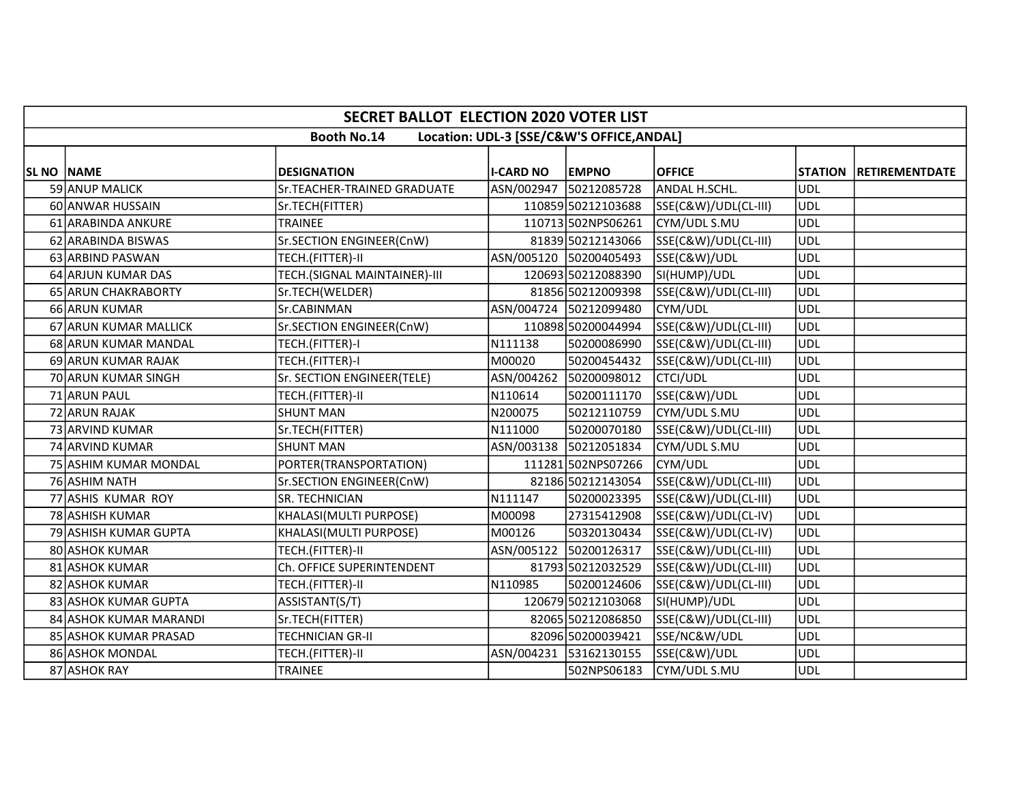|                   | <b>SECRET BALLOT ELECTION 2020 VOTER LIST</b>                   |                              |                  |                        |                      |            |                        |  |  |  |  |
|-------------------|-----------------------------------------------------------------|------------------------------|------------------|------------------------|----------------------|------------|------------------------|--|--|--|--|
|                   | <b>Booth No.14</b><br>Location: UDL-3 [SSE/C&W'S OFFICE, ANDAL] |                              |                  |                        |                      |            |                        |  |  |  |  |
| <b>SL NO NAME</b> |                                                                 | <b>DESIGNATION</b>           | <b>I-CARD NO</b> | <b>EMPNO</b>           | <b>OFFICE</b>        |            | STATION RETIREMENTDATE |  |  |  |  |
|                   | 59 ANUP MALICK                                                  | Sr.TEACHER-TRAINED GRADUATE  |                  | ASN/002947 50212085728 | ANDAL H.SCHL.        | <b>UDL</b> |                        |  |  |  |  |
|                   | 60 ANWAR HUSSAIN                                                | Sr.TECH(FITTER)              |                  | 110859 50212103688     | SSE(C&W)/UDL(CL-III) | <b>UDL</b> |                        |  |  |  |  |
|                   | 61 ARABINDA ANKURE                                              | <b>TRAINEE</b>               |                  | 110713 502NPS06261     | CYM/UDL S.MU         | <b>UDL</b> |                        |  |  |  |  |
|                   | 62 ARABINDA BISWAS                                              | Sr.SECTION ENGINEER(CnW)     |                  | 81839 50212143066      | SSE(C&W)/UDL(CL-III) | <b>UDL</b> |                        |  |  |  |  |
|                   | 63 ARBIND PASWAN                                                | TECH.(FITTER)-II             |                  | ASN/005120 50200405493 | SSE(C&W)/UDL         | <b>UDL</b> |                        |  |  |  |  |
|                   | 64 ARJUN KUMAR DAS                                              | TECH.(SIGNAL MAINTAINER)-III |                  | 120693 50212088390     | SI(HUMP)/UDL         | <b>UDL</b> |                        |  |  |  |  |
|                   | 65 ARUN CHAKRABORTY                                             | Sr.TECH(WELDER)              |                  | 81856 50212009398      | SSE(C&W)/UDL(CL-III) | <b>UDL</b> |                        |  |  |  |  |
|                   | 66 ARUN KUMAR                                                   | Sr.CABINMAN                  |                  | ASN/004724 50212099480 | CYM/UDL              | UDL        |                        |  |  |  |  |
|                   | 67 ARUN KUMAR MALLICK                                           | Sr.SECTION ENGINEER(CnW)     |                  | 110898 50200044994     | SSE(C&W)/UDL(CL-III) | <b>UDL</b> |                        |  |  |  |  |
|                   | 68 ARUN KUMAR MANDAL                                            | TECH.(FITTER)-I              | N111138          | 50200086990            | SSE(C&W)/UDL(CL-III) | UDL        |                        |  |  |  |  |
|                   | 69 ARUN KUMAR RAJAK                                             | TECH.(FITTER)-I              | M00020           | 50200454432            | SSE(C&W)/UDL(CL-III) | <b>UDL</b> |                        |  |  |  |  |
|                   | 70 ARUN KUMAR SINGH                                             | Sr. SECTION ENGINEER(TELE)   | ASN/004262       | 50200098012            | <b>CTCI/UDL</b>      | <b>UDL</b> |                        |  |  |  |  |
|                   | 71 ARUN PAUL                                                    | TECH.(FITTER)-II             | N110614          | 50200111170            | SSE(C&W)/UDL         | <b>UDL</b> |                        |  |  |  |  |
|                   | 72 ARUN RAJAK                                                   | <b>SHUNT MAN</b>             | N200075          | 50212110759            | CYM/UDL S.MU         | UDL        |                        |  |  |  |  |
|                   | 73 ARVIND KUMAR                                                 | Sr.TECH(FITTER)              | N111000          | 50200070180            | SSE(C&W)/UDL(CL-III) | <b>UDL</b> |                        |  |  |  |  |
|                   | 74 ARVIND KUMAR                                                 | <b>SHUNT MAN</b>             |                  | ASN/003138 50212051834 | CYM/UDL S.MU         | <b>UDL</b> |                        |  |  |  |  |
|                   | 75 ASHIM KUMAR MONDAL                                           | PORTER(TRANSPORTATION)       |                  | 111281 502NPS07266     | CYM/UDL              | UDL        |                        |  |  |  |  |
|                   | 76 ASHIM NATH                                                   | Sr.SECTION ENGINEER(CnW)     |                  | 82186 50212143054      | SSE(C&W)/UDL(CL-III) | <b>UDL</b> |                        |  |  |  |  |
|                   | 77 ASHIS KUMAR ROY                                              | <b>SR. TECHNICIAN</b>        | N111147          | 50200023395            | SSE(C&W)/UDL(CL-III) | UDL        |                        |  |  |  |  |
|                   | 78 ASHISH KUMAR                                                 | KHALASI(MULTI PURPOSE)       | M00098           | 27315412908            | SSE(C&W)/UDL(CL-IV)  | UDL        |                        |  |  |  |  |
|                   | 79 ASHISH KUMAR GUPTA                                           | KHALASI(MULTI PURPOSE)       | M00126           | 50320130434            | SSE(C&W)/UDL(CL-IV)  | UDL        |                        |  |  |  |  |
|                   | 80 ASHOK KUMAR                                                  | TECH.(FITTER)-II             | ASN/005122       | 50200126317            | SSE(C&W)/UDL(CL-III) | <b>UDL</b> |                        |  |  |  |  |
|                   | 81 ASHOK KUMAR                                                  | Ch. OFFICE SUPERINTENDENT    |                  | 81793 50212032529      | SSE(C&W)/UDL(CL-III) | UDL        |                        |  |  |  |  |
|                   | 82 ASHOK KUMAR                                                  | TECH.(FITTER)-II             | N110985          | 50200124606            | SSE(C&W)/UDL(CL-III) | UDL        |                        |  |  |  |  |
|                   | 83 ASHOK KUMAR GUPTA                                            | ASSISTANT(S/T)               |                  | 120679 50212103068     | SI(HUMP)/UDL         | UDL        |                        |  |  |  |  |
|                   | 84 ASHOK KUMAR MARANDI                                          | Sr.TECH(FITTER)              |                  | 82065 50212086850      | SSE(C&W)/UDL(CL-III) | <b>UDL</b> |                        |  |  |  |  |
|                   | 85 ASHOK KUMAR PRASAD                                           | <b>TECHNICIAN GR-II</b>      |                  | 82096 50200039421      | SSE/NC&W/UDL         | <b>UDL</b> |                        |  |  |  |  |
|                   | 86 ASHOK MONDAL                                                 | TECH.(FITTER)-II             |                  | ASN/004231 53162130155 | SSE(C&W)/UDL         | <b>UDL</b> |                        |  |  |  |  |
|                   | 87 ASHOK RAY                                                    | <b>TRAINEE</b>               |                  | 502NPS06183            | CYM/UDL S.MU         | <b>UDL</b> |                        |  |  |  |  |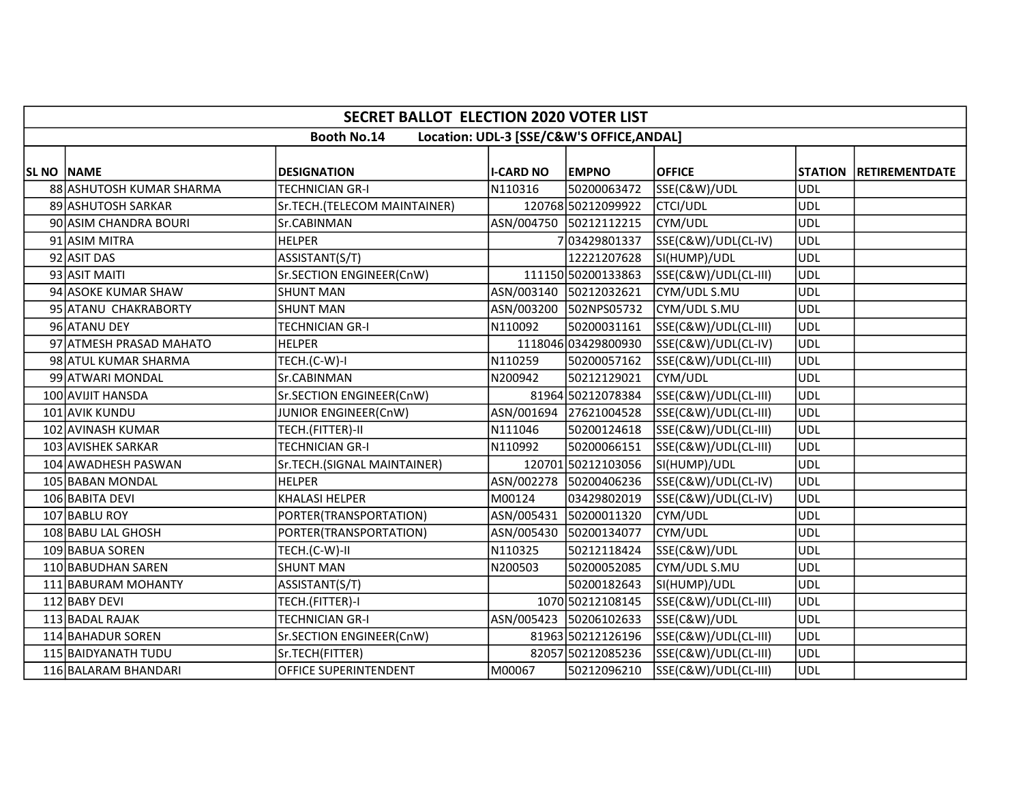|                   | <b>SECRET BALLOT ELECTION 2020 VOTER LIST</b>                   |                              |                  |                        |                      |            |                        |  |  |  |  |
|-------------------|-----------------------------------------------------------------|------------------------------|------------------|------------------------|----------------------|------------|------------------------|--|--|--|--|
|                   | <b>Booth No.14</b><br>Location: UDL-3 [SSE/C&W'S OFFICE, ANDAL] |                              |                  |                        |                      |            |                        |  |  |  |  |
| <b>SL NO NAME</b> |                                                                 | <b>DESIGNATION</b>           | <b>I-CARD NO</b> | <b>EMPNO</b>           | <b>OFFICE</b>        |            | STATION RETIREMENTDATE |  |  |  |  |
|                   | 88 ASHUTOSH KUMAR SHARMA                                        | <b>TECHNICIAN GR-I</b>       | N110316          | 50200063472            | SSE(C&W)/UDL         | UDL        |                        |  |  |  |  |
|                   | 89 ASHUTOSH SARKAR                                              | Sr.TECH.(TELECOM MAINTAINER) |                  | 120768 50212099922     | <b>CTCI/UDL</b>      | <b>UDL</b> |                        |  |  |  |  |
|                   | 90 ASIM CHANDRA BOURI                                           | Sr.CABINMAN                  |                  | ASN/004750 50212112215 | CYM/UDL              | <b>UDL</b> |                        |  |  |  |  |
|                   | 91 ASIM MITRA                                                   | <b>HELPER</b>                |                  | 703429801337           | SSE(C&W)/UDL(CL-IV)  | <b>UDL</b> |                        |  |  |  |  |
|                   | 92 ASIT DAS                                                     | ASSISTANT(S/T)               |                  | 12221207628            | SI(HUMP)/UDL         | <b>UDL</b> |                        |  |  |  |  |
|                   | 93 ASIT MAITI                                                   | Sr.SECTION ENGINEER(CnW)     |                  | 111150 50200133863     | SSE(C&W)/UDL(CL-III) | UDL        |                        |  |  |  |  |
|                   | 94 ASOKE KUMAR SHAW                                             | <b>SHUNT MAN</b>             |                  | ASN/003140 50212032621 | CYM/UDL S.MU         | <b>UDL</b> |                        |  |  |  |  |
|                   | 95 ATANU CHAKRABORTY                                            | <b>SHUNT MAN</b>             |                  | ASN/003200 502NPS05732 | CYM/UDL S.MU         | <b>UDL</b> |                        |  |  |  |  |
|                   | 96 ATANU DEY                                                    | <b>TECHNICIAN GR-I</b>       | N110092          | 50200031161            | SSE(C&W)/UDL(CL-III) | <b>UDL</b> |                        |  |  |  |  |
|                   | 97 ATMESH PRASAD MAHATO                                         | <b>HELPER</b>                |                  | 1118046 03429800930    | SSE(C&W)/UDL(CL-IV)  | <b>UDL</b> |                        |  |  |  |  |
|                   | 98 ATUL KUMAR SHARMA                                            | TECH.(C-W)-I                 | N110259          | 50200057162            | SSE(C&W)/UDL(CL-III) | <b>UDL</b> |                        |  |  |  |  |
|                   | 99 ATWARI MONDAL                                                | Sr.CABINMAN                  | N200942          | 50212129021            | CYM/UDL              | <b>UDL</b> |                        |  |  |  |  |
|                   | 100 AVIJIT HANSDA                                               | Sr.SECTION ENGINEER(CnW)     |                  | 81964 50212078384      | SSE(C&W)/UDL(CL-III) | UDL        |                        |  |  |  |  |
|                   | 101 AVIK KUNDU                                                  | JUNIOR ENGINEER(CnW)         |                  | ASN/001694 27621004528 | SSE(C&W)/UDL(CL-III) | <b>UDL</b> |                        |  |  |  |  |
|                   | 102 AVINASH KUMAR                                               | TECH.(FITTER)-II             | N111046          | 50200124618            | SSE(C&W)/UDL(CL-III) | UDL        |                        |  |  |  |  |
|                   | 103 AVISHEK SARKAR                                              | <b>TECHNICIAN GR-I</b>       | N110992          | 50200066151            | SSE(C&W)/UDL(CL-III) | <b>UDL</b> |                        |  |  |  |  |
|                   | 104 AWADHESH PASWAN                                             | Sr.TECH.(SIGNAL MAINTAINER)  |                  | 120701 50212103056     | SI(HUMP)/UDL         | UDL        |                        |  |  |  |  |
|                   | 105 BABAN MONDAL                                                | <b>HELPER</b>                |                  | ASN/002278 50200406236 | SSE(C&W)/UDL(CL-IV)  | <b>UDL</b> |                        |  |  |  |  |
|                   | 106 BABITA DEVI                                                 | <b>KHALASI HELPER</b>        | M00124           | 03429802019            | SSE(C&W)/UDL(CL-IV)  | <b>UDL</b> |                        |  |  |  |  |
|                   | 107 BABLU ROY                                                   | PORTER(TRANSPORTATION)       |                  | ASN/005431 50200011320 | CYM/UDL              | <b>UDL</b> |                        |  |  |  |  |
|                   | 108 BABU LAL GHOSH                                              | PORTER(TRANSPORTATION)       |                  | ASN/005430 50200134077 | CYM/UDL              | <b>UDL</b> |                        |  |  |  |  |
|                   | 109 BABUA SOREN                                                 | TECH.(C-W)-II                | N110325          | 50212118424            | SSE(C&W)/UDL         | <b>UDL</b> |                        |  |  |  |  |
|                   | 110 BABUDHAN SAREN                                              | <b>SHUNT MAN</b>             | N200503          | 50200052085            | CYM/UDL S.MU         | <b>UDL</b> |                        |  |  |  |  |
|                   | 111 BABURAM MOHANTY                                             | ASSISTANT(S/T)               |                  | 50200182643            | SI(HUMP)/UDL         | <b>UDL</b> |                        |  |  |  |  |
|                   | 112 BABY DEVI                                                   | TECH.(FITTER)-I              |                  | 1070 50212108145       | SSE(C&W)/UDL(CL-III) | <b>UDL</b> |                        |  |  |  |  |
|                   | 113 BADAL RAJAK                                                 | <b>TECHNICIAN GR-I</b>       |                  | ASN/005423 50206102633 | SSE(C&W)/UDL         | <b>UDL</b> |                        |  |  |  |  |
|                   | 114 BAHADUR SOREN                                               | Sr.SECTION ENGINEER(CnW)     |                  | 81963 50212126196      | SSE(C&W)/UDL(CL-III) | <b>UDL</b> |                        |  |  |  |  |
|                   | 115 BAIDYANATH TUDU                                             | Sr.TECH(FITTER)              |                  | 82057 50212085236      | SSE(C&W)/UDL(CL-III) | UDL        |                        |  |  |  |  |
|                   | 116 BALARAM BHANDARI                                            | OFFICE SUPERINTENDENT        | M00067           | 50212096210            | SSE(C&W)/UDL(CL-III) | <b>UDL</b> |                        |  |  |  |  |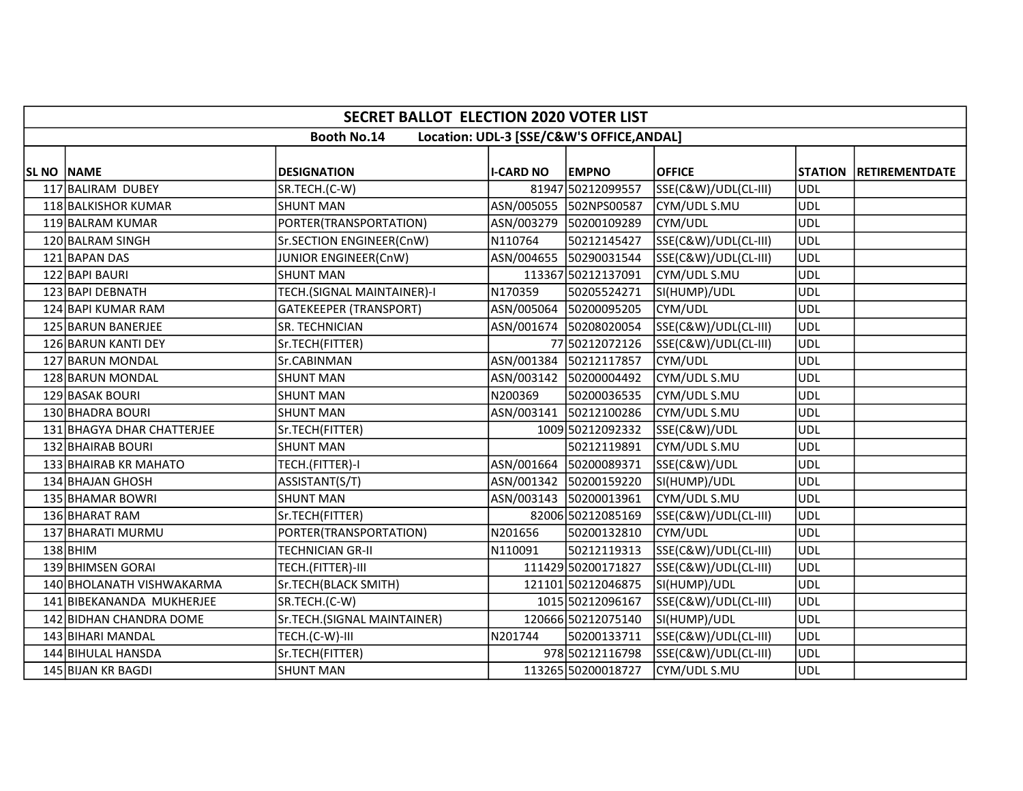|            | SECRET BALLOT ELECTION 2020 VOTER LIST                          |                               |                  |                        |                      |            |                        |  |  |  |  |
|------------|-----------------------------------------------------------------|-------------------------------|------------------|------------------------|----------------------|------------|------------------------|--|--|--|--|
|            | <b>Booth No.14</b><br>Location: UDL-3 [SSE/C&W'S OFFICE, ANDAL] |                               |                  |                        |                      |            |                        |  |  |  |  |
|            |                                                                 |                               |                  |                        |                      |            |                        |  |  |  |  |
| SL NO NAME |                                                                 | <b>DESIGNATION</b>            | <b>I-CARD NO</b> | <b>EMPNO</b>           | <b>OFFICE</b>        |            | STATION RETIREMENTDATE |  |  |  |  |
|            | 117 BALIRAM DUBEY                                               | SR.TECH.(C-W)                 |                  | 81947 50212099557      | SSE(C&W)/UDL(CL-III) | <b>UDL</b> |                        |  |  |  |  |
|            | 118 BALKISHOR KUMAR                                             | <b>SHUNT MAN</b>              |                  | ASN/005055 502NPS00587 | CYM/UDL S.MU         | <b>UDL</b> |                        |  |  |  |  |
|            | 119 BALRAM KUMAR                                                | PORTER(TRANSPORTATION)        |                  | ASN/003279 50200109289 | CYM/UDL              | <b>UDL</b> |                        |  |  |  |  |
|            | 120 BALRAM SINGH                                                | Sr.SECTION ENGINEER(CnW)      | N110764          | 50212145427            | SSE(C&W)/UDL(CL-III) | <b>UDL</b> |                        |  |  |  |  |
|            | 121 BAPAN DAS                                                   | JUNIOR ENGINEER(CnW)          |                  | ASN/004655 50290031544 | SSE(C&W)/UDL(CL-III) | <b>UDL</b> |                        |  |  |  |  |
|            | 122 BAPI BAURI                                                  | <b>SHUNT MAN</b>              |                  | 113367 50212137091     | CYM/UDL S.MU         | <b>UDL</b> |                        |  |  |  |  |
|            | 123 BAPI DEBNATH                                                | TECH.(SIGNAL MAINTAINER)-I    | N170359          | 50205524271            | SI(HUMP)/UDL         | <b>UDL</b> |                        |  |  |  |  |
|            | 124 BAPI KUMAR RAM                                              | <b>GATEKEEPER (TRANSPORT)</b> |                  | ASN/005064 50200095205 | CYM/UDL              | <b>UDL</b> |                        |  |  |  |  |
|            | 125 BARUN BANERJEE                                              | SR. TECHNICIAN                |                  | ASN/001674 50208020054 | SSE(C&W)/UDL(CL-III) | <b>UDL</b> |                        |  |  |  |  |
|            | 126 BARUN KANTI DEY                                             | Sr.TECH(FITTER)               |                  | 77 50212072126         | SSE(C&W)/UDL(CL-III) | <b>UDL</b> |                        |  |  |  |  |
|            | 127 BARUN MONDAL                                                | Sr.CABINMAN                   |                  | ASN/001384 50212117857 | CYM/UDL              | <b>UDL</b> |                        |  |  |  |  |
|            | 128 BARUN MONDAL                                                | <b>SHUNT MAN</b>              |                  | ASN/003142 50200004492 | CYM/UDL S.MU         | <b>UDL</b> |                        |  |  |  |  |
|            | 129 BASAK BOURI                                                 | <b>SHUNT MAN</b>              | N200369          | 50200036535            | CYM/UDL S.MU         | <b>UDL</b> |                        |  |  |  |  |
|            | 130 BHADRA BOURI                                                | <b>SHUNT MAN</b>              | ASN/003141       | 50212100286            | CYM/UDL S.MU         | <b>UDL</b> |                        |  |  |  |  |
|            | 131 BHAGYA DHAR CHATTERJEE                                      | Sr.TECH(FITTER)               |                  | 1009 50212092332       | SSE(C&W)/UDL         | <b>UDL</b> |                        |  |  |  |  |
|            | 132 BHAIRAB BOURI                                               | <b>SHUNT MAN</b>              |                  | 50212119891            | CYM/UDL S.MU         | <b>UDL</b> |                        |  |  |  |  |
|            | 133 BHAIRAB KR MAHATO                                           | TECH.(FITTER)-I               |                  | ASN/001664 50200089371 | SSE(C&W)/UDL         | <b>UDL</b> |                        |  |  |  |  |
|            | 134 BHAJAN GHOSH                                                | ASSISTANT(S/T)                |                  | ASN/001342 50200159220 | SI(HUMP)/UDL         | <b>UDL</b> |                        |  |  |  |  |
|            | 135 BHAMAR BOWRI                                                | <b>SHUNT MAN</b>              |                  | ASN/003143 50200013961 | CYM/UDL S.MU         | <b>UDL</b> |                        |  |  |  |  |
|            | 136 BHARAT RAM                                                  | Sr.TECH(FITTER)               |                  | 82006 50212085169      | SSE(C&W)/UDL(CL-III) | <b>UDL</b> |                        |  |  |  |  |
|            | 137 BHARATI MURMU                                               | PORTER(TRANSPORTATION)        | N201656          | 50200132810            | CYM/UDL              | <b>UDL</b> |                        |  |  |  |  |
|            | $138$ BHIM                                                      | <b>TECHNICIAN GR-II</b>       | N110091          | 50212119313            | SSE(C&W)/UDL(CL-III) | <b>UDL</b> |                        |  |  |  |  |
|            | 139 BHIMSEN GORAI                                               | TECH.(FITTER)-III             |                  | 111429 50200171827     | SSE(C&W)/UDL(CL-III) | <b>UDL</b> |                        |  |  |  |  |
|            | 140 BHOLANATH VISHWAKARMA                                       | Sr.TECH(BLACK SMITH)          |                  | 121101 50212046875     | SI(HUMP)/UDL         | <b>UDL</b> |                        |  |  |  |  |
|            | 141 BIBEKANANDA MUKHERJEE                                       | SR.TECH.(C-W)                 |                  | 1015 50212096167       | SSE(C&W)/UDL(CL-III) | <b>UDL</b> |                        |  |  |  |  |
|            | 142 BIDHAN CHANDRA DOME                                         | Sr.TECH.(SIGNAL MAINTAINER)   |                  | 120666 50212075140     | SI(HUMP)/UDL         | <b>UDL</b> |                        |  |  |  |  |
|            | 143 BIHARI MANDAL                                               | TECH.(C-W)-III                | N201744          | 50200133711            | SSE(C&W)/UDL(CL-III) | <b>UDL</b> |                        |  |  |  |  |
|            | 144 BIHULAL HANSDA                                              | Sr.TECH(FITTER)               |                  | 978 50212116798        | SSE(C&W)/UDL(CL-III) | <b>UDL</b> |                        |  |  |  |  |
|            | 145 BIJAN KR BAGDI                                              | SHUNT MAN                     |                  | 113265 50200018727     | CYM/UDL S.MU         | <b>UDL</b> |                        |  |  |  |  |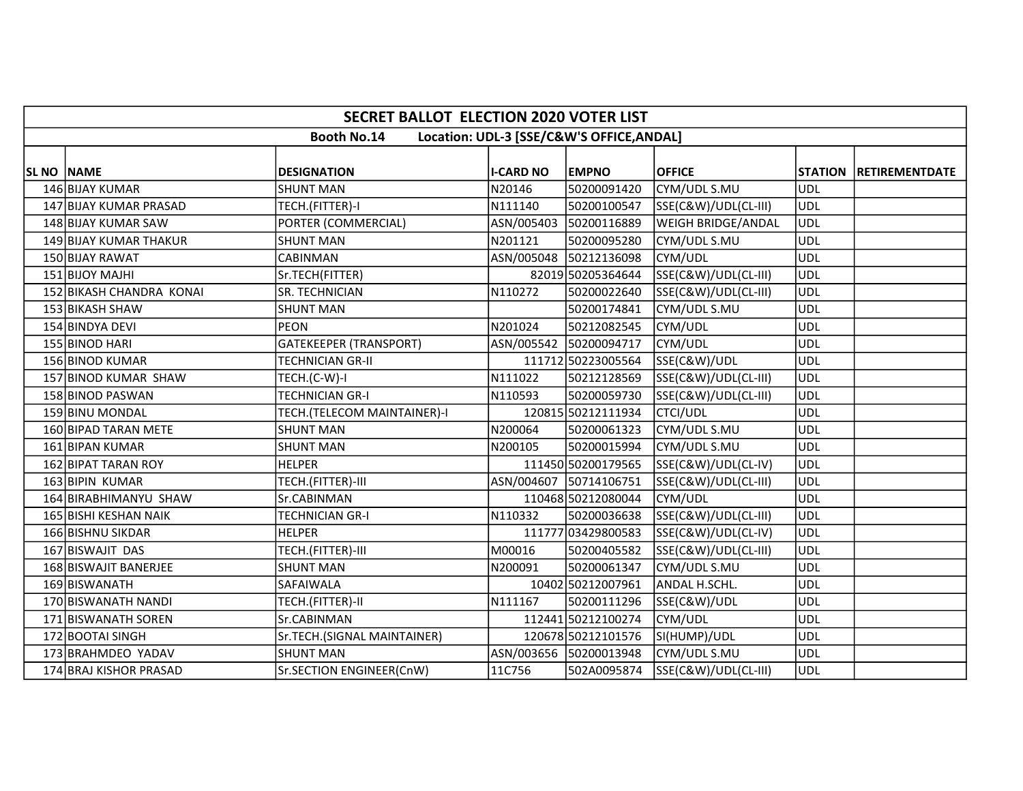|            | <b>SECRET BALLOT ELECTION 2020 VOTER LIST</b>                   |                               |                  |                        |                      |            |                        |  |  |  |  |
|------------|-----------------------------------------------------------------|-------------------------------|------------------|------------------------|----------------------|------------|------------------------|--|--|--|--|
|            | <b>Booth No.14</b><br>Location: UDL-3 [SSE/C&W'S OFFICE, ANDAL] |                               |                  |                        |                      |            |                        |  |  |  |  |
|            |                                                                 |                               |                  |                        |                      |            |                        |  |  |  |  |
| SL NO NAME |                                                                 | <b>DESIGNATION</b>            | <b>I-CARD NO</b> | <b>EMPNO</b>           | <b>OFFICE</b>        |            | STATION RETIREMENTDATE |  |  |  |  |
|            | 146 BIJAY KUMAR                                                 | <b>SHUNT MAN</b>              | N20146           | 50200091420            | CYM/UDL S.MU         | UDL        |                        |  |  |  |  |
|            | 147 BIJAY KUMAR PRASAD                                          | TECH.(FITTER)-I               | N111140          | 50200100547            | SSE(C&W)/UDL(CL-III) | UDL        |                        |  |  |  |  |
|            | 148 BIJAY KUMAR SAW                                             | PORTER (COMMERCIAL)           | ASN/005403       | 50200116889            | WEIGH BRIDGE/ANDAL   | UDL        |                        |  |  |  |  |
|            | 149 BIJAY KUMAR THAKUR                                          | <b>SHUNT MAN</b>              | N201121          | 50200095280            | CYM/UDL S.MU         | <b>UDL</b> |                        |  |  |  |  |
|            | 150 BIJAY RAWAT                                                 | CABINMAN                      |                  | ASN/005048 50212136098 | CYM/UDL              | <b>UDL</b> |                        |  |  |  |  |
|            | 151 BIJOY MAJHI                                                 | Sr.TECH(FITTER)               |                  | 82019 50205364644      | SSE(C&W)/UDL(CL-III) | UDL        |                        |  |  |  |  |
|            | 152 BIKASH CHANDRA KONAI                                        | SR. TECHNICIAN                | N110272          | 50200022640            | SSE(C&W)/UDL(CL-III) | UDL        |                        |  |  |  |  |
|            | 153 BIKASH SHAW                                                 | <b>SHUNT MAN</b>              |                  | 50200174841            | CYM/UDL S.MU         | UDL        |                        |  |  |  |  |
|            | 154 BINDYA DEVI                                                 | <b>PEON</b>                   | N201024          | 50212082545            | CYM/UDL              | <b>UDL</b> |                        |  |  |  |  |
|            | 155 BINOD HARI                                                  | <b>GATEKEEPER (TRANSPORT)</b> |                  | ASN/005542 50200094717 | CYM/UDL              | UDL        |                        |  |  |  |  |
|            | 156 BINOD KUMAR                                                 | <b>TECHNICIAN GR-II</b>       |                  | 111712 50223005564     | SSE(C&W)/UDL         | <b>UDL</b> |                        |  |  |  |  |
|            | 157 BINOD KUMAR SHAW                                            | TECH.(C-W)-I                  | N111022          | 50212128569            | SSE(C&W)/UDL(CL-III) | <b>UDL</b> |                        |  |  |  |  |
|            | 158 BINOD PASWAN                                                | TECHNICIAN GR-I               | N110593          | 50200059730            | SSE(C&W)/UDL(CL-III) | UDL        |                        |  |  |  |  |
|            | 159 BINU MONDAL                                                 | TECH.(TELECOM MAINTAINER)-I   |                  | 120815 50212111934     | <b>CTCI/UDL</b>      | UDL        |                        |  |  |  |  |
|            | 160 BIPAD TARAN METE                                            | <b>SHUNT MAN</b>              | N200064          | 50200061323            | CYM/UDL S.MU         | <b>UDL</b> |                        |  |  |  |  |
|            | 161 BIPAN KUMAR                                                 | <b>SHUNT MAN</b>              | N200105          | 50200015994            | CYM/UDL S.MU         | <b>UDL</b> |                        |  |  |  |  |
|            | 162 BIPAT TARAN ROY                                             | <b>HELPER</b>                 |                  | 111450 50200179565     | SSE(C&W)/UDL(CL-IV)  | UDL        |                        |  |  |  |  |
|            | 163 BIPIN KUMAR                                                 | TECH.(FITTER)-III             |                  | ASN/004607 50714106751 | SSE(C&W)/UDL(CL-III) | UDL        |                        |  |  |  |  |
|            | 164 BIRABHIMANYU SHAW                                           | Sr.CABINMAN                   |                  | 110468 50212080044     | CYM/UDL              | UDL        |                        |  |  |  |  |
|            | 165 BISHI KESHAN NAIK                                           | <b>TECHNICIAN GR-I</b>        | N110332          | 50200036638            | SSE(C&W)/UDL(CL-III) | ludl       |                        |  |  |  |  |
|            | 166 BISHNU SIKDAR                                               | <b>HELPER</b>                 |                  | 111777 03429800583     | SSE(C&W)/UDL(CL-IV)  | UDL        |                        |  |  |  |  |
|            | 167 BISWAJIT DAS                                                | TECH.(FITTER)-III             | M00016           | 50200405582            | SSE(C&W)/UDL(CL-III) | UDL        |                        |  |  |  |  |
|            | 168 BISWAJIT BANERJEE                                           | <b>SHUNT MAN</b>              | N200091          | 50200061347            | CYM/UDL S.MU         | <b>UDL</b> |                        |  |  |  |  |
|            | 169 BISWANATH                                                   | SAFAIWALA                     |                  | 10402 50212007961      | ANDAL H.SCHL.        | UDL        |                        |  |  |  |  |
|            | 170 BISWANATH NANDI                                             | TECH.(FITTER)-II              | N111167          | 50200111296            | SSE(C&W)/UDL         | UDL        |                        |  |  |  |  |
|            | 171 BISWANATH SOREN                                             | Sr.CABINMAN                   |                  | 112441 50212100274     | CYM/UDL              | <b>UDL</b> |                        |  |  |  |  |
|            | 172 BOOTAI SINGH                                                | Sr.TECH.(SIGNAL MAINTAINER)   |                  | 120678 50212101576     | SI(HUMP)/UDL         | <b>UDL</b> |                        |  |  |  |  |
|            | 173 BRAHMDEO YADAV                                              | <b>SHUNT MAN</b>              |                  | ASN/003656 50200013948 | CYM/UDL S.MU         | UDL        |                        |  |  |  |  |
|            | 174 BRAJ KISHOR PRASAD                                          | Sr.SECTION ENGINEER(CnW)      | 11C756           | 502A0095874            | SSE(C&W)/UDL(CL-III) | UDL        |                        |  |  |  |  |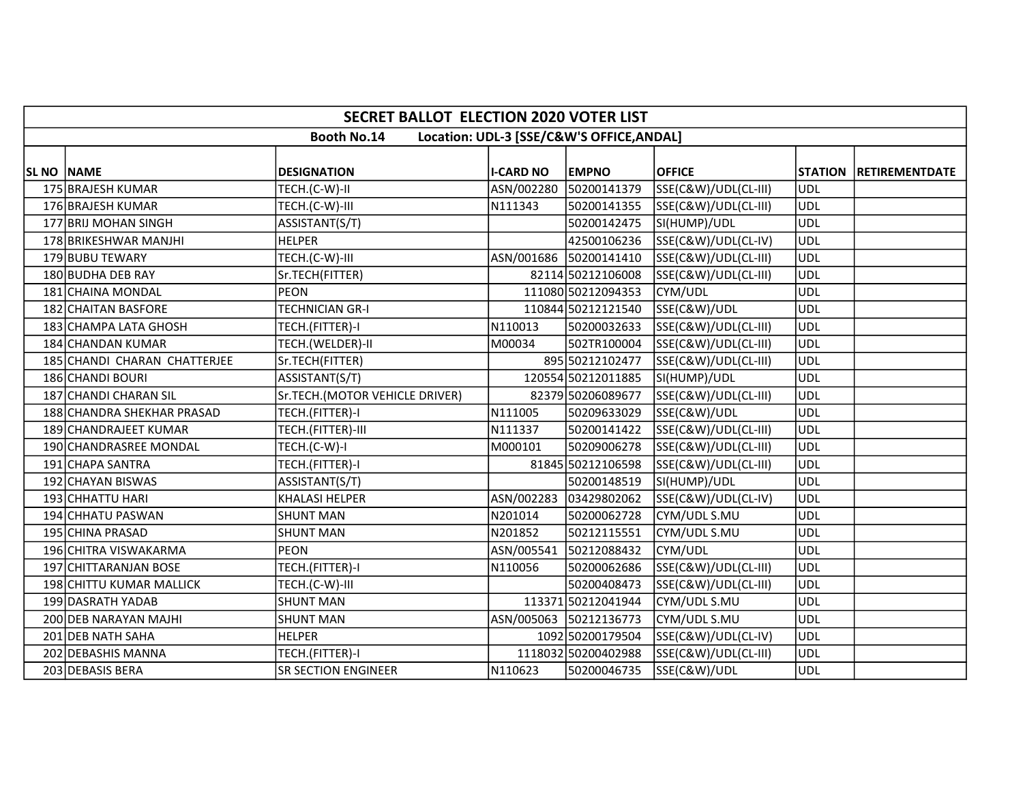|                                                                 | <b>SECRET BALLOT ELECTION 2020 VOTER LIST</b> |                                |                  |                        |                      |            |                        |  |  |  |  |
|-----------------------------------------------------------------|-----------------------------------------------|--------------------------------|------------------|------------------------|----------------------|------------|------------------------|--|--|--|--|
| <b>Booth No.14</b><br>Location: UDL-3 [SSE/C&W'S OFFICE, ANDAL] |                                               |                                |                  |                        |                      |            |                        |  |  |  |  |
| <b>SL NO NAME</b>                                               |                                               | <b>DESIGNATION</b>             | <b>I-CARD NO</b> | <b>EMPNO</b>           | <b>OFFICE</b>        |            | STATION RETIREMENTDATE |  |  |  |  |
|                                                                 | 175 BRAJESH KUMAR                             | TECH.(C-W)-II                  |                  | ASN/002280 50200141379 | SSE(C&W)/UDL(CL-III) | UDL        |                        |  |  |  |  |
|                                                                 | 176 BRAJESH KUMAR                             | TECH.(C-W)-III                 | N111343          | 50200141355            | SSE(C&W)/UDL(CL-III) | UDL        |                        |  |  |  |  |
|                                                                 | 177 BRIJ MOHAN SINGH                          | ASSISTANT(S/T)                 |                  | 50200142475            | SI(HUMP)/UDL         | UDL        |                        |  |  |  |  |
|                                                                 | 178 BRIKESHWAR MANJHI                         | <b>HELPER</b>                  |                  | 42500106236            | SSE(C&W)/UDL(CL-IV)  | <b>UDL</b> |                        |  |  |  |  |
|                                                                 | 179 BUBU TEWARY                               | TECH.(C-W)-III                 |                  | ASN/001686 50200141410 | SSE(C&W)/UDL(CL-III) | <b>UDL</b> |                        |  |  |  |  |
|                                                                 | 180 BUDHA DEB RAY                             | Sr.TECH(FITTER)                |                  | 82114 50212106008      | SSE(C&W)/UDL(CL-III) | UDL        |                        |  |  |  |  |
|                                                                 | 181 CHAINA MONDAL                             | <b>PEON</b>                    |                  | 111080 50212094353     | CYM/UDL              | <b>UDL</b> |                        |  |  |  |  |
|                                                                 | 182 CHAITAN BASFORE                           | <b>TECHNICIAN GR-I</b>         |                  | 110844 50212121540     | SSE(C&W)/UDL         | <b>UDL</b> |                        |  |  |  |  |
|                                                                 | 183 CHAMPA LATA GHOSH                         | TECH.(FITTER)-I                | N110013          | 50200032633            | SSE(C&W)/UDL(CL-III) | <b>UDL</b> |                        |  |  |  |  |
|                                                                 | 184 CHANDAN KUMAR                             | TECH.(WELDER)-II               | M00034           | 502TR100004            | SSE(C&W)/UDL(CL-III) | UDL        |                        |  |  |  |  |
|                                                                 | 185 CHANDI CHARAN CHATTERJEE                  | Sr.TECH(FITTER)                |                  | 895 50212102477        | SSE(C&W)/UDL(CL-III) | UDL        |                        |  |  |  |  |
|                                                                 | 186 CHANDI BOURI                              | ASSISTANT(S/T)                 |                  | 120554 50212011885     | SI(HUMP)/UDL         | <b>UDL</b> |                        |  |  |  |  |
|                                                                 | 187 CHANDI CHARAN SIL                         | Sr.TECH.(MOTOR VEHICLE DRIVER) |                  | 82379 50206089677      | SSE(C&W)/UDL(CL-III) | UDL        |                        |  |  |  |  |
|                                                                 | 188 CHANDRA SHEKHAR PRASAD                    | TECH.(FITTER)-I                | N111005          | 50209633029            | SSE(C&W)/UDL         | <b>UDL</b> |                        |  |  |  |  |
|                                                                 | 189 CHANDRAJEET KUMAR                         | TECH.(FITTER)-III              | N111337          | 50200141422            | SSE(C&W)/UDL(CL-III) | UDL        |                        |  |  |  |  |
|                                                                 | 190 CHANDRASREE MONDAL                        | TECH.(C-W)-I                   | M000101          | 50209006278            | SSE(C&W)/UDL(CL-III) | ludl       |                        |  |  |  |  |
|                                                                 | 191 CHAPA SANTRA                              | TECH.(FITTER)-I                |                  | 81845 50212106598      | SSE(C&W)/UDL(CL-III) | UDL        |                        |  |  |  |  |
|                                                                 | 192 CHAYAN BISWAS                             | ASSISTANT(S/T)                 |                  | 50200148519            | SI(HUMP)/UDL         | <b>UDL</b> |                        |  |  |  |  |
|                                                                 | 193 CHHATTU HARI                              | <b>KHALASI HELPER</b>          |                  | ASN/002283 03429802062 | SSE(C&W)/UDL(CL-IV)  | UDL        |                        |  |  |  |  |
|                                                                 | 194 CHHATU PASWAN                             | <b>SHUNT MAN</b>               | N201014          | 50200062728            | CYM/UDL S.MU         | UDL        |                        |  |  |  |  |
|                                                                 | 195 CHINA PRASAD                              | <b>SHUNT MAN</b>               | N201852          | 50212115551            | CYM/UDL S.MU         | <b>UDL</b> |                        |  |  |  |  |
|                                                                 | 196 CHITRA VISWAKARMA                         | PEON                           | ASN/005541       | 50212088432            | CYM/UDL              | <b>UDL</b> |                        |  |  |  |  |
|                                                                 | 197 CHITTARANJAN BOSE                         | TECH.(FITTER)-I                | N110056          | 50200062686            | SSE(C&W)/UDL(CL-III) | <b>UDL</b> |                        |  |  |  |  |
|                                                                 | 198 CHITTU KUMAR MALLICK                      | TECH.(C-W)-III                 |                  | 50200408473            | SSE(C&W)/UDL(CL-III) | UDL        |                        |  |  |  |  |
|                                                                 | 199 DASRATH YADAB                             | <b>SHUNT MAN</b>               |                  | 113371 50212041944     | CYM/UDL S.MU         | UDL        |                        |  |  |  |  |
|                                                                 | 200 DEB NARAYAN MAJHI                         | <b>SHUNT MAN</b>               |                  | ASN/005063 50212136773 | CYM/UDL S.MU         | <b>UDL</b> |                        |  |  |  |  |
|                                                                 | 201 DEB NATH SAHA                             | <b>HELPER</b>                  |                  | 1092 50200179504       | SSE(C&W)/UDL(CL-IV)  | UDL        |                        |  |  |  |  |
|                                                                 | 202 DEBASHIS MANNA                            | TECH.(FITTER)-I                |                  | 1118032 50200402988    | SSE(C&W)/UDL(CL-III) | <b>UDL</b> |                        |  |  |  |  |
|                                                                 | 203 DEBASIS BERA                              | <b>SR SECTION ENGINEER</b>     | N110623          | 50200046735            | SSE(C&W)/UDL         | <b>UDL</b> |                        |  |  |  |  |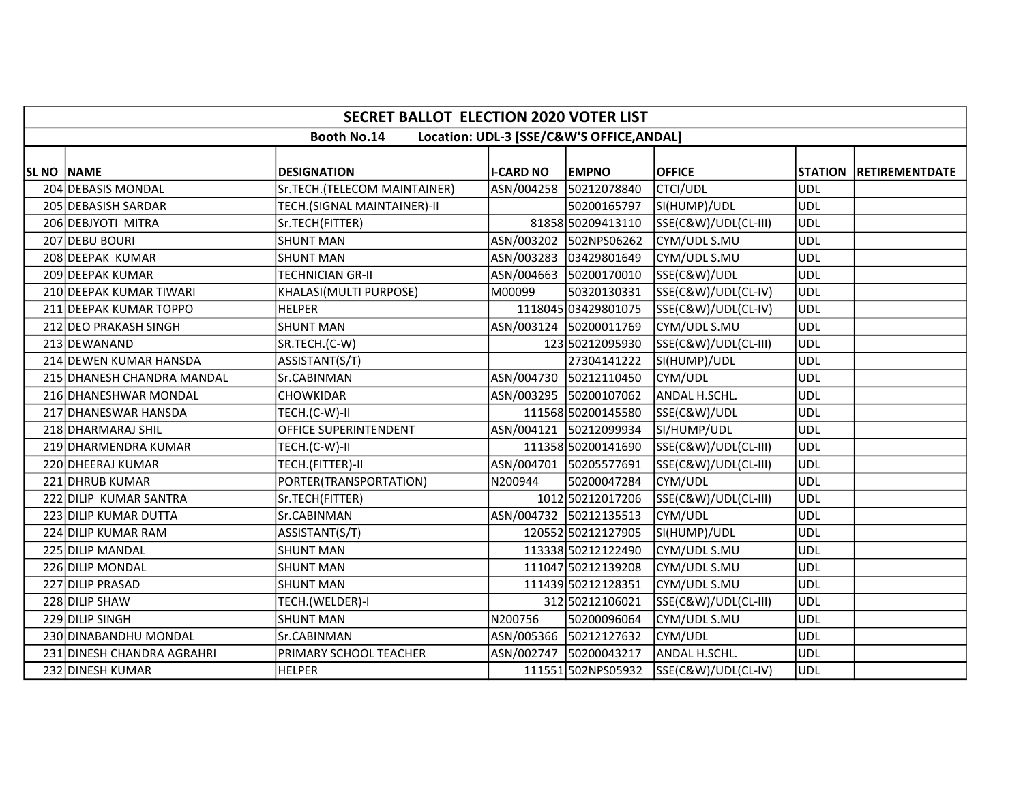|                   | <b>SECRET BALLOT ELECTION 2020 VOTER LIST</b>                   |                              |                  |                        |                      |            |                          |  |  |  |  |
|-------------------|-----------------------------------------------------------------|------------------------------|------------------|------------------------|----------------------|------------|--------------------------|--|--|--|--|
|                   | <b>Booth No.14</b><br>Location: UDL-3 [SSE/C&W'S OFFICE, ANDAL] |                              |                  |                        |                      |            |                          |  |  |  |  |
| <b>SL NO NAME</b> |                                                                 | <b>DESIGNATION</b>           | <b>I-CARD NO</b> | <b>EMPNO</b>           | <b>OFFICE</b>        |            | STATION   RETIREMENTDATE |  |  |  |  |
|                   | 204 DEBASIS MONDAL                                              | Sr.TECH.(TELECOM MAINTAINER) |                  | ASN/004258 50212078840 | <b>CTCI/UDL</b>      | UDL        |                          |  |  |  |  |
|                   | 205 DEBASISH SARDAR                                             | TECH.(SIGNAL MAINTAINER)-II  |                  | 50200165797            | SI(HUMP)/UDL         | UDL        |                          |  |  |  |  |
|                   | 206 DEBJYOTI MITRA                                              | Sr.TECH(FITTER)              |                  | 81858 50209413110      | SSE(C&W)/UDL(CL-III) | UDL        |                          |  |  |  |  |
|                   | 207 DEBU BOURI                                                  | <b>SHUNT MAN</b>             |                  | ASN/003202 502NPS06262 | CYM/UDL S.MU         | UDL        |                          |  |  |  |  |
|                   | 208 DEEPAK KUMAR                                                | <b>SHUNT MAN</b>             |                  | ASN/003283 03429801649 | CYM/UDL S.MU         | <b>UDL</b> |                          |  |  |  |  |
|                   | 209 DEEPAK KUMAR                                                | <b>TECHNICIAN GR-II</b>      |                  | ASN/004663 50200170010 | SSE(C&W)/UDL         | <b>UDL</b> |                          |  |  |  |  |
|                   | 210 DEEPAK KUMAR TIWARI                                         | KHALASI(MULTI PURPOSE)       | M00099           | 50320130331            | SSE(C&W)/UDL(CL-IV)  | <b>UDL</b> |                          |  |  |  |  |
|                   | 211 DEEPAK KUMAR TOPPO                                          | <b>HELPER</b>                |                  | 1118045 03429801075    | SSE(C&W)/UDL(CL-IV)  | UDL        |                          |  |  |  |  |
|                   | 212 DEO PRAKASH SINGH                                           | <b>SHUNT MAN</b>             |                  | ASN/003124 50200011769 | CYM/UDL S.MU         | ludl       |                          |  |  |  |  |
|                   | 213 DEWANAND                                                    | SR.TECH.(C-W)                |                  | 123 50212095930        | SSE(C&W)/UDL(CL-III) | <b>UDL</b> |                          |  |  |  |  |
|                   | 214 DEWEN KUMAR HANSDA                                          | ASSISTANT(S/T)               |                  | 27304141222            | SI(HUMP)/UDL         | UDL        |                          |  |  |  |  |
|                   | 215 DHANESH CHANDRA MANDAL                                      | Sr.CABINMAN                  |                  | ASN/004730 50212110450 | CYM/UDL              | <b>UDL</b> |                          |  |  |  |  |
|                   | 216 DHANESHWAR MONDAL                                           | CHOWKIDAR                    |                  | ASN/003295 50200107062 | ANDAL H.SCHL.        | <b>UDL</b> |                          |  |  |  |  |
|                   | 217 DHANESWAR HANSDA                                            | TECH.(C-W)-II                |                  | 111568 50200145580     | SSE(C&W)/UDL         | <b>UDL</b> |                          |  |  |  |  |
|                   | 218 DHARMARAJ SHIL                                              | OFFICE SUPERINTENDENT        |                  | ASN/004121 50212099934 | SI/HUMP/UDL          | UDL        |                          |  |  |  |  |
|                   | 219 DHARMENDRA KUMAR                                            | TECH.(C-W)-II                |                  | 111358 50200141690     | SSE(C&W)/UDL(CL-III) | UDL        |                          |  |  |  |  |
|                   | 220 DHEERAJ KUMAR                                               | TECH.(FITTER)-II             |                  | ASN/004701 50205577691 | SSE(C&W)/UDL(CL-III) | UDL        |                          |  |  |  |  |
|                   | 221 DHRUB KUMAR                                                 | PORTER(TRANSPORTATION)       | N200944          | 50200047284            | CYM/UDL              | <b>UDL</b> |                          |  |  |  |  |
|                   | 222 DILIP KUMAR SANTRA                                          | Sr.TECH(FITTER)              |                  | 1012 50212017206       | SSE(C&W)/UDL(CL-III) | <b>UDL</b> |                          |  |  |  |  |
|                   | 223 DILIP KUMAR DUTTA                                           | Sr.CABINMAN                  |                  | ASN/004732 50212135513 | CYM/UDL              | UDL        |                          |  |  |  |  |
|                   | 224 DILIP KUMAR RAM                                             | ASSISTANT(S/T)               |                  | 120552 50212127905     | SI(HUMP)/UDL         | <b>UDL</b> |                          |  |  |  |  |
|                   | 225 DILIP MANDAL                                                | <b>SHUNT MAN</b>             |                  | 113338 50212122490     | CYM/UDL S.MU         | <b>UDL</b> |                          |  |  |  |  |
|                   | 226 DILIP MONDAL                                                | <b>SHUNT MAN</b>             |                  | 111047 50212139208     | CYM/UDL S.MU         | <b>UDL</b> |                          |  |  |  |  |
|                   | 227 DILIP PRASAD                                                | <b>SHUNT MAN</b>             |                  | 111439 50212128351     | CYM/UDL S.MU         | <b>UDL</b> |                          |  |  |  |  |
|                   | 228 DILIP SHAW                                                  | TECH.(WELDER)-I              |                  | 312 50212106021        | SSE(C&W)/UDL(CL-III) | <b>UDL</b> |                          |  |  |  |  |
|                   | 229 DILIP SINGH                                                 | <b>SHUNT MAN</b>             | N200756          | 50200096064            | CYM/UDL S.MU         | <b>UDL</b> |                          |  |  |  |  |
|                   | 230 DINABANDHU MONDAL                                           | Sr.CABINMAN                  |                  | ASN/005366 50212127632 | CYM/UDL              | <b>UDL</b> |                          |  |  |  |  |
|                   | 231 DINESH CHANDRA AGRAHRI                                      | PRIMARY SCHOOL TEACHER       |                  | ASN/002747 50200043217 | ANDAL H.SCHL.        | UDL        |                          |  |  |  |  |
|                   | 232 DINESH KUMAR                                                | <b>HELPER</b>                |                  | 111551 502NPS05932     | SSE(C&W)/UDL(CL-IV)  | UDL        |                          |  |  |  |  |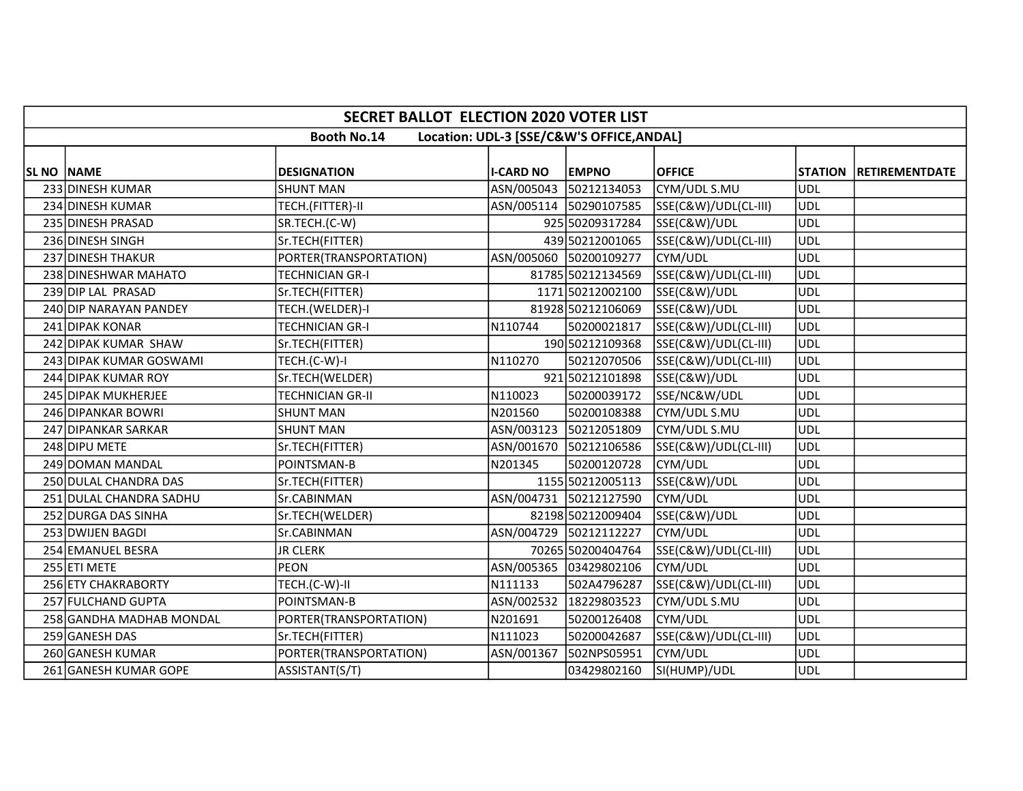|                   | <b>SECRET BALLOT ELECTION 2020 VOTER LIST</b>                   |                         |                  |                        |                      |            |                        |  |  |  |  |
|-------------------|-----------------------------------------------------------------|-------------------------|------------------|------------------------|----------------------|------------|------------------------|--|--|--|--|
|                   | <b>Booth No.14</b><br>Location: UDL-3 [SSE/C&W'S OFFICE, ANDAL] |                         |                  |                        |                      |            |                        |  |  |  |  |
| <b>SL NO NAME</b> |                                                                 | <b>DESIGNATION</b>      | <b>I-CARD NO</b> | <b>EMPNO</b>           | <b>OFFICE</b>        |            | STATION RETIREMENTDATE |  |  |  |  |
|                   | 233 DINESH KUMAR                                                | <b>SHUNT MAN</b>        |                  | ASN/005043 50212134053 | CYM/UDL S.MU         | <b>UDL</b> |                        |  |  |  |  |
|                   | 234 DINESH KUMAR                                                | TECH.(FITTER)-II        |                  | ASN/005114 50290107585 | SSE(C&W)/UDL(CL-III) | UDL        |                        |  |  |  |  |
|                   | 235 DINESH PRASAD                                               | SR.TECH.(C-W)           |                  | 925 50209317284        | SSE(C&W)/UDL         | UDL        |                        |  |  |  |  |
|                   | 236 DINESH SINGH                                                | Sr.TECH(FITTER)         |                  | 439 50212001065        | SSE(C&W)/UDL(CL-III) | UDL        |                        |  |  |  |  |
|                   | 237 DINESH THAKUR                                               | PORTER(TRANSPORTATION)  |                  | ASN/005060 50200109277 | CYM/UDL              | <b>UDL</b> |                        |  |  |  |  |
|                   | 238 DINESHWAR MAHATO                                            | TECHNICIAN GR-I         |                  | 81785 50212134569      | SSE(C&W)/UDL(CL-III) | <b>UDL</b> |                        |  |  |  |  |
|                   | 239 DIP LAL PRASAD                                              | Sr.TECH(FITTER)         |                  | 1171 50212002100       | SSE(C&W)/UDL         | UDL        |                        |  |  |  |  |
|                   | 240 DIP NARAYAN PANDEY                                          | TECH.(WELDER)-I         |                  | 81928 50212106069      | SSE(C&W)/UDL         | <b>UDL</b> |                        |  |  |  |  |
|                   | 241 DIPAK KONAR                                                 | <b>TECHNICIAN GR-I</b>  | N110744          | 50200021817            | SSE(C&W)/UDL(CL-III) | <b>UDL</b> |                        |  |  |  |  |
|                   | 242 DIPAK KUMAR SHAW                                            | Sr.TECH(FITTER)         |                  | 190 50212109368        | SSE(C&W)/UDL(CL-III) | UDL        |                        |  |  |  |  |
|                   | 243 DIPAK KUMAR GOSWAMI                                         | TECH.(C-W)-I            | N110270          | 50212070506            | SSE(C&W)/UDL(CL-III) | UDL        |                        |  |  |  |  |
|                   | 244 DIPAK KUMAR ROY                                             | Sr.TECH(WELDER)         |                  | 921 50212101898        | SSE(C&W)/UDL         | <b>UDL</b> |                        |  |  |  |  |
|                   | 245 DIPAK MUKHERJEE                                             | <b>TECHNICIAN GR-II</b> | N110023          | 50200039172            | SSE/NC&W/UDL         | <b>UDL</b> |                        |  |  |  |  |
|                   | 246 DIPANKAR BOWRI                                              | <b>SHUNT MAN</b>        | N201560          | 50200108388            | CYM/UDL S.MU         | <b>UDL</b> |                        |  |  |  |  |
|                   | 247 DIPANKAR SARKAR                                             | <b>SHUNT MAN</b>        |                  | ASN/003123 50212051809 | CYM/UDL S.MU         | <b>UDL</b> |                        |  |  |  |  |
|                   | 248 DIPU METE                                                   | Sr.TECH(FITTER)         |                  | ASN/001670 50212106586 | SSE(C&W)/UDL(CL-III) | UDL        |                        |  |  |  |  |
|                   | 249 DOMAN MANDAL                                                | POINTSMAN-B             | N201345          | 50200120728            | CYM/UDL              | <b>UDL</b> |                        |  |  |  |  |
|                   | 250 DULAL CHANDRA DAS                                           | Sr.TECH(FITTER)         |                  | 1155 50212005113       | SSE(C&W)/UDL         | <b>UDL</b> |                        |  |  |  |  |
|                   | 251 DULAL CHANDRA SADHU                                         | Sr.CABINMAN             |                  | ASN/004731 50212127590 | CYM/UDL              | <b>UDL</b> |                        |  |  |  |  |
|                   | 252 DURGA DAS SINHA                                             | Sr.TECH(WELDER)         |                  | 82198 50212009404      | SSE(C&W)/UDL         | <b>UDL</b> |                        |  |  |  |  |
|                   | 253 DWIJEN BAGDI                                                | Sr.CABINMAN             |                  | ASN/004729 50212112227 | CYM/UDL              | <b>UDL</b> |                        |  |  |  |  |
|                   | 254 EMANUEL BESRA                                               | <b>JR CLERK</b>         |                  | 70265 50200404764      | SSE(C&W)/UDL(CL-III) | <b>UDL</b> |                        |  |  |  |  |
|                   | 255 ETI METE                                                    | <b>PEON</b>             |                  | ASN/005365 03429802106 | CYM/UDL              | UDL        |                        |  |  |  |  |
|                   | 256 ETY CHAKRABORTY                                             | TECH.(C-W)-II           | N111133          | 502A4796287            | SSE(C&W)/UDL(CL-III) | <b>UDL</b> |                        |  |  |  |  |
|                   | 257 FULCHAND GUPTA                                              | POINTSMAN-B             |                  | ASN/002532 18229803523 | CYM/UDL S.MU         | <b>UDL</b> |                        |  |  |  |  |
|                   | 258 GANDHA MADHAB MONDAL                                        | PORTER(TRANSPORTATION)  | N201691          | 50200126408            | CYM/UDL              | UDL        |                        |  |  |  |  |
|                   | 259 GANESH DAS                                                  | Sr.TECH(FITTER)         | N111023          | 50200042687            | SSE(C&W)/UDL(CL-III) | <b>UDL</b> |                        |  |  |  |  |
|                   | 260 GANESH KUMAR                                                | PORTER(TRANSPORTATION)  | ASN/001367       | 502NPS05951            | CYM/UDL              | <b>UDL</b> |                        |  |  |  |  |
|                   | 261 GANESH KUMAR GOPE                                           | ASSISTANT(S/T)          |                  | 03429802160            | SI(HUMP)/UDL         | UDL        |                        |  |  |  |  |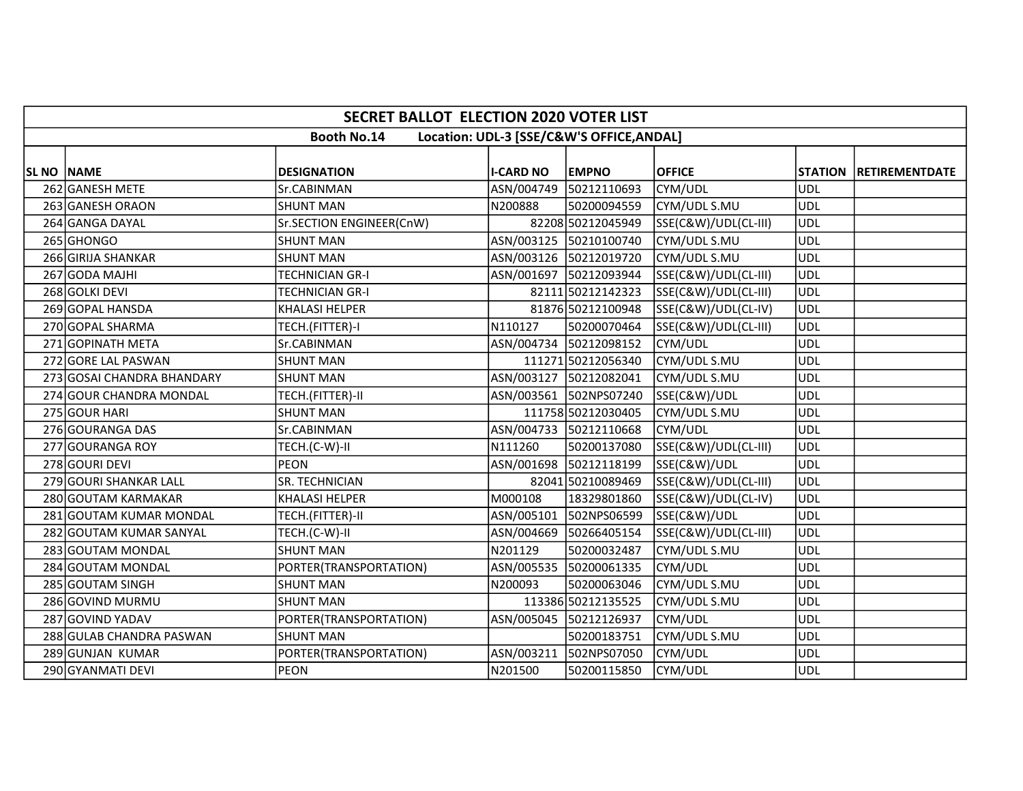|                   | <b>SECRET BALLOT ELECTION 2020 VOTER LIST</b>                   |                          |                  |                         |                      |            |                        |  |  |  |  |
|-------------------|-----------------------------------------------------------------|--------------------------|------------------|-------------------------|----------------------|------------|------------------------|--|--|--|--|
|                   | <b>Booth No.14</b><br>Location: UDL-3 [SSE/C&W'S OFFICE, ANDAL] |                          |                  |                         |                      |            |                        |  |  |  |  |
|                   |                                                                 |                          |                  |                         |                      |            |                        |  |  |  |  |
| <b>SL NO NAME</b> |                                                                 | <b>DESIGNATION</b>       | <b>I-CARD NO</b> | <b>EMPNO</b>            | <b>OFFICE</b>        |            | STATION RETIREMENTDATE |  |  |  |  |
|                   | 262 GANESH METE                                                 | Sr.CABINMAN              |                  | ASN/004749 50212110693  | CYM/UDL              | UDL        |                        |  |  |  |  |
|                   | 263 GANESH ORAON                                                | <b>SHUNT MAN</b>         | N200888          | 50200094559             | CYM/UDL S.MU         | UDL        |                        |  |  |  |  |
|                   | 264 GANGA DAYAL                                                 | Sr.SECTION ENGINEER(CnW) |                  | 82208 50212045949       | SSE(C&W)/UDL(CL-III) | UDL        |                        |  |  |  |  |
|                   | 265 GHONGO                                                      | <b>SHUNT MAN</b>         |                  | ASN/003125 50210100740  | CYM/UDL S.MU         | <b>UDL</b> |                        |  |  |  |  |
|                   | 266 GIRIJA SHANKAR                                              | <b>SHUNT MAN</b>         |                  | ASN/003126 50212019720  | CYM/UDL S.MU         | <b>UDL</b> |                        |  |  |  |  |
|                   | 267 GODA MAJHI                                                  | TECHNICIAN GR-I          |                  | ASN/001697 50212093944  | SSE(C&W)/UDL(CL-III) | UDL        |                        |  |  |  |  |
|                   | 268 GOLKI DEVI                                                  | <b>TECHNICIAN GR-I</b>   |                  | 82111 50212142323       | SSE(C&W)/UDL(CL-III) | UDL        |                        |  |  |  |  |
|                   | 269 GOPAL HANSDA                                                | <b>KHALASI HELPER</b>    |                  | 81876 50212100948       | SSE(C&W)/UDL(CL-IV)  | UDL        |                        |  |  |  |  |
|                   | 270 GOPAL SHARMA                                                | TECH.(FITTER)-I          | N110127          | 50200070464             | SSE(C&W)/UDL(CL-III) | <b>UDL</b> |                        |  |  |  |  |
|                   | 271 GOPINATH META                                               | Sr.CABINMAN              |                  | ASN/004734 50212098152  | CYM/UDL              | UDL        |                        |  |  |  |  |
|                   | 272 GORE LAL PASWAN                                             | <b>SHUNT MAN</b>         |                  | 111271 50212056340      | CYM/UDL S.MU         | <b>UDL</b> |                        |  |  |  |  |
|                   | 273 GOSAI CHANDRA BHANDARY                                      | <b>SHUNT MAN</b>         |                  | ASN/003127 50212082041  | CYM/UDL S.MU         | <b>UDL</b> |                        |  |  |  |  |
|                   | 274 GOUR CHANDRA MONDAL                                         | TECH.(FITTER)-II         |                  | ASN/003561  502NPS07240 | SSE(C&W)/UDL         | <b>UDL</b> |                        |  |  |  |  |
|                   | 275 GOUR HARI                                                   | <b>SHUNT MAN</b>         |                  | 111758 50212030405      | CYM/UDL S.MU         | <b>UDL</b> |                        |  |  |  |  |
|                   | 276 GOURANGA DAS                                                | Sr.CABINMAN              |                  | ASN/004733 50212110668  | CYM/UDL              | UDL        |                        |  |  |  |  |
|                   | 277 GOURANGA ROY                                                | TECH.(C-W)-II            | N111260          | 50200137080             | SSE(C&W)/UDL(CL-III) | UDL        |                        |  |  |  |  |
|                   | 278 GOURI DEVI                                                  | <b>PEON</b>              |                  | ASN/001698 50212118199  | SSE(C&W)/UDL         | UDL        |                        |  |  |  |  |
|                   | 279 GOURI SHANKAR LALL                                          | <b>SR. TECHNICIAN</b>    |                  | 82041 50210089469       | SSE(C&W)/UDL(CL-III) | UDL        |                        |  |  |  |  |
|                   | 280 GOUTAM KARMAKAR                                             | KHALASI HELPER           | M000108          | 18329801860             | SSE(C&W)/UDL(CL-IV)  | UDL        |                        |  |  |  |  |
|                   | 281 GOUTAM KUMAR MONDAL                                         | TECH.(FITTER)-II         | ASN/005101       | 502NPS06599             | SSE(C&W)/UDL         | <b>UDL</b> |                        |  |  |  |  |
|                   | 282 GOUTAM KUMAR SANYAL                                         | TECH.(C-W)-II            |                  | ASN/004669 50266405154  | SSE(C&W)/UDL(CL-III) | UDL        |                        |  |  |  |  |
|                   | 283 GOUTAM MONDAL                                               | <b>SHUNT MAN</b>         | N201129          | 50200032487             | CYM/UDL S.MU         | <b>UDL</b> |                        |  |  |  |  |
|                   | 284 GOUTAM MONDAL                                               | PORTER(TRANSPORTATION)   |                  | ASN/005535 50200061335  | CYM/UDL              | <b>UDL</b> |                        |  |  |  |  |
|                   | 285 GOUTAM SINGH                                                | <b>SHUNT MAN</b>         | N200093          | 50200063046             | CYM/UDL S.MU         | <b>UDL</b> |                        |  |  |  |  |
|                   | 286 GOVIND MURMU                                                | <b>SHUNT MAN</b>         |                  | 113386 50212135525      | CYM/UDL S.MU         | <b>UDL</b> |                        |  |  |  |  |
|                   | 287 GOVIND YADAV                                                | PORTER(TRANSPORTATION)   |                  | ASN/005045 50212126937  | CYM/UDL              | <b>UDL</b> |                        |  |  |  |  |
|                   | 288 GULAB CHANDRA PASWAN                                        | <b>SHUNT MAN</b>         |                  | 50200183751             | CYM/UDL S.MU         | <b>UDL</b> |                        |  |  |  |  |
|                   | 289 GUNJAN KUMAR                                                | PORTER(TRANSPORTATION)   | ASN/003211       | 502NPS07050             | CYM/UDL              | <b>UDL</b> |                        |  |  |  |  |
|                   | 290 GYANMATI DEVI                                               | <b>PEON</b>              | N201500          | 50200115850             | CYM/UDL              | UDL        |                        |  |  |  |  |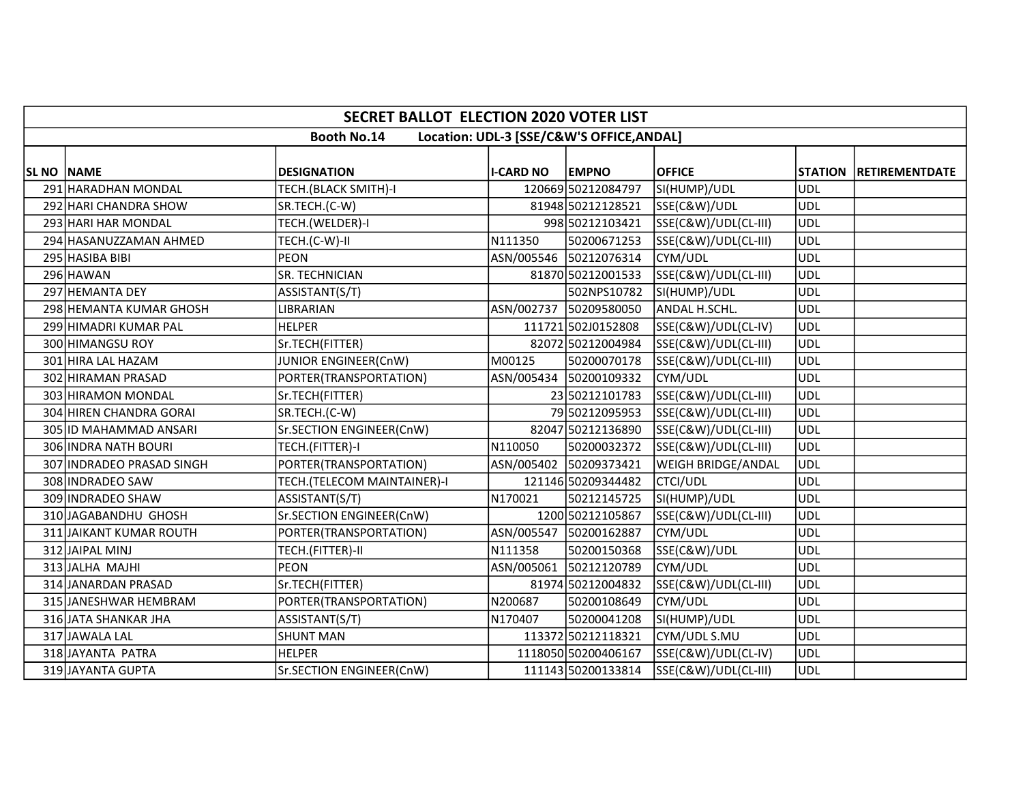|                   | <b>SECRET BALLOT ELECTION 2020 VOTER LIST</b>                   |                             |                  |                        |                      |                |                       |  |  |  |  |
|-------------------|-----------------------------------------------------------------|-----------------------------|------------------|------------------------|----------------------|----------------|-----------------------|--|--|--|--|
|                   | <b>Booth No.14</b><br>Location: UDL-3 [SSE/C&W'S OFFICE, ANDAL] |                             |                  |                        |                      |                |                       |  |  |  |  |
| <b>SL NO NAME</b> |                                                                 | <b>DESIGNATION</b>          | <b>I-CARD NO</b> | <b>EMPNO</b>           | <b>OFFICE</b>        | <b>STATION</b> | <b>RETIREMENTDATE</b> |  |  |  |  |
|                   | 291 HARADHAN MONDAL                                             | TECH.(BLACK SMITH)-I        |                  | 120669 50212084797     | SI(HUMP)/UDL         | UDL            |                       |  |  |  |  |
|                   | 292 HARI CHANDRA SHOW                                           | SR.TECH.(C-W)               |                  | 81948 50212128521      | SSE(C&W)/UDL         | UDL            |                       |  |  |  |  |
|                   | 293 HARI HAR MONDAL                                             | TECH.(WELDER)-I             |                  | 998 50212103421        | SSE(C&W)/UDL(CL-III) | UDL            |                       |  |  |  |  |
|                   | 294 HASANUZZAMAN AHMED                                          | TECH.(C-W)-II               | N111350          | 50200671253            | SSE(C&W)/UDL(CL-III) | UDL            |                       |  |  |  |  |
|                   | 295 HASIBA BIBI                                                 | <b>PEON</b>                 |                  | ASN/005546 50212076314 | CYM/UDL              | <b>UDL</b>     |                       |  |  |  |  |
|                   | 296 HAWAN                                                       | SR. TECHNICIAN              |                  | 81870 50212001533      | SSE(C&W)/UDL(CL-III) | UDL            |                       |  |  |  |  |
|                   | 297 HEMANTA DEY                                                 | ASSISTANT(S/T)              |                  | 502NPS10782            | SI(HUMP)/UDL         | UDL            |                       |  |  |  |  |
|                   | 298 HEMANTA KUMAR GHOSH                                         | LIBRARIAN                   |                  | ASN/002737 50209580050 | ANDAL H.SCHL.        | <b>UDL</b>     |                       |  |  |  |  |
|                   | 299 HIMADRI KUMAR PAL                                           | <b>HELPER</b>               |                  | 111721 502J0152808     | SSE(C&W)/UDL(CL-IV)  | <b>UDL</b>     |                       |  |  |  |  |
|                   | 300 HIMANGSU ROY                                                | Sr.TECH(FITTER)             |                  | 82072 50212004984      | SSE(C&W)/UDL(CL-III) | <b>UDL</b>     |                       |  |  |  |  |
|                   | 301 HIRA LAL HAZAM                                              | JUNIOR ENGINEER(CnW)        | M00125           | 50200070178            | SSE(C&W)/UDL(CL-III) | <b>UDL</b>     |                       |  |  |  |  |
|                   | 302 HIRAMAN PRASAD                                              | PORTER(TRANSPORTATION)      |                  | ASN/005434 50200109332 | CYM/UDL              | <b>UDL</b>     |                       |  |  |  |  |
|                   | 303 HIRAMON MONDAL                                              | Sr.TECH(FITTER)             |                  | 23 50212101783         | SSE(C&W)/UDL(CL-III) | UDL            |                       |  |  |  |  |
|                   | 304 HIREN CHANDRA GORAI                                         | SR.TECH.(C-W)               |                  | 7950212095953          | SSE(C&W)/UDL(CL-III) | UDL            |                       |  |  |  |  |
|                   | 305 ID MAHAMMAD ANSARI                                          | Sr.SECTION ENGINEER(CnW)    |                  | 82047 50212136890      | SSE(C&W)/UDL(CL-III) | UDL            |                       |  |  |  |  |
|                   | 306 INDRA NATH BOURI                                            | TECH.(FITTER)-I             | N110050          | 50200032372            | SSE(C&W)/UDL(CL-III) | <b>UDL</b>     |                       |  |  |  |  |
|                   | 307 INDRADEO PRASAD SINGH                                       | PORTER(TRANSPORTATION)      |                  | ASN/005402 50209373421 | WEIGH BRIDGE/ANDAL   | UDL            |                       |  |  |  |  |
|                   | 308 INDRADEO SAW                                                | TECH.(TELECOM MAINTAINER)-I |                  | 121146 50209344482     | <b>CTCI/UDL</b>      | <b>UDL</b>     |                       |  |  |  |  |
|                   | 309 INDRADEO SHAW                                               | ASSISTANT(S/T)              | N170021          | 50212145725            | SI(HUMP)/UDL         | <b>UDL</b>     |                       |  |  |  |  |
|                   | 310 JAGABANDHU GHOSH                                            | Sr.SECTION ENGINEER(CnW)    |                  | 1200 50212105867       | SSE(C&W)/UDL(CL-III) | UDL            |                       |  |  |  |  |
|                   | 311 JAIKANT KUMAR ROUTH                                         | PORTER(TRANSPORTATION)      | ASN/005547       | 50200162887            | CYM/UDL              | <b>UDL</b>     |                       |  |  |  |  |
|                   | 312 JAIPAL MINJ                                                 | TECH.(FITTER)-II            | N111358          | 50200150368            | SSE(C&W)/UDL         | <b>UDL</b>     |                       |  |  |  |  |
|                   | 313 JALHA MAJHI                                                 | <b>PEON</b>                 | ASN/005061       | 50212120789            | CYM/UDL              | UDL            |                       |  |  |  |  |
|                   | 314 JANARDAN PRASAD                                             | Sr.TECH(FITTER)             |                  | 81974 50212004832      | SSE(C&W)/UDL(CL-III) | UDL            |                       |  |  |  |  |
|                   | 315 JANESHWAR HEMBRAM                                           | PORTER(TRANSPORTATION)      | N200687          | 50200108649            | CYM/UDL              | <b>UDL</b>     |                       |  |  |  |  |
|                   | 316 JATA SHANKAR JHA                                            | ASSISTANT(S/T)              | N170407          | 50200041208            | SI(HUMP)/UDL         | <b>UDL</b>     |                       |  |  |  |  |
|                   | 317 JAWALA LAL                                                  | <b>SHUNT MAN</b>            |                  | 113372 50212118321     | CYM/UDL S.MU         | UDL            |                       |  |  |  |  |
|                   | 318 JAYANTA PATRA                                               | <b>HELPER</b>               |                  | 1118050 50200406167    | SSE(C&W)/UDL(CL-IV)  | UDL            |                       |  |  |  |  |
|                   | 319 JAYANTA GUPTA                                               | Sr.SECTION ENGINEER(CnW)    |                  | 111143 50200133814     | SSE(C&W)/UDL(CL-III) | UDL            |                       |  |  |  |  |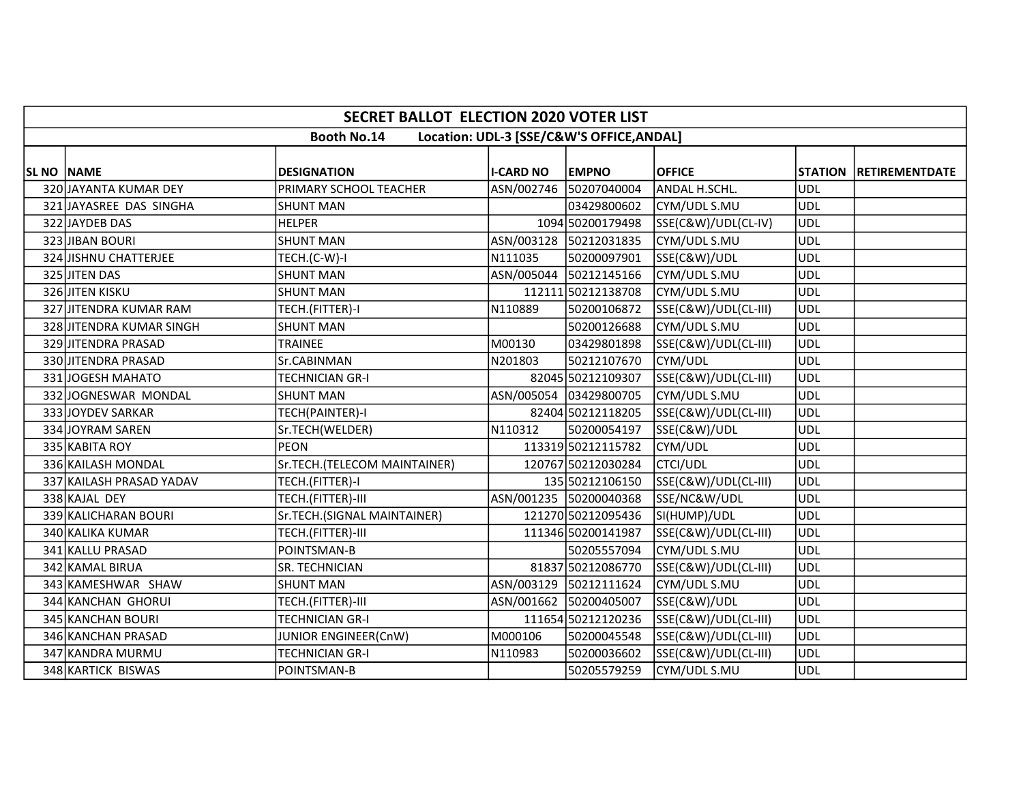|                   |                                                                 | <b>SECRET BALLOT ELECTION 2020 VOTER LIST</b> |                  |                        |                      |            |                        |  |  |  |  |
|-------------------|-----------------------------------------------------------------|-----------------------------------------------|------------------|------------------------|----------------------|------------|------------------------|--|--|--|--|
|                   | <b>Booth No.14</b><br>Location: UDL-3 [SSE/C&W'S OFFICE, ANDAL] |                                               |                  |                        |                      |            |                        |  |  |  |  |
| <b>SL NO NAME</b> |                                                                 | <b>DESIGNATION</b>                            | <b>I-CARD NO</b> | <b>EMPNO</b>           | <b>OFFICE</b>        |            | STATION RETIREMENTDATE |  |  |  |  |
|                   | 320 JAYANTA KUMAR DEY                                           | PRIMARY SCHOOL TEACHER                        |                  | ASN/002746 50207040004 | ANDAL H.SCHL.        | UDL        |                        |  |  |  |  |
|                   | 321 JAYASREE DAS SINGHA                                         | <b>SHUNT MAN</b>                              |                  | 03429800602            | CYM/UDL S.MU         | UDL        |                        |  |  |  |  |
|                   | 322 JAYDEB DAS                                                  | <b>HELPER</b>                                 |                  | 1094 50200179498       | SSE(C&W)/UDL(CL-IV)  | <b>UDL</b> |                        |  |  |  |  |
|                   | 323 JIBAN BOURI                                                 | <b>SHUNT MAN</b>                              |                  | ASN/003128 50212031835 | CYM/UDL S.MU         | <b>UDL</b> |                        |  |  |  |  |
|                   | 324 JISHNU CHATTERJEE                                           | TECH.(C-W)-I                                  | N111035          | 50200097901            | SSE(C&W)/UDL         | <b>UDL</b> |                        |  |  |  |  |
|                   | 325 JITEN DAS                                                   | <b>SHUNT MAN</b>                              |                  | ASN/005044 50212145166 | CYM/UDL S.MU         | <b>UDL</b> |                        |  |  |  |  |
|                   | 326 JITEN KISKU                                                 | <b>SHUNT MAN</b>                              |                  | 112111 50212138708     | CYM/UDL S.MU         | <b>UDL</b> |                        |  |  |  |  |
|                   | 327 JITENDRA KUMAR RAM                                          | TECH.(FITTER)-I                               | N110889          | 50200106872            | SSE(C&W)/UDL(CL-III) | UDL        |                        |  |  |  |  |
|                   | 328 JITENDRA KUMAR SINGH                                        | <b>SHUNT MAN</b>                              |                  | 50200126688            | CYM/UDL S.MU         | <b>UDL</b> |                        |  |  |  |  |
|                   | 329 JITENDRA PRASAD                                             | TRAINEE                                       | M00130           | 03429801898            | SSE(C&W)/UDL(CL-III) | <b>UDL</b> |                        |  |  |  |  |
|                   | 330 JITENDRA PRASAD                                             | Sr.CABINMAN                                   | N201803          | 50212107670            | CYM/UDL              | UDL        |                        |  |  |  |  |
|                   | 331JOGESH MAHATO                                                | <b>TECHNICIAN GR-I</b>                        |                  | 82045 50212109307      | SSE(C&W)/UDL(CL-III) | <b>UDL</b> |                        |  |  |  |  |
|                   | 332 JOGNESWAR MONDAL                                            | <b>SHUNT MAN</b>                              |                  | ASN/005054 03429800705 | CYM/UDL S.MU         | UDL        |                        |  |  |  |  |
|                   | 333 JOYDEV SARKAR                                               | TECH(PAINTER)-I                               |                  | 82404 50212118205      | SSE(C&W)/UDL(CL-III) | <b>UDL</b> |                        |  |  |  |  |
|                   | 334 JOYRAM SAREN                                                | Sr.TECH(WELDER)                               | N110312          | 50200054197            | SSE(C&W)/UDL         | UDL        |                        |  |  |  |  |
|                   | 335 KABITA ROY                                                  | <b>PEON</b>                                   |                  | 113319 50212115782     | CYM/UDL              | <b>UDL</b> |                        |  |  |  |  |
|                   | 336 KAILASH MONDAL                                              | Sr.TECH.(TELECOM MAINTAINER)                  |                  | 120767 50212030284     | <b>CTCI/UDL</b>      | UDL        |                        |  |  |  |  |
|                   | 337 KAILASH PRASAD YADAV                                        | TECH.(FITTER)-I                               |                  | 135 50212106150        | SSE(C&W)/UDL(CL-III) | <b>UDL</b> |                        |  |  |  |  |
|                   | 338 KAJAL DEY                                                   | TECH.(FITTER)-III                             |                  | ASN/001235 50200040368 | SSE/NC&W/UDL         | <b>UDL</b> |                        |  |  |  |  |
|                   | 339 KALICHARAN BOURI                                            | Sr.TECH.(SIGNAL MAINTAINER)                   |                  | 121270 50212095436     | SI(HUMP)/UDL         | ludl       |                        |  |  |  |  |
|                   | 340 KALIKA KUMAR                                                | TECH.(FITTER)-III                             |                  | 111346 50200141987     | SSE(C&W)/UDL(CL-III) | UDL        |                        |  |  |  |  |
|                   | 341 KALLU PRASAD                                                | POINTSMAN-B                                   |                  | 50205557094            | CYM/UDL S.MU         | <b>UDL</b> |                        |  |  |  |  |
|                   | 342 KAMAL BIRUA                                                 | SR. TECHNICIAN                                |                  | 81837 50212086770      | SSE(C&W)/UDL(CL-III) | UDL        |                        |  |  |  |  |
|                   | 343 KAMESHWAR SHAW                                              | <b>SHUNT MAN</b>                              |                  | ASN/003129 50212111624 | CYM/UDL S.MU         | <b>UDL</b> |                        |  |  |  |  |
|                   | 344 KANCHAN GHORUI                                              | TECH.(FITTER)-III                             |                  | ASN/001662 50200405007 | SSE(C&W)/UDL         | <b>UDL</b> |                        |  |  |  |  |
|                   | 345 KANCHAN BOURI                                               | <b>TECHNICIAN GR-I</b>                        |                  | 111654 50212120236     | SSE(C&W)/UDL(CL-III) | <b>UDL</b> |                        |  |  |  |  |
|                   | 346 KANCHAN PRASAD                                              | JUNIOR ENGINEER(CnW)                          | M000106          | 50200045548            | SSE(C&W)/UDL(CL-III) | UDL        |                        |  |  |  |  |
|                   | 347 KANDRA MURMU                                                | TECHNICIAN GR-I                               | N110983          | 50200036602            | SSE(C&W)/UDL(CL-III) | UDL        |                        |  |  |  |  |
|                   | 348 KARTICK BISWAS                                              | POINTSMAN-B                                   |                  | 50205579259            | CYM/UDL S.MU         | <b>UDL</b> |                        |  |  |  |  |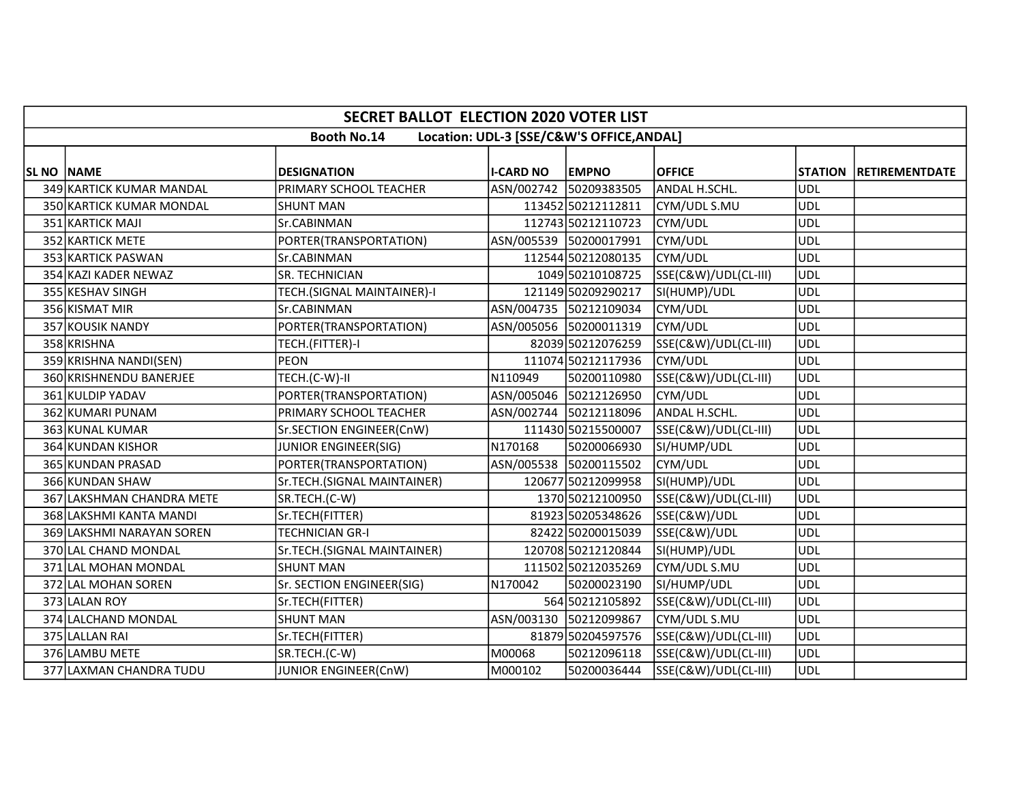|                   | <b>SECRET BALLOT ELECTION 2020 VOTER LIST</b>                   |                             |                  |                                        |                      |            |                        |  |  |  |  |
|-------------------|-----------------------------------------------------------------|-----------------------------|------------------|----------------------------------------|----------------------|------------|------------------------|--|--|--|--|
|                   | <b>Booth No.14</b><br>Location: UDL-3 [SSE/C&W'S OFFICE, ANDAL] |                             |                  |                                        |                      |            |                        |  |  |  |  |
|                   |                                                                 | <b>DESIGNATION</b>          |                  |                                        | <b>OFFICE</b>        |            |                        |  |  |  |  |
| <b>SL NO NAME</b> | 349 KARTICK KUMAR MANDAL                                        | PRIMARY SCHOOL TEACHER      | <b>I-CARD NO</b> | <b>EMPNO</b><br>ASN/002742 50209383505 | ANDAL H.SCHL.        | UDL        | STATION RETIREMENTDATE |  |  |  |  |
|                   |                                                                 |                             |                  |                                        |                      | <b>UDL</b> |                        |  |  |  |  |
|                   | 350 KARTICK KUMAR MONDAL                                        | <b>SHUNT MAN</b>            |                  | 113452 50212112811                     | CYM/UDL S.MU         |            |                        |  |  |  |  |
|                   | 351 KARTICK MAJI                                                | Sr.CABINMAN                 |                  | 112743 50212110723                     | CYM/UDL              | <b>UDL</b> |                        |  |  |  |  |
|                   | 352 KARTICK METE                                                | PORTER(TRANSPORTATION)      |                  | ASN/005539 50200017991                 | CYM/UDL              | <b>UDL</b> |                        |  |  |  |  |
|                   | 353 KARTICK PASWAN                                              | Sr.CABINMAN                 |                  | 112544 50212080135                     | CYM/UDL              | <b>UDL</b> |                        |  |  |  |  |
|                   | 354 KAZI KADER NEWAZ                                            | SR. TECHNICIAN              |                  | 1049 50210108725                       | SSE(C&W)/UDL(CL-III) | <b>UDL</b> |                        |  |  |  |  |
|                   | 355 KESHAV SINGH                                                | TECH.(SIGNAL MAINTAINER)-I  |                  | 121149 50209290217                     | SI(HUMP)/UDL         | <b>UDL</b> |                        |  |  |  |  |
|                   | 356 KISMAT MIR                                                  | Sr.CABINMAN                 |                  | ASN/004735 50212109034                 | CYM/UDL              | <b>UDL</b> |                        |  |  |  |  |
|                   | 357 KOUSIK NANDY                                                | PORTER(TRANSPORTATION)      |                  | ASN/005056 50200011319                 | CYM/UDL              | <b>UDL</b> |                        |  |  |  |  |
|                   | 358 KRISHNA                                                     | TECH.(FITTER)-I             |                  | 82039 50212076259                      | SSE(C&W)/UDL(CL-III) | UDL        |                        |  |  |  |  |
|                   | 359 KRISHNA NANDI(SEN)                                          | <b>PEON</b>                 |                  | 111074 50212117936                     | CYM/UDL              | <b>UDL</b> |                        |  |  |  |  |
|                   | 360 KRISHNENDU BANERJEE                                         | TECH.(C-W)-II               | N110949          | 50200110980                            | SSE(C&W)/UDL(CL-III) | <b>UDL</b> |                        |  |  |  |  |
|                   | 361 KULDIP YADAV                                                | PORTER(TRANSPORTATION)      |                  | ASN/005046 50212126950                 | CYM/UDL              | <b>UDL</b> |                        |  |  |  |  |
|                   | 362 KUMARI PUNAM                                                | PRIMARY SCHOOL TEACHER      |                  | ASN/002744 50212118096                 | ANDAL H.SCHL.        | <b>UDL</b> |                        |  |  |  |  |
|                   | 363 KUNAL KUMAR                                                 | Sr.SECTION ENGINEER(CnW)    |                  | 111430 50215500007                     | SSE(C&W)/UDL(CL-III) | <b>UDL</b> |                        |  |  |  |  |
|                   | 364 KUNDAN KISHOR                                               | JUNIOR ENGINEER(SIG)        | N170168          | 50200066930                            | SI/HUMP/UDL          | <b>UDL</b> |                        |  |  |  |  |
|                   | 365 KUNDAN PRASAD                                               | PORTER(TRANSPORTATION)      |                  | ASN/005538 50200115502                 | CYM/UDL              | <b>UDL</b> |                        |  |  |  |  |
|                   | 366 KUNDAN SHAW                                                 | Sr.TECH.(SIGNAL MAINTAINER) |                  | 120677 50212099958                     | SI(HUMP)/UDL         | <b>UDL</b> |                        |  |  |  |  |
|                   | 367 LAKSHMAN CHANDRA METE                                       | SR.TECH.(C-W)               |                  | 1370 50212100950                       | SSE(C&W)/UDL(CL-III) | <b>UDL</b> |                        |  |  |  |  |
|                   | 368 LAKSHMI KANTA MANDI                                         | Sr.TECH(FITTER)             |                  | 81923 50205348626                      | SSE(C&W)/UDL         | <b>UDL</b> |                        |  |  |  |  |
|                   | 369 LAKSHMI NARAYAN SOREN                                       | <b>TECHNICIAN GR-I</b>      |                  | 82422 50200015039                      | SSE(C&W)/UDL         | <b>UDL</b> |                        |  |  |  |  |
|                   | 370 LAL CHAND MONDAL                                            | Sr.TECH.(SIGNAL MAINTAINER) |                  | 120708 50212120844                     | SI(HUMP)/UDL         | <b>UDL</b> |                        |  |  |  |  |
|                   | 371 LAL MOHAN MONDAL                                            | <b>SHUNT MAN</b>            |                  | 111502 50212035269                     | CYM/UDL S.MU         | UDL        |                        |  |  |  |  |
|                   | 372 LAL MOHAN SOREN                                             | Sr. SECTION ENGINEER(SIG)   | N170042          | 50200023190                            | SI/HUMP/UDL          | <b>UDL</b> |                        |  |  |  |  |
|                   | 373 LALAN ROY                                                   | Sr.TECH(FITTER)             |                  | 564 50212105892                        | SSE(C&W)/UDL(CL-III) | UDL        |                        |  |  |  |  |
|                   | 374 LALCHAND MONDAL                                             | <b>SHUNT MAN</b>            |                  | ASN/003130 50212099867                 | CYM/UDL S.MU         | <b>UDL</b> |                        |  |  |  |  |
|                   | 375 LALLAN RAI                                                  | Sr.TECH(FITTER)             |                  | 81879 50204597576                      | SSE(C&W)/UDL(CL-III) | <b>UDL</b> |                        |  |  |  |  |
|                   | 376 LAMBU METE                                                  | SR.TECH.(C-W)               | M00068           | 50212096118                            | SSE(C&W)/UDL(CL-III) | <b>UDL</b> |                        |  |  |  |  |
|                   | 377 LAXMAN CHANDRA TUDU                                         | JUNIOR ENGINEER(CnW)        | M000102          | 50200036444                            | SSE(C&W)/UDL(CL-III) | <b>UDL</b> |                        |  |  |  |  |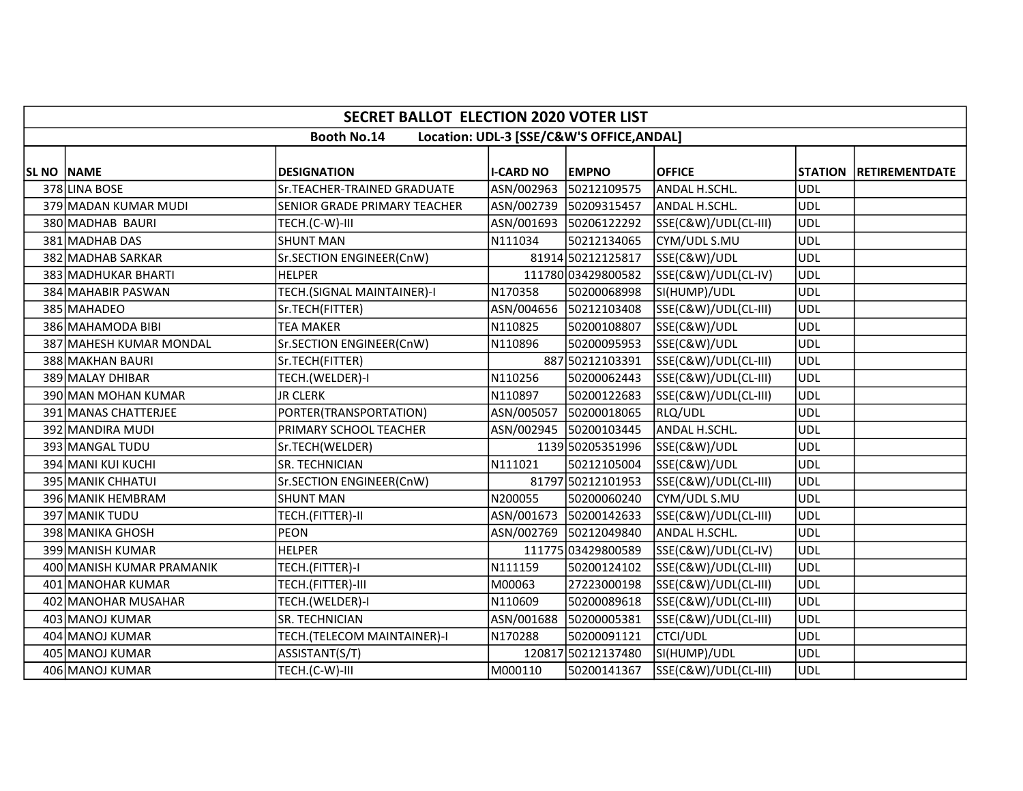|                   | <b>SECRET BALLOT ELECTION 2020 VOTER LIST</b>                   |                              |                  |                        |                      |            |                               |  |  |  |  |
|-------------------|-----------------------------------------------------------------|------------------------------|------------------|------------------------|----------------------|------------|-------------------------------|--|--|--|--|
|                   | <b>Booth No.14</b><br>Location: UDL-3 [SSE/C&W'S OFFICE, ANDAL] |                              |                  |                        |                      |            |                               |  |  |  |  |
|                   |                                                                 |                              |                  |                        |                      |            |                               |  |  |  |  |
| <b>SL NO NAME</b> |                                                                 | <b>DESIGNATION</b>           | <b>I-CARD NO</b> | <b>EMPNO</b>           | <b>OFFICE</b>        |            | <b>STATION RETIREMENTDATE</b> |  |  |  |  |
|                   | 378 LINA BOSE                                                   | Sr.TEACHER-TRAINED GRADUATE  |                  | ASN/002963 50212109575 | ANDAL H.SCHL.        | UDL        |                               |  |  |  |  |
|                   | 379 MADAN KUMAR MUDI                                            | SENIOR GRADE PRIMARY TEACHER |                  | ASN/002739 50209315457 | ANDAL H.SCHL.        | UDL        |                               |  |  |  |  |
|                   | 380 MADHAB BAURI                                                | TECH.(C-W)-III               |                  | ASN/001693 50206122292 | SSE(C&W)/UDL(CL-III) | UDL        |                               |  |  |  |  |
|                   | 381 MADHAB DAS                                                  | <b>SHUNT MAN</b>             | N111034          | 50212134065            | CYM/UDL S.MU         | <b>UDL</b> |                               |  |  |  |  |
|                   | 382 MADHAB SARKAR                                               | Sr.SECTION ENGINEER(CnW)     |                  | 81914 50212125817      | SSE(C&W)/UDL         | <b>UDL</b> |                               |  |  |  |  |
|                   | 383 MADHUKAR BHARTI                                             | <b>HELPER</b>                |                  | 111780 03429800582     | SSE(C&W)/UDL(CL-IV)  | UDL        |                               |  |  |  |  |
|                   | 384 MAHABIR PASWAN                                              | TECH.(SIGNAL MAINTAINER)-I   | N170358          | 50200068998            | SI(HUMP)/UDL         | <b>UDL</b> |                               |  |  |  |  |
|                   | 385 MAHADEO                                                     | Sr.TECH(FITTER)              |                  | ASN/004656 50212103408 | SSE(C&W)/UDL(CL-III) | <b>UDL</b> |                               |  |  |  |  |
|                   | 386 MAHAMODA BIBI                                               | <b>TEA MAKER</b>             | N110825          | 50200108807            | SSE(C&W)/UDL         | <b>UDL</b> |                               |  |  |  |  |
|                   | 387 MAHESH KUMAR MONDAL                                         | Sr.SECTION ENGINEER(CnW)     | N110896          | 50200095953            | SSE(C&W)/UDL         | <b>UDL</b> |                               |  |  |  |  |
|                   | 388 MAKHAN BAURI                                                | Sr.TECH(FITTER)              |                  | 887 50212103391        | SSE(C&W)/UDL(CL-III) | UDL        |                               |  |  |  |  |
|                   | 389 MALAY DHIBAR                                                | TECH.(WELDER)-I              | N110256          | 50200062443            | SSE(C&W)/UDL(CL-III) | UDL        |                               |  |  |  |  |
|                   | 390 MAN MOHAN KUMAR                                             | JR CLERK                     | N110897          | 50200122683            | SSE(C&W)/UDL(CL-III) | UDL        |                               |  |  |  |  |
|                   | 391 MANAS CHATTERJEE                                            | PORTER(TRANSPORTATION)       | ASN/005057       | 50200018065            | RLQ/UDL              | UDL        |                               |  |  |  |  |
|                   | 392 MANDIRA MUDI                                                | PRIMARY SCHOOL TEACHER       |                  | ASN/002945 50200103445 | ANDAL H.SCHL.        | <b>UDL</b> |                               |  |  |  |  |
|                   | 393 MANGAL TUDU                                                 | Sr.TECH(WELDER)              |                  | 1139 50205351996       | SSE(C&W)/UDL         | <b>UDL</b> |                               |  |  |  |  |
|                   | 394 MANI KUI KUCHI                                              | SR. TECHNICIAN               | N111021          | 50212105004            | SSE(C&W)/UDL         | UDL        |                               |  |  |  |  |
|                   | 395 MANIK CHHATUI                                               | Sr.SECTION ENGINEER(CnW)     |                  | 81797 50212101953      | SSE(C&W)/UDL(CL-III) | <b>UDL</b> |                               |  |  |  |  |
|                   | 396 MANIK HEMBRAM                                               | <b>SHUNT MAN</b>             | N200055          | 50200060240            | CYM/UDL S.MU         | UDL        |                               |  |  |  |  |
|                   | 397 MANIK TUDU                                                  | TECH.(FITTER)-II             |                  | ASN/001673 50200142633 | SSE(C&W)/UDL(CL-III) | UDL        |                               |  |  |  |  |
|                   | 398 MANIKA GHOSH                                                | <b>PEON</b>                  |                  | ASN/002769 50212049840 | ANDAL H.SCHL.        | UDL        |                               |  |  |  |  |
|                   | 399 MANISH KUMAR                                                | <b>HELPER</b>                |                  | 111775 03429800589     | SSE(C&W)/UDL(CL-IV)  | <b>UDL</b> |                               |  |  |  |  |
|                   | 400 MANISH KUMAR PRAMANIK                                       | TECH.(FITTER)-I              | N111159          | 50200124102            | SSE(C&W)/UDL(CL-III) | UDL        |                               |  |  |  |  |
|                   | 401 MANOHAR KUMAR                                               | TECH.(FITTER)-III            | M00063           | 27223000198            | SSE(C&W)/UDL(CL-III) | <b>UDL</b> |                               |  |  |  |  |
|                   | 402 MANOHAR MUSAHAR                                             | TECH.(WELDER)-I              | N110609          | 50200089618            | SSE(C&W)/UDL(CL-III) | UDL        |                               |  |  |  |  |
|                   | 403 MANOJ KUMAR                                                 | <b>SR. TECHNICIAN</b>        |                  | ASN/001688 50200005381 | SSE(C&W)/UDL(CL-III) | <b>UDL</b> |                               |  |  |  |  |
|                   | 404 MANOJ KUMAR                                                 | TECH.(TELECOM MAINTAINER)-I  | N170288          | 50200091121            | CTCI/UDL             | UDL        |                               |  |  |  |  |
|                   | 405 MANOJ KUMAR                                                 | ASSISTANT(S/T)               |                  | 120817 50212137480     | SI(HUMP)/UDL         | UDL        |                               |  |  |  |  |
|                   | 406 MANOJ KUMAR                                                 | TECH.(C-W)-III               | M000110          | 50200141367            | SSE(C&W)/UDL(CL-III) | UDL        |                               |  |  |  |  |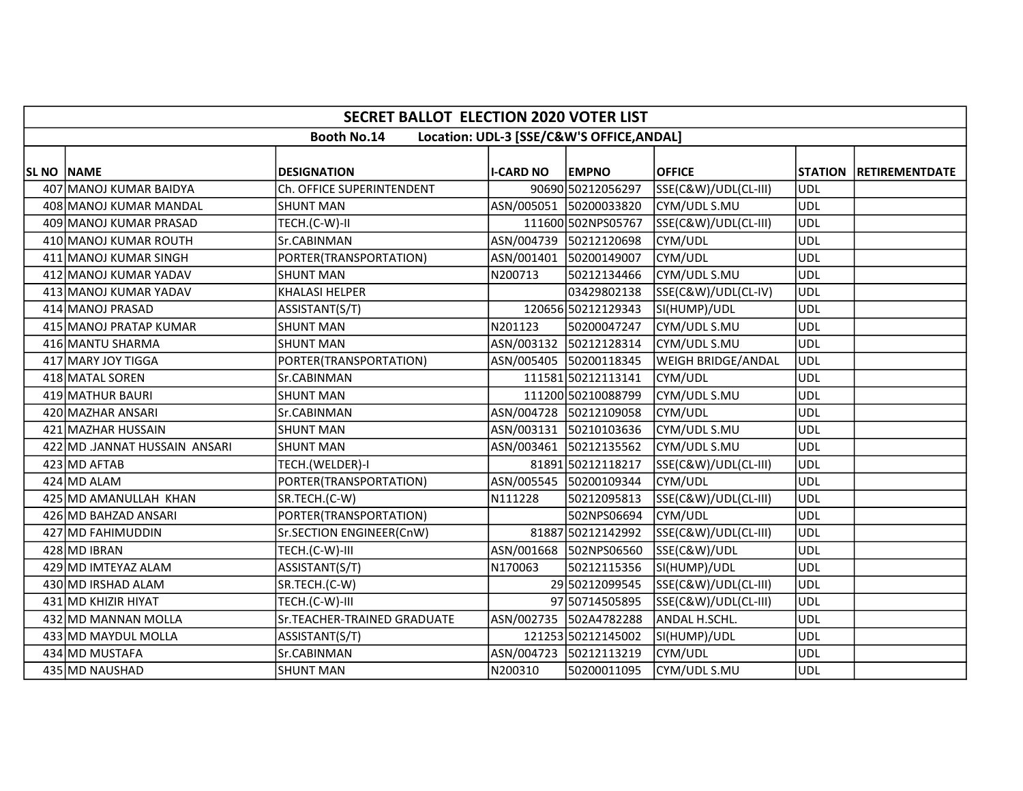|                   | <b>SECRET BALLOT ELECTION 2020 VOTER LIST</b>                   |                             |                  |                        |                           |            |                        |  |  |  |  |
|-------------------|-----------------------------------------------------------------|-----------------------------|------------------|------------------------|---------------------------|------------|------------------------|--|--|--|--|
|                   | <b>Booth No.14</b><br>Location: UDL-3 [SSE/C&W'S OFFICE, ANDAL] |                             |                  |                        |                           |            |                        |  |  |  |  |
| <b>SL NO NAME</b> |                                                                 | <b>DESIGNATION</b>          | <b>I-CARD NO</b> | <b>EMPNO</b>           | <b>OFFICE</b>             |            | STATION RETIREMENTDATE |  |  |  |  |
|                   | 407 MANOJ KUMAR BAIDYA                                          | Ch. OFFICE SUPERINTENDENT   |                  | 90690 50212056297      | SSE(C&W)/UDL(CL-III)      | <b>UDL</b> |                        |  |  |  |  |
|                   | 408 MANOJ KUMAR MANDAL                                          | <b>SHUNT MAN</b>            |                  | ASN/005051 50200033820 | CYM/UDL S.MU              | <b>UDL</b> |                        |  |  |  |  |
|                   | 409 MANOJ KUMAR PRASAD                                          | TECH.(C-W)-II               |                  | 111600 502NPS05767     | SSE(C&W)/UDL(CL-III)      | <b>UDL</b> |                        |  |  |  |  |
|                   | 410 MANOJ KUMAR ROUTH                                           | Sr.CABINMAN                 |                  | ASN/004739 50212120698 | CYM/UDL                   | <b>UDL</b> |                        |  |  |  |  |
|                   | 411 MANOJ KUMAR SINGH                                           | PORTER(TRANSPORTATION)      |                  | ASN/001401 50200149007 | CYM/UDL                   | <b>UDL</b> |                        |  |  |  |  |
|                   | 412 MANOJ KUMAR YADAV                                           | <b>SHUNT MAN</b>            | N200713          | 50212134466            | CYM/UDL S.MU              | <b>UDL</b> |                        |  |  |  |  |
|                   | 413 MANOJ KUMAR YADAV                                           | <b>KHALASI HELPER</b>       |                  | 03429802138            | SSE(C&W)/UDL(CL-IV)       | <b>UDL</b> |                        |  |  |  |  |
|                   | 414 MANOJ PRASAD                                                | ASSISTANT(S/T)              |                  | 120656 50212129343     | SI(HUMP)/UDL              | <b>UDL</b> |                        |  |  |  |  |
|                   | 415 MANOJ PRATAP KUMAR                                          | <b>SHUNT MAN</b>            | N201123          | 50200047247            | CYM/UDL S.MU              | <b>UDL</b> |                        |  |  |  |  |
|                   | 416 MANTU SHARMA                                                | <b>SHUNT MAN</b>            |                  | ASN/003132 50212128314 | CYM/UDL S.MU              | <b>UDL</b> |                        |  |  |  |  |
|                   | 417 MARY JOY TIGGA                                              | PORTER(TRANSPORTATION)      |                  | ASN/005405 50200118345 | <b>WEIGH BRIDGE/ANDAL</b> | <b>UDL</b> |                        |  |  |  |  |
|                   | 418 MATAL SOREN                                                 | Sr.CABINMAN                 |                  | 111581 50212113141     | CYM/UDL                   | <b>UDL</b> |                        |  |  |  |  |
|                   | 419 MATHUR BAURI                                                | <b>SHUNT MAN</b>            |                  | 111200 50210088799     | CYM/UDL S.MU              | <b>UDL</b> |                        |  |  |  |  |
|                   | 420 MAZHAR ANSARI                                               | Sr.CABINMAN                 |                  | ASN/004728 50212109058 | CYM/UDL                   | <b>UDL</b> |                        |  |  |  |  |
|                   | 421 MAZHAR HUSSAIN                                              | <b>SHUNT MAN</b>            |                  | ASN/003131 50210103636 | CYM/UDL S.MU              | <b>UDL</b> |                        |  |  |  |  |
|                   | 422 MD JANNAT HUSSAIN ANSARI                                    | <b>SHUNT MAN</b>            |                  | ASN/003461 50212135562 | CYM/UDL S.MU              | <b>UDL</b> |                        |  |  |  |  |
|                   | 423 MD AFTAB                                                    | TECH.(WELDER)-I             |                  | 81891 50212118217      | SSE(C&W)/UDL(CL-III)      | <b>UDL</b> |                        |  |  |  |  |
|                   | 424 MD ALAM                                                     | PORTER(TRANSPORTATION)      |                  | ASN/005545 50200109344 | CYM/UDL                   | <b>UDL</b> |                        |  |  |  |  |
|                   | 425 MD AMANULLAH KHAN                                           | SR.TECH.(C-W)               | N111228          | 50212095813            | SSE(C&W)/UDL(CL-III)      | <b>UDL</b> |                        |  |  |  |  |
|                   | 426 MD BAHZAD ANSARI                                            | PORTER(TRANSPORTATION)      |                  | 502NPS06694            | CYM/UDL                   | <b>UDL</b> |                        |  |  |  |  |
|                   | 427 MD FAHIMUDDIN                                               | Sr.SECTION ENGINEER(CnW)    |                  | 81887 50212142992      | SSE(C&W)/UDL(CL-III)      | <b>UDL</b> |                        |  |  |  |  |
|                   | 428 MD IBRAN                                                    | TECH.(C-W)-III              |                  | ASN/001668 502NPS06560 | SSE(C&W)/UDL              | <b>UDL</b> |                        |  |  |  |  |
|                   | 429 MD IMTEYAZ ALAM                                             | ASSISTANT(S/T)              | N170063          | 50212115356            | SI(HUMP)/UDL              | <b>UDL</b> |                        |  |  |  |  |
|                   | 430 MD IRSHAD ALAM                                              | SR.TECH.(C-W)               |                  | 29 50212099545         | SSE(C&W)/UDL(CL-III)      | <b>UDL</b> |                        |  |  |  |  |
|                   | 431 MD KHIZIR HIYAT                                             | TECH.(C-W)-III              |                  | 97 50714505895         | SSE(C&W)/UDL(CL-III)      | <b>UDL</b> |                        |  |  |  |  |
|                   | 432 MD MANNAN MOLLA                                             | Sr.TEACHER-TRAINED GRADUATE |                  | ASN/002735 502A4782288 | ANDAL H.SCHL.             | <b>UDL</b> |                        |  |  |  |  |
|                   | 433 MD MAYDUL MOLLA                                             | ASSISTANT(S/T)              |                  | 121253 50212145002     | SI(HUMP)/UDL              | <b>UDL</b> |                        |  |  |  |  |
|                   | 434 MD MUSTAFA                                                  | Sr.CABINMAN                 |                  | ASN/004723 50212113219 | CYM/UDL                   | <b>UDL</b> |                        |  |  |  |  |
|                   | 435 MD NAUSHAD                                                  | <b>SHUNT MAN</b>            | N200310          | 50200011095            | CYM/UDL S.MU              | <b>UDL</b> |                        |  |  |  |  |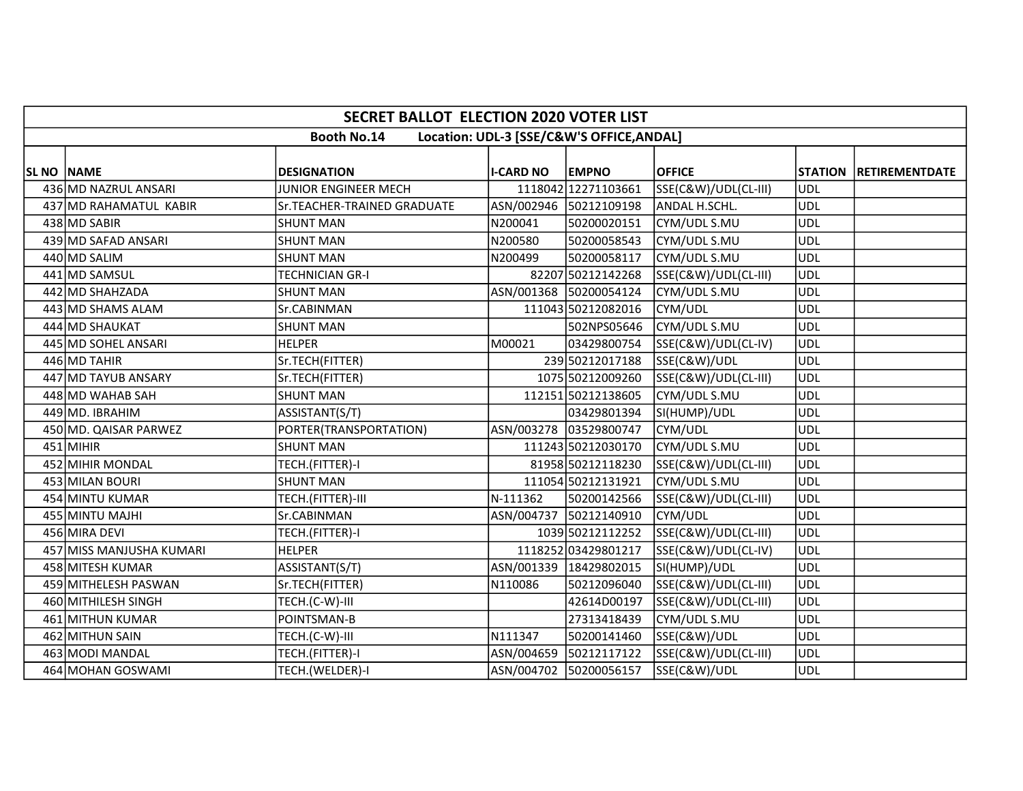|            | SECRET BALLOT ELECTION 2020 VOTER LIST                          |                             |                  |                        |                      |            |                          |  |  |  |  |
|------------|-----------------------------------------------------------------|-----------------------------|------------------|------------------------|----------------------|------------|--------------------------|--|--|--|--|
|            | <b>Booth No.14</b><br>Location: UDL-3 [SSE/C&W'S OFFICE, ANDAL] |                             |                  |                        |                      |            |                          |  |  |  |  |
| SL NO NAME |                                                                 | <b>DESIGNATION</b>          | <b>I-CARD NO</b> | <b>EMPNO</b>           | <b>OFFICE</b>        |            | STATION   RETIREMENTDATE |  |  |  |  |
|            | 436 MD NAZRUL ANSARI                                            | JUNIOR ENGINEER MECH        |                  | 1118042 12271103661    | SSE(C&W)/UDL(CL-III) | ludl       |                          |  |  |  |  |
|            | 437 MD RAHAMATUL KABIR                                          | Sr.TEACHER-TRAINED GRADUATE |                  | ASN/002946 50212109198 | ANDAL H.SCHL.        | UDL        |                          |  |  |  |  |
|            | 438 MD SABIR                                                    | <b>SHUNT MAN</b>            | N200041          | 50200020151            | CYM/UDL S.MU         | UDL        |                          |  |  |  |  |
|            | 439 MD SAFAD ANSARI                                             | <b>SHUNT MAN</b>            | N200580          | 50200058543            | CYM/UDL S.MU         | <b>UDL</b> |                          |  |  |  |  |
|            | 440 MD SALIM                                                    | <b>SHUNT MAN</b>            | N200499          | 50200058117            | CYM/UDL S.MU         | <b>UDL</b> |                          |  |  |  |  |
|            | 441 MD SAMSUL                                                   | TECHNICIAN GR-I             |                  | 82207 50212142268      | SSE(C&W)/UDL(CL-III) | UDL        |                          |  |  |  |  |
|            | 442 MD SHAHZADA                                                 | <b>SHUNT MAN</b>            |                  | ASN/001368 50200054124 | CYM/UDL S.MU         | <b>UDL</b> |                          |  |  |  |  |
|            | 443 MD SHAMS ALAM                                               | Sr.CABINMAN                 |                  | 111043 50212082016     | CYM/UDL              | <b>UDL</b> |                          |  |  |  |  |
|            | 444 MD SHAUKAT                                                  | <b>SHUNT MAN</b>            |                  | 502NPS05646            | CYM/UDL S.MU         | <b>UDL</b> |                          |  |  |  |  |
|            | 445 MD SOHEL ANSARI                                             | <b>HELPER</b>               | M00021           | 03429800754            | SSE(C&W)/UDL(CL-IV)  | <b>UDL</b> |                          |  |  |  |  |
|            | 446 MD TAHIR                                                    | Sr.TECH(FITTER)             |                  | 23950212017188         | SSE(C&W)/UDL         | <b>UDL</b> |                          |  |  |  |  |
|            | 447 MD TAYUB ANSARY                                             | Sr.TECH(FITTER)             |                  | 1075 50212009260       | SSE(C&W)/UDL(CL-III) | <b>UDL</b> |                          |  |  |  |  |
|            | 448 MD WAHAB SAH                                                | <b>SHUNT MAN</b>            |                  | 112151 50212138605     | CYM/UDL S.MU         | <b>UDL</b> |                          |  |  |  |  |
|            | 449 MD. IBRAHIM                                                 | ASSISTANT(S/T)              |                  | 03429801394            | SI(HUMP)/UDL         | <b>UDL</b> |                          |  |  |  |  |
|            | 450 MD. QAISAR PARWEZ                                           | PORTER(TRANSPORTATION)      |                  | ASN/003278 03529800747 | CYM/UDL              | <b>UDL</b> |                          |  |  |  |  |
|            | $451$ MIHIR                                                     | <b>SHUNT MAN</b>            |                  | 111243 50212030170     | CYM/UDL S.MU         | <b>UDL</b> |                          |  |  |  |  |
|            | 452 MIHIR MONDAL                                                | TECH.(FITTER)-I             |                  | 81958 50212118230      | SSE(C&W)/UDL(CL-III) | UDL        |                          |  |  |  |  |
|            | 453 MILAN BOURI                                                 | <b>SHUNT MAN</b>            |                  | 111054 50212131921     | CYM/UDL S.MU         | <b>UDL</b> |                          |  |  |  |  |
|            | 454 MINTU KUMAR                                                 | TECH.(FITTER)-III           | N-111362         | 50200142566            | SSE(C&W)/UDL(CL-III) | <b>UDL</b> |                          |  |  |  |  |
|            | 455 MINTU MAJHI                                                 | Sr.CABINMAN                 |                  | ASN/004737 50212140910 | CYM/UDL              | UDL        |                          |  |  |  |  |
|            | 456 MIRA DEVI                                                   | TECH.(FITTER)-I             |                  | 1039 50212112252       | SSE(C&W)/UDL(CL-III) | UDL        |                          |  |  |  |  |
|            | 457 MISS MANJUSHA KUMARI                                        | <b>HELPER</b>               |                  | 1118252 03429801217    | SSE(C&W)/UDL(CL-IV)  | <b>UDL</b> |                          |  |  |  |  |
|            | 458 MITESH KUMAR                                                | ASSISTANT(S/T)              |                  | ASN/001339 18429802015 | SI(HUMP)/UDL         | UDL        |                          |  |  |  |  |
|            | 459 MITHELESH PASWAN                                            | Sr.TECH(FITTER)             | N110086          | 50212096040            | SSE(C&W)/UDL(CL-III) | <b>UDL</b> |                          |  |  |  |  |
|            | 460 MITHILESH SINGH                                             | TECH.(C-W)-III              |                  | 42614D00197            | SSE(C&W)/UDL(CL-III) | UDL        |                          |  |  |  |  |
|            | 461 MITHUN KUMAR                                                | POINTSMAN-B                 |                  | 27313418439            | CYM/UDL S.MU         | <b>UDL</b> |                          |  |  |  |  |
|            | 462 MITHUN SAIN                                                 | TECH.(C-W)-III              | N111347          | 50200141460            | SSE(C&W)/UDL         | <b>UDL</b> |                          |  |  |  |  |
|            | 463 MODI MANDAL                                                 | TECH.(FITTER)-I             |                  | ASN/004659 50212117122 | SSE(C&W)/UDL(CL-III) | <b>UDL</b> |                          |  |  |  |  |
|            | 464 MOHAN GOSWAMI                                               | TECH.(WELDER)-I             |                  | ASN/004702 50200056157 | SSE(C&W)/UDL         | <b>UDL</b> |                          |  |  |  |  |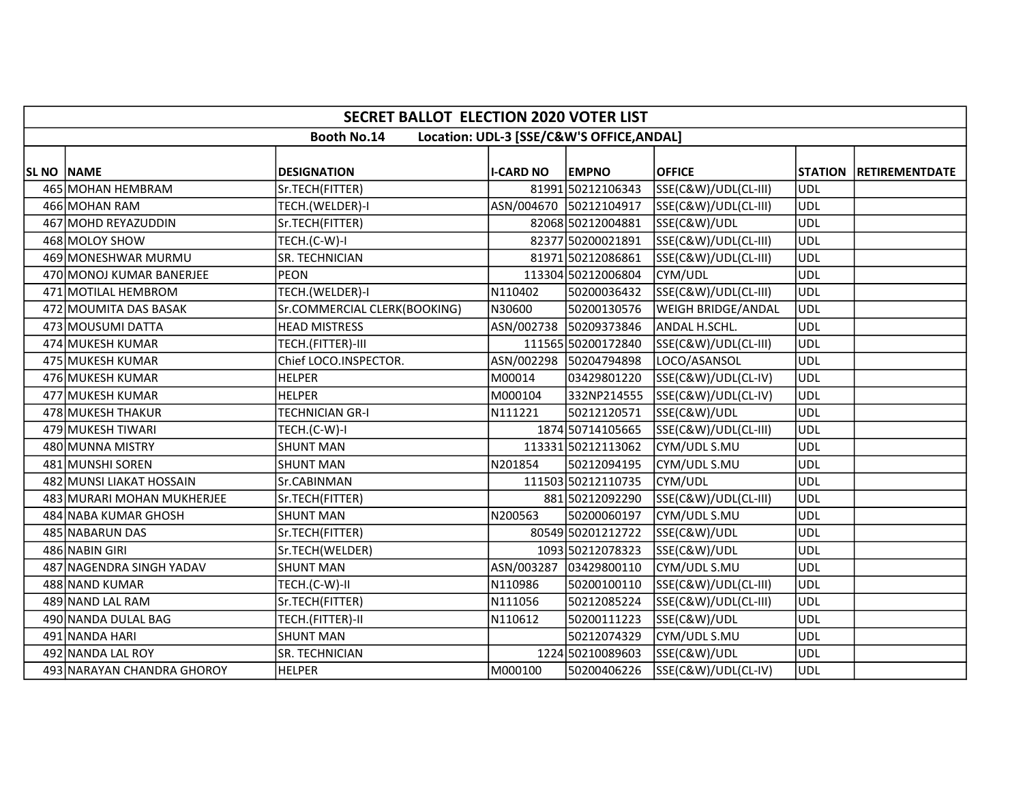|                   | <b>SECRET BALLOT ELECTION 2020 VOTER LIST</b>                   |                              |                  |                        |                      |            |                          |  |  |  |  |
|-------------------|-----------------------------------------------------------------|------------------------------|------------------|------------------------|----------------------|------------|--------------------------|--|--|--|--|
|                   | <b>Booth No.14</b><br>Location: UDL-3 [SSE/C&W'S OFFICE, ANDAL] |                              |                  |                        |                      |            |                          |  |  |  |  |
| <b>SL NO NAME</b> |                                                                 | <b>DESIGNATION</b>           | <b>I-CARD NO</b> | <b>EMPNO</b>           | <b>OFFICE</b>        |            | STATION   RETIREMENTDATE |  |  |  |  |
|                   | 465 MOHAN HEMBRAM                                               | Sr.TECH(FITTER)              |                  | 81991 50212106343      | SSE(C&W)/UDL(CL-III) | <b>UDL</b> |                          |  |  |  |  |
|                   | 466 MOHAN RAM                                                   | TECH.(WELDER)-I              |                  | ASN/004670 50212104917 | SSE(C&W)/UDL(CL-III) | <b>UDL</b> |                          |  |  |  |  |
|                   | 467 MOHD REYAZUDDIN                                             | Sr.TECH(FITTER)              |                  | 82068 50212004881      | SSE(C&W)/UDL         | <b>UDL</b> |                          |  |  |  |  |
|                   | 468 MOLOY SHOW                                                  | TECH.(C-W)-I                 |                  | 82377 50200021891      | SSE(C&W)/UDL(CL-III) | <b>UDL</b> |                          |  |  |  |  |
|                   | 469 MONESHWAR MURMU                                             | <b>SR. TECHNICIAN</b>        |                  | 81971 50212086861      | SSE(C&W)/UDL(CL-III) | <b>UDL</b> |                          |  |  |  |  |
|                   | 470 MONOJ KUMAR BANERJEE                                        | <b>PEON</b>                  |                  | 113304 50212006804     | CYM/UDL              | <b>UDL</b> |                          |  |  |  |  |
|                   | 471 MOTILAL HEMBROM                                             | TECH.(WELDER)-I              | N110402          | 50200036432            | SSE(C&W)/UDL(CL-III) | <b>UDL</b> |                          |  |  |  |  |
|                   | 472 MOUMITA DAS BASAK                                           | Sr.COMMERCIAL CLERK(BOOKING) | N30600           | 50200130576            | WEIGH BRIDGE/ANDAL   | <b>UDL</b> |                          |  |  |  |  |
|                   | 473 MOUSUMI DATTA                                               | <b>HEAD MISTRESS</b>         |                  | ASN/002738 50209373846 | ANDAL H.SCHL.        | <b>UDL</b> |                          |  |  |  |  |
|                   | 474 MUKESH KUMAR                                                | TECH.(FITTER)-III            |                  | 111565 50200172840     | SSE(C&W)/UDL(CL-III) | <b>UDL</b> |                          |  |  |  |  |
|                   | 475 MUKESH KUMAR                                                | Chief LOCO.INSPECTOR.        |                  | ASN/002298 50204794898 | LOCO/ASANSOL         | <b>UDL</b> |                          |  |  |  |  |
|                   | 476 MUKESH KUMAR                                                | <b>HELPER</b>                | M00014           | 03429801220            | SSE(C&W)/UDL(CL-IV)  | <b>UDL</b> |                          |  |  |  |  |
|                   | 477 MUKESH KUMAR                                                | <b>HELPER</b>                | M000104          | 332NP214555            | SSE(C&W)/UDL(CL-IV)  | <b>UDL</b> |                          |  |  |  |  |
|                   | 478 MUKESH THAKUR                                               | <b>TECHNICIAN GR-I</b>       | N111221          | 50212120571            | SSE(C&W)/UDL         | <b>UDL</b> |                          |  |  |  |  |
|                   | 479 MUKESH TIWARI                                               | TECH.(C-W)-I                 |                  | 1874 50714105665       | SSE(C&W)/UDL(CL-III) | <b>UDL</b> |                          |  |  |  |  |
|                   | 480 MUNNA MISTRY                                                | <b>SHUNT MAN</b>             |                  | 113331 50212113062     | CYM/UDL S.MU         | <b>UDL</b> |                          |  |  |  |  |
|                   | 481 MUNSHI SOREN                                                | <b>SHUNT MAN</b>             | N201854          | 50212094195            | CYM/UDL S.MU         | <b>UDL</b> |                          |  |  |  |  |
|                   | 482 MUNSI LIAKAT HOSSAIN                                        | Sr.CABINMAN                  |                  | 111503 50212110735     | CYM/UDL              | <b>UDL</b> |                          |  |  |  |  |
|                   | 483 MURARI MOHAN MUKHERJEE                                      | Sr.TECH(FITTER)              |                  | 881 50212092290        | SSE(C&W)/UDL(CL-III) | <b>UDL</b> |                          |  |  |  |  |
|                   | 484 NABA KUMAR GHOSH                                            | <b>SHUNT MAN</b>             | N200563          | 50200060197            | CYM/UDL S.MU         | <b>UDL</b> |                          |  |  |  |  |
|                   | 485 NABARUN DAS                                                 | Sr.TECH(FITTER)              |                  | 80549 50201212722      | SSE(C&W)/UDL         | <b>UDL</b> |                          |  |  |  |  |
|                   | 486 NABIN GIRI                                                  | Sr.TECH(WELDER)              |                  | 1093 50212078323       | SSE(C&W)/UDL         | <b>UDL</b> |                          |  |  |  |  |
|                   | 487 NAGENDRA SINGH YADAV                                        | <b>SHUNT MAN</b>             | ASN/003287       | 03429800110            | CYM/UDL S.MU         | <b>UDL</b> |                          |  |  |  |  |
|                   | 488 NAND KUMAR                                                  | TECH.(C-W)-II                | N110986          | 50200100110            | SSE(C&W)/UDL(CL-III) | <b>UDL</b> |                          |  |  |  |  |
|                   | 489 NAND LAL RAM                                                | Sr.TECH(FITTER)              | N111056          | 50212085224            | SSE(C&W)/UDL(CL-III) | <b>UDL</b> |                          |  |  |  |  |
|                   | 490 NANDA DULAL BAG                                             | TECH.(FITTER)-II             | N110612          | 50200111223            | SSE(C&W)/UDL         | <b>UDL</b> |                          |  |  |  |  |
|                   | 491 NANDA HARI                                                  | <b>SHUNT MAN</b>             |                  | 50212074329            | CYM/UDL S.MU         | <b>UDL</b> |                          |  |  |  |  |
|                   | 492 NANDA LAL ROY                                               | SR. TECHNICIAN               |                  | 1224 50210089603       | SSE(C&W)/UDL         | <b>UDL</b> |                          |  |  |  |  |
|                   | 493 NARAYAN CHANDRA GHOROY                                      | <b>HELPER</b>                | M000100          | 50200406226            | SSE(C&W)/UDL(CL-IV)  | <b>UDL</b> |                          |  |  |  |  |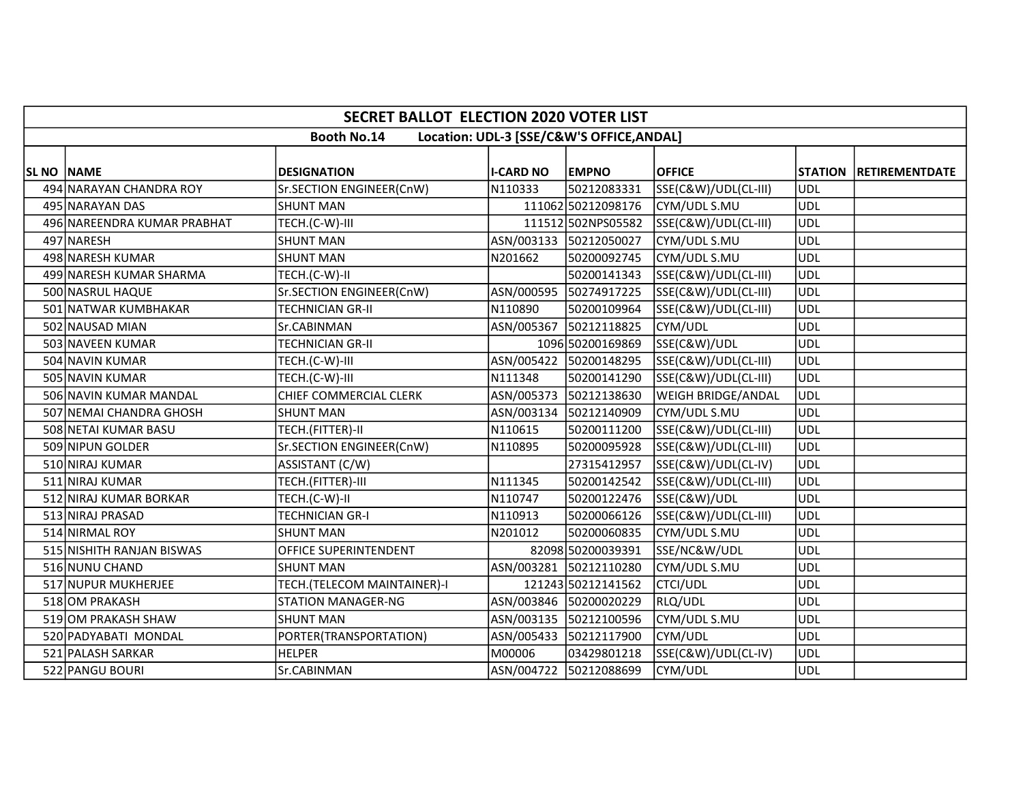|                   | <b>SECRET BALLOT ELECTION 2020 VOTER LIST</b>                   |                               |                  |                        |                      |            |                        |  |  |  |  |
|-------------------|-----------------------------------------------------------------|-------------------------------|------------------|------------------------|----------------------|------------|------------------------|--|--|--|--|
|                   | <b>Booth No.14</b><br>Location: UDL-3 [SSE/C&W'S OFFICE, ANDAL] |                               |                  |                        |                      |            |                        |  |  |  |  |
|                   |                                                                 |                               |                  |                        |                      |            |                        |  |  |  |  |
| <b>SL NO NAME</b> |                                                                 | <b>DESIGNATION</b>            | <b>I-CARD NO</b> | <b>EMPNO</b>           | <b>OFFICE</b>        |            | STATION RETIREMENTDATE |  |  |  |  |
|                   | 494 NARAYAN CHANDRA ROY                                         | Sr.SECTION ENGINEER(CnW)      | N110333          | 50212083331            | SSE(C&W)/UDL(CL-III) | UDL        |                        |  |  |  |  |
|                   | 495 NARAYAN DAS                                                 | <b>SHUNT MAN</b>              |                  | 111062 50212098176     | CYM/UDL S.MU         | <b>UDL</b> |                        |  |  |  |  |
|                   | 496 NAREENDRA KUMAR PRABHAT                                     | TECH.(C-W)-III                |                  | 111512 502NPS05582     | SSE(C&W)/UDL(CL-III) | UDL        |                        |  |  |  |  |
|                   | 497 NARESH                                                      | <b>SHUNT MAN</b>              |                  | ASN/003133 50212050027 | CYM/UDL S.MU         | <b>UDL</b> |                        |  |  |  |  |
|                   | 498 NARESH KUMAR                                                | <b>SHUNT MAN</b>              | N201662          | 50200092745            | CYM/UDL S.MU         | <b>UDL</b> |                        |  |  |  |  |
|                   | 499 NARESH KUMAR SHARMA                                         | TECH.(C-W)-II                 |                  | 50200141343            | SSE(C&W)/UDL(CL-III) | UDL        |                        |  |  |  |  |
|                   | 500 NASRUL HAQUE                                                | Sr.SECTION ENGINEER(CnW)      |                  | ASN/000595 50274917225 | SSE(C&W)/UDL(CL-III) | UDL        |                        |  |  |  |  |
|                   | 501 NATWAR KUMBHAKAR                                            | <b>TECHNICIAN GR-II</b>       | N110890          | 50200109964            | SSE(C&W)/UDL(CL-III) | UDL        |                        |  |  |  |  |
|                   | 502 NAUSAD MIAN                                                 | Sr.CABINMAN                   |                  | ASN/005367 50212118825 | CYM/UDL              | <b>UDL</b> |                        |  |  |  |  |
|                   | 503 NAVEEN KUMAR                                                | TECHNICIAN GR-II              |                  | 1096 50200169869       | SSE(C&W)/UDL         | <b>UDL</b> |                        |  |  |  |  |
|                   | 504 NAVIN KUMAR                                                 | TECH.(C-W)-III                |                  | ASN/005422 50200148295 | SSE(C&W)/UDL(CL-III) | UDL        |                        |  |  |  |  |
|                   | 505 NAVIN KUMAR                                                 | TECH.(C-W)-III                | N111348          | 50200141290            | SSE(C&W)/UDL(CL-III) | <b>UDL</b> |                        |  |  |  |  |
|                   | 506 NAVIN KUMAR MANDAL                                          | <b>CHIEF COMMERCIAL CLERK</b> | ASN/005373       | 50212138630            | WEIGH BRIDGE/ANDAL   | UDL        |                        |  |  |  |  |
|                   | 507 NEMAI CHANDRA GHOSH                                         | <b>SHUNT MAN</b>              |                  | ASN/003134 50212140909 | CYM/UDL S.MU         | <b>UDL</b> |                        |  |  |  |  |
|                   | 508 NETAI KUMAR BASU                                            | TECH.(FITTER)-II              | N110615          | 50200111200            | SSE(C&W)/UDL(CL-III) | UDL        |                        |  |  |  |  |
|                   | 509 NIPUN GOLDER                                                | Sr.SECTION ENGINEER(CnW)      | N110895          | 50200095928            | SSE(C&W)/UDL(CL-III) | UDL        |                        |  |  |  |  |
|                   | 510 NIRAJ KUMAR                                                 | ASSISTANT (C/W)               |                  | 27315412957            | SSE(C&W)/UDL(CL-IV)  | UDL        |                        |  |  |  |  |
|                   | 511 NIRAJ KUMAR                                                 | TECH.(FITTER)-III             | N111345          | 50200142542            | SSE(C&W)/UDL(CL-III) | ludl       |                        |  |  |  |  |
|                   | 512 NIRAJ KUMAR BORKAR                                          | TECH.(C-W)-II                 | N110747          | 50200122476            | SSE(C&W)/UDL         | <b>UDL</b> |                        |  |  |  |  |
|                   | 513 NIRAJ PRASAD                                                | <b>TECHNICIAN GR-I</b>        | N110913          | 50200066126            | SSE(C&W)/UDL(CL-III) | UDL        |                        |  |  |  |  |
|                   | 514 NIRMAL ROY                                                  | <b>SHUNT MAN</b>              | N201012          | 50200060835            | CYM/UDL S.MU         | UDL        |                        |  |  |  |  |
|                   | 515 NISHITH RANJAN BISWAS                                       | OFFICE SUPERINTENDENT         |                  | 82098 50200039391      | SSE/NC&W/UDL         | <b>UDL</b> |                        |  |  |  |  |
|                   | 516 NUNU CHAND                                                  | <b>SHUNT MAN</b>              | ASN/003281       | 50212110280            | CYM/UDL S.MU         | <b>UDL</b> |                        |  |  |  |  |
|                   | 517 NUPUR MUKHERJEE                                             | TECH.(TELECOM MAINTAINER)-I   |                  | 121243 50212141562     | <b>CTCI/UDL</b>      | <b>UDL</b> |                        |  |  |  |  |
|                   | 518 OM PRAKASH                                                  | <b>STATION MANAGER-NG</b>     |                  | ASN/003846 50200020229 | RLQ/UDL              | <b>UDL</b> |                        |  |  |  |  |
|                   | 519 OM PRAKASH SHAW                                             | <b>SHUNT MAN</b>              |                  | ASN/003135 50212100596 | CYM/UDL S.MU         | <b>UDL</b> |                        |  |  |  |  |
|                   | 520 PADYABATI MONDAL                                            | PORTER(TRANSPORTATION)        |                  | ASN/005433 50212117900 | CYM/UDL              | <b>UDL</b> |                        |  |  |  |  |
|                   | 521 PALASH SARKAR                                               | HELPER                        | M00006           | 03429801218            | SSE(C&W)/UDL(CL-IV)  | <b>UDL</b> |                        |  |  |  |  |
|                   | 522 PANGU BOURI                                                 | Sr.CABINMAN                   |                  | ASN/004722 50212088699 | CYM/UDL              | UDL        |                        |  |  |  |  |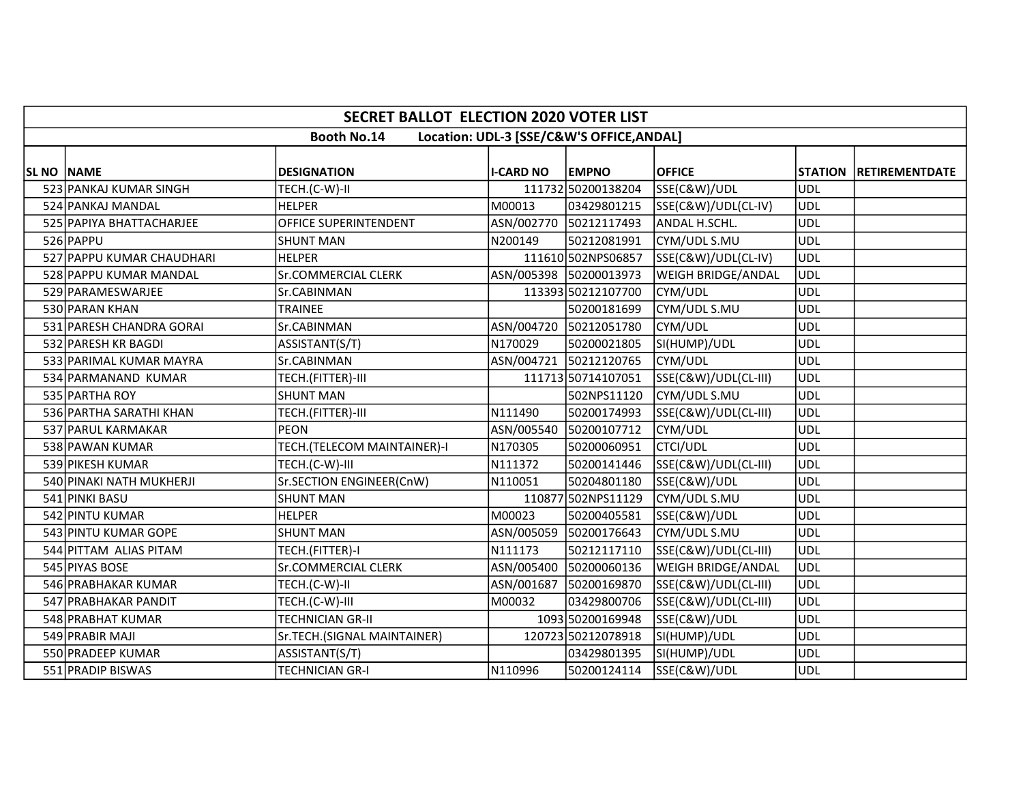|                   | <b>SECRET BALLOT ELECTION 2020 VOTER LIST</b>                   |                             |                  |                        |                           |            |                        |  |  |  |  |
|-------------------|-----------------------------------------------------------------|-----------------------------|------------------|------------------------|---------------------------|------------|------------------------|--|--|--|--|
|                   | <b>Booth No.14</b><br>Location: UDL-3 [SSE/C&W'S OFFICE, ANDAL] |                             |                  |                        |                           |            |                        |  |  |  |  |
| <b>SL NO NAME</b> |                                                                 | <b>DESIGNATION</b>          | <b>I-CARD NO</b> | <b>EMPNO</b>           | <b>OFFICE</b>             |            | STATION RETIREMENTDATE |  |  |  |  |
|                   | 523 PANKAJ KUMAR SINGH                                          | TECH.(C-W)-II               |                  | 111732 50200138204     | SSE(C&W)/UDL              | <b>UDL</b> |                        |  |  |  |  |
|                   | 524 PANKAJ MANDAL                                               | <b>HELPER</b>               | M00013           | 03429801215            | SSE(C&W)/UDL(CL-IV)       | UDL        |                        |  |  |  |  |
|                   | 525 PAPIYA BHATTACHARJEE                                        | OFFICE SUPERINTENDENT       | ASN/002770       | 50212117493            | ANDAL H.SCHL.             | <b>UDL</b> |                        |  |  |  |  |
|                   | 526 PAPPU                                                       | <b>SHUNT MAN</b>            | N200149          | 50212081991            | CYM/UDL S.MU              | UDL        |                        |  |  |  |  |
|                   | 527 PAPPU KUMAR CHAUDHARI                                       | <b>HELPER</b>               |                  | 111610 502NPS06857     | SSE(C&W)/UDL(CL-IV)       | <b>UDL</b> |                        |  |  |  |  |
|                   | 528 PAPPU KUMAR MANDAL                                          | <b>Sr.COMMERCIAL CLERK</b>  |                  | ASN/005398 50200013973 | <b>WEIGH BRIDGE/ANDAL</b> | UDL        |                        |  |  |  |  |
|                   | 529 PARAMESWARJEE                                               | Sr.CABINMAN                 |                  | 113393 50212107700     | CYM/UDL                   | UDL        |                        |  |  |  |  |
|                   | 530 PARAN KHAN                                                  | <b>TRAINEE</b>              |                  | 50200181699            | CYM/UDL S.MU              | <b>UDL</b> |                        |  |  |  |  |
|                   | 531 PARESH CHANDRA GORAI                                        | Sr.CABINMAN                 |                  | ASN/004720 50212051780 | CYM/UDL                   | <b>UDL</b> |                        |  |  |  |  |
|                   | 532 PARESH KR BAGDI                                             | ASSISTANT(S/T)              | N170029          | 50200021805            | SI(HUMP)/UDL              | UDL        |                        |  |  |  |  |
|                   | 533 PARIMAL KUMAR MAYRA                                         | Sr.CABINMAN                 |                  | ASN/004721 50212120765 | CYM/UDL                   | <b>UDL</b> |                        |  |  |  |  |
|                   | 534 PARMANAND KUMAR                                             | TECH.(FITTER)-III           |                  | 111713 50714107051     | SSE(C&W)/UDL(CL-III)      | <b>UDL</b> |                        |  |  |  |  |
|                   | 535 PARTHA ROY                                                  | <b>SHUNT MAN</b>            |                  | 502NPS11120            | CYM/UDL S.MU              | UDL        |                        |  |  |  |  |
|                   | 536 PARTHA SARATHI KHAN                                         | TECH.(FITTER)-III           | N111490          | 50200174993            | SSE(C&W)/UDL(CL-III)      | <b>UDL</b> |                        |  |  |  |  |
|                   | 537 PARUL KARMAKAR                                              | PEON                        | ASN/005540       | 50200107712            | CYM/UDL                   | UDL        |                        |  |  |  |  |
|                   | 538 PAWAN KUMAR                                                 | TECH.(TELECOM MAINTAINER)-I | N170305          | 50200060951            | <b>CTCI/UDL</b>           | <b>UDL</b> |                        |  |  |  |  |
|                   | 539 PIKESH KUMAR                                                | TECH.(C-W)-III              | N111372          | 50200141446            | SSE(C&W)/UDL(CL-III)      | UDL        |                        |  |  |  |  |
|                   | 540 PINAKI NATH MUKHERJI                                        | Sr.SECTION ENGINEER(CnW)    | N110051          | 50204801180            | SSE(C&W)/UDL              | <b>UDL</b> |                        |  |  |  |  |
|                   | 541 PINKI BASU                                                  | <b>SHUNT MAN</b>            |                  | 110877 502NPS11129     | CYM/UDL S.MU              | <b>UDL</b> |                        |  |  |  |  |
|                   | 542 PINTU KUMAR                                                 | <b>HELPER</b>               | M00023           | 50200405581            | SSE(C&W)/UDL              | UDL        |                        |  |  |  |  |
|                   | 543 PINTU KUMAR GOPE                                            | <b>SHUNT MAN</b>            |                  | ASN/005059 50200176643 | CYM/UDL S.MU              | <b>UDL</b> |                        |  |  |  |  |
|                   | 544 PITTAM ALIAS PITAM                                          | TECH.(FITTER)-I             | N111173          | 50212117110            | SSE(C&W)/UDL(CL-III)      | <b>UDL</b> |                        |  |  |  |  |
|                   | 545 PIYAS BOSE                                                  | <b>Sr.COMMERCIAL CLERK</b>  | ASN/005400       | 50200060136            | WEIGH BRIDGE/ANDAL        | UDL        |                        |  |  |  |  |
|                   | 546 PRABHAKAR KUMAR                                             | TECH.(C-W)-II               | ASN/001687       | 50200169870            | SSE(C&W)/UDL(CL-III)      | UDL        |                        |  |  |  |  |
|                   | 547 PRABHAKAR PANDIT                                            | TECH.(C-W)-III              | M00032           | 03429800706            | SSE(C&W)/UDL(CL-III)      | UDL        |                        |  |  |  |  |
|                   | 548 PRABHAT KUMAR                                               | <b>TECHNICIAN GR-II</b>     |                  | 1093 50200169948       | SSE(C&W)/UDL              | <b>UDL</b> |                        |  |  |  |  |
|                   | 549 PRABIR MAJI                                                 | Sr.TECH.(SIGNAL MAINTAINER) |                  | 120723 50212078918     | SI(HUMP)/UDL              | <b>UDL</b> |                        |  |  |  |  |
|                   | 550 PRADEEP KUMAR                                               | ASSISTANT(S/T)              |                  | 03429801395            | SI(HUMP)/UDL              | <b>UDL</b> |                        |  |  |  |  |
|                   | 551 PRADIP BISWAS                                               | <b>TECHNICIAN GR-I</b>      | N110996          | 50200124114            | SSE(C&W)/UDL              | <b>UDL</b> |                        |  |  |  |  |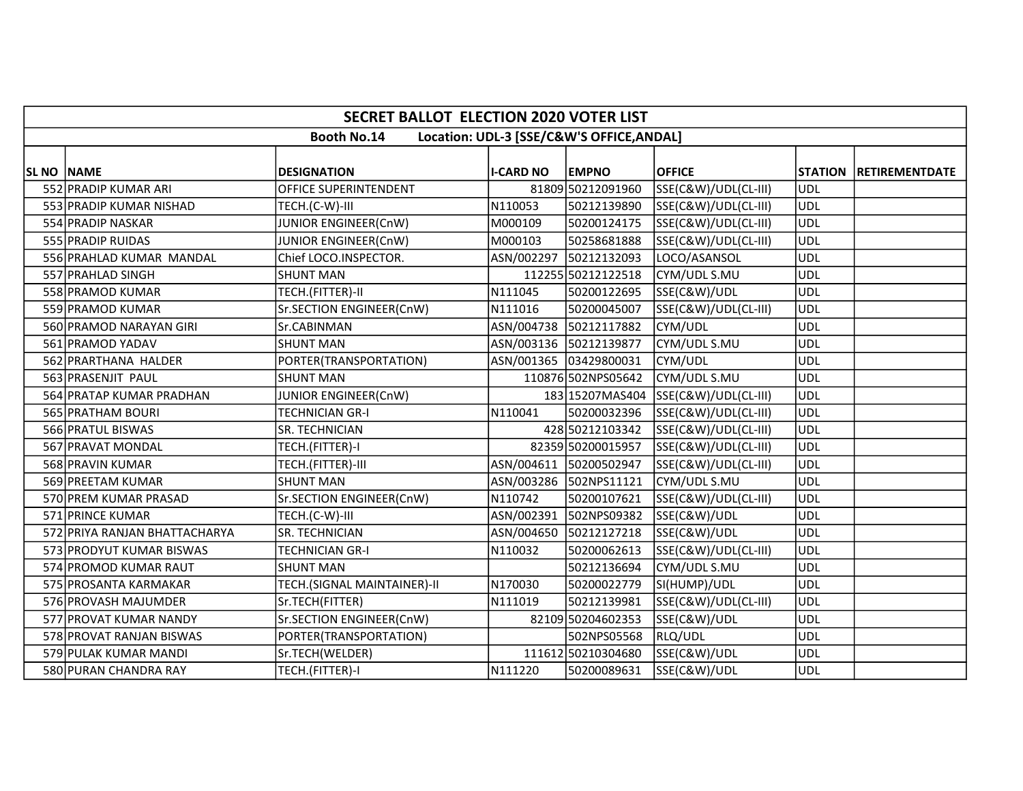|                   | <b>SECRET BALLOT ELECTION 2020 VOTER LIST</b>                   |                             |                  |                        |                                      |            |                        |  |  |  |  |
|-------------------|-----------------------------------------------------------------|-----------------------------|------------------|------------------------|--------------------------------------|------------|------------------------|--|--|--|--|
|                   | <b>Booth No.14</b><br>Location: UDL-3 [SSE/C&W'S OFFICE, ANDAL] |                             |                  |                        |                                      |            |                        |  |  |  |  |
|                   |                                                                 |                             |                  |                        |                                      |            |                        |  |  |  |  |
| <b>SL NO NAME</b> |                                                                 | <b>DESIGNATION</b>          | <b>I-CARD NO</b> | <b>EMPNO</b>           | <b>OFFICE</b>                        |            | STATION RETIREMENTDATE |  |  |  |  |
|                   | 552 PRADIP KUMAR ARI                                            | OFFICE SUPERINTENDENT       |                  | 81809 50212091960      | SSE(C&W)/UDL(CL-III)                 | <b>UDL</b> |                        |  |  |  |  |
|                   | 553 PRADIP KUMAR NISHAD                                         | TECH.(C-W)-III              | N110053          | 50212139890            | SSE(C&W)/UDL(CL-III)                 | <b>UDL</b> |                        |  |  |  |  |
|                   | 554 PRADIP NASKAR                                               | JUNIOR ENGINEER(CnW)        | M000109          | 50200124175            | SSE(C&W)/UDL(CL-III)                 | <b>UDL</b> |                        |  |  |  |  |
|                   | 555 PRADIP RUIDAS                                               | JUNIOR ENGINEER(CnW)        | M000103          | 50258681888            | SSE(C&W)/UDL(CL-III)                 | <b>UDL</b> |                        |  |  |  |  |
|                   | 556 PRAHLAD KUMAR MANDAL                                        | Chief LOCO.INSPECTOR.       | ASN/002297       | 50212132093            | LOCO/ASANSOL                         | <b>UDL</b> |                        |  |  |  |  |
|                   | 557 PRAHLAD SINGH                                               | <b>SHUNT MAN</b>            |                  | 112255 50212122518     | CYM/UDL S.MU                         | <b>UDL</b> |                        |  |  |  |  |
|                   | 558 PRAMOD KUMAR                                                | TECH.(FITTER)-II            | N111045          | 50200122695            | SSE(C&W)/UDL                         | <b>UDL</b> |                        |  |  |  |  |
|                   | 559 PRAMOD KUMAR                                                | Sr.SECTION ENGINEER(CnW)    | N111016          | 50200045007            | SSE(C&W)/UDL(CL-III)                 | <b>UDL</b> |                        |  |  |  |  |
|                   | 560 PRAMOD NARAYAN GIRI                                         | Sr.CABINMAN                 | ASN/004738       | 50212117882            | CYM/UDL                              | <b>UDL</b> |                        |  |  |  |  |
|                   | 561 PRAMOD YADAV                                                | <b>SHUNT MAN</b>            |                  | ASN/003136 50212139877 | CYM/UDL S.MU                         | <b>UDL</b> |                        |  |  |  |  |
|                   | 562 PRARTHANA HALDER                                            | PORTER(TRANSPORTATION)      |                  | ASN/001365 03429800031 | CYM/UDL                              | <b>UDL</b> |                        |  |  |  |  |
|                   | 563 PRASENJIT PAUL                                              | <b>SHUNT MAN</b>            |                  | 110876 502NPS05642     | CYM/UDL S.MU                         | <b>UDL</b> |                        |  |  |  |  |
|                   | 564 PRATAP KUMAR PRADHAN                                        | JUNIOR ENGINEER(CnW)        |                  |                        | 183 15207MAS404 SSE(C&W)/UDL(CL-III) | <b>UDL</b> |                        |  |  |  |  |
|                   | 565 PRATHAM BOURI                                               | <b>TECHNICIAN GR-I</b>      | N110041          | 50200032396            | SSE(C&W)/UDL(CL-III)                 | <b>UDL</b> |                        |  |  |  |  |
|                   | 566 PRATUL BISWAS                                               | SR. TECHNICIAN              |                  | 428 50212103342        | SSE(C&W)/UDL(CL-III)                 | <b>UDL</b> |                        |  |  |  |  |
|                   | 567 PRAVAT MONDAL                                               | TECH.(FITTER)-I             |                  | 82359 50200015957      | SSE(C&W)/UDL(CL-III)                 | <b>UDL</b> |                        |  |  |  |  |
|                   | 568 PRAVIN KUMAR                                                | TECH.(FITTER)-III           |                  | ASN/004611 50200502947 | SSE(C&W)/UDL(CL-III)                 | <b>UDL</b> |                        |  |  |  |  |
|                   | 569 PREETAM KUMAR                                               | <b>SHUNT MAN</b>            |                  | ASN/003286 502NPS11121 | CYM/UDL S.MU                         | <b>UDL</b> |                        |  |  |  |  |
|                   | 570 PREM KUMAR PRASAD                                           | Sr.SECTION ENGINEER(CnW)    | N110742          | 50200107621            | SSE(C&W)/UDL(CL-III)                 | <b>UDL</b> |                        |  |  |  |  |
|                   | 571 PRINCE KUMAR                                                | TECH.(C-W)-III              | ASN/002391       | 502NPS09382            | SSE(C&W)/UDL                         | <b>UDL</b> |                        |  |  |  |  |
|                   | 572 PRIYA RANJAN BHATTACHARYA                                   | SR. TECHNICIAN              | ASN/004650       | 50212127218            | SSE(C&W)/UDL                         | <b>UDL</b> |                        |  |  |  |  |
|                   | 573 PRODYUT KUMAR BISWAS                                        | <b>TECHNICIAN GR-I</b>      | N110032          | 50200062613            | SSE(C&W)/UDL(CL-III)                 | <b>UDL</b> |                        |  |  |  |  |
|                   | 574 PROMOD KUMAR RAUT                                           | <b>SHUNT MAN</b>            |                  | 50212136694            | CYM/UDL S.MU                         | <b>UDL</b> |                        |  |  |  |  |
|                   | 575 PROSANTA KARMAKAR                                           | TECH.(SIGNAL MAINTAINER)-II | N170030          | 50200022779            | SI(HUMP)/UDL                         | <b>UDL</b> |                        |  |  |  |  |
|                   | 576 PROVASH MAJUMDER                                            | Sr.TECH(FITTER)             | N111019          | 50212139981            | SSE(C&W)/UDL(CL-III)                 | <b>UDL</b> |                        |  |  |  |  |
|                   | 577 PROVAT KUMAR NANDY                                          | Sr.SECTION ENGINEER(CnW)    |                  | 82109 50204602353      | SSE(C&W)/UDL                         | <b>UDL</b> |                        |  |  |  |  |
|                   | 578 PROVAT RANJAN BISWAS                                        | PORTER(TRANSPORTATION)      |                  | 502NPS05568            | RLQ/UDL                              | <b>UDL</b> |                        |  |  |  |  |
|                   | 579 PULAK KUMAR MANDI                                           | Sr.TECH(WELDER)             |                  | 111612 50210304680     | SSE(C&W)/UDL                         | <b>UDL</b> |                        |  |  |  |  |
|                   | 580 PURAN CHANDRA RAY                                           | TECH.(FITTER)-I             | N111220          | 50200089631            | SSE(C&W)/UDL                         | <b>UDL</b> |                        |  |  |  |  |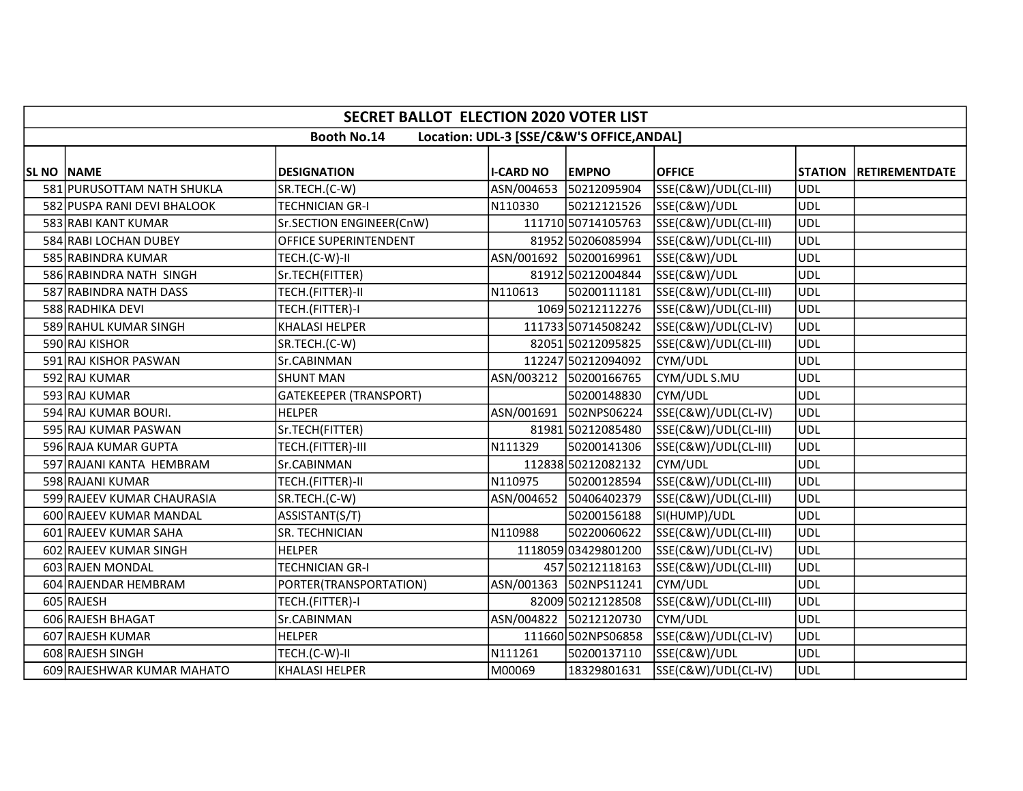|                   | <b>SECRET BALLOT ELECTION 2020 VOTER LIST</b>                   |                               |                  |                        |                      |                |                       |  |  |  |  |
|-------------------|-----------------------------------------------------------------|-------------------------------|------------------|------------------------|----------------------|----------------|-----------------------|--|--|--|--|
|                   | <b>Booth No.14</b><br>Location: UDL-3 [SSE/C&W'S OFFICE, ANDAL] |                               |                  |                        |                      |                |                       |  |  |  |  |
|                   |                                                                 |                               |                  |                        |                      |                |                       |  |  |  |  |
| <b>SL NO NAME</b> |                                                                 | <b>DESIGNATION</b>            | <b>I-CARD NO</b> | <b>EMPNO</b>           | <b>OFFICE</b>        | <b>STATION</b> | <b>RETIREMENTDATE</b> |  |  |  |  |
|                   | 581 PURUSOTTAM NATH SHUKLA                                      | SR.TECH.(C-W)                 |                  | ASN/004653 50212095904 | SSE(C&W)/UDL(CL-III) | UDL            |                       |  |  |  |  |
|                   | 582 PUSPA RANI DEVI BHALOOK                                     | <b>TECHNICIAN GR-I</b>        | N110330          | 50212121526            | SSE(C&W)/UDL         | UDL            |                       |  |  |  |  |
|                   | 583 RABI KANT KUMAR                                             | Sr.SECTION ENGINEER(CnW)      |                  | 111710 50714105763     | SSE(C&W)/UDL(CL-III) | UDL            |                       |  |  |  |  |
|                   | 584 RABI LOCHAN DUBEY                                           | <b>OFFICE SUPERINTENDENT</b>  |                  | 81952 50206085994      | SSE(C&W)/UDL(CL-III) | UDL            |                       |  |  |  |  |
|                   | 585 RABINDRA KUMAR                                              | TECH.(C-W)-II                 |                  | ASN/001692 50200169961 | SSE(C&W)/UDL         | <b>UDL</b>     |                       |  |  |  |  |
|                   | 586 RABINDRA NATH SINGH                                         | Sr.TECH(FITTER)               |                  | 81912 50212004844      | SSE(C&W)/UDL         | <b>UDL</b>     |                       |  |  |  |  |
|                   | 587 RABINDRA NATH DASS                                          | TECH.(FITTER)-II              | N110613          | 50200111181            | SSE(C&W)/UDL(CL-III) | UDL            |                       |  |  |  |  |
|                   | 588 RADHIKA DEVI                                                | TECH.(FITTER)-I               |                  | 1069 50212112276       | SSE(C&W)/UDL(CL-III) | UDL            |                       |  |  |  |  |
|                   | 589 RAHUL KUMAR SINGH                                           | <b>KHALASI HELPER</b>         |                  | 111733 50714508242     | SSE(C&W)/UDL(CL-IV)  | <b>UDL</b>     |                       |  |  |  |  |
|                   | 590 RAJ KISHOR                                                  | SR.TECH.(C-W)                 |                  | 82051 50212095825      | SSE(C&W)/UDL(CL-III) | <b>UDL</b>     |                       |  |  |  |  |
|                   | 591 RAJ KISHOR PASWAN                                           | Sr.CABINMAN                   |                  | 112247 50212094092     | CYM/UDL              | <b>UDL</b>     |                       |  |  |  |  |
|                   | 592 RAJ KUMAR                                                   | <b>SHUNT MAN</b>              |                  | ASN/003212 50200166765 | CYM/UDL S.MU         | <b>UDL</b>     |                       |  |  |  |  |
|                   | 593 RAJ KUMAR                                                   | <b>GATEKEEPER (TRANSPORT)</b> |                  | 50200148830            | CYM/UDL              | <b>UDL</b>     |                       |  |  |  |  |
|                   | 594 RAJ KUMAR BOURI.                                            | <b>HELPER</b>                 | ASN/001691       | 502NPS06224            | SSE(C&W)/UDL(CL-IV)  | UDL            |                       |  |  |  |  |
|                   | 595 RAJ KUMAR PASWAN                                            | Sr.TECH(FITTER)               |                  | 81981 50212085480      | SSE(C&W)/UDL(CL-III) | UDL            |                       |  |  |  |  |
|                   | 596 RAJA KUMAR GUPTA                                            | TECH.(FITTER)-III             | N111329          | 50200141306            | SSE(C&W)/UDL(CL-III) | UDL            |                       |  |  |  |  |
|                   | 597 RAJANI KANTA HEMBRAM                                        | Sr.CABINMAN                   |                  | 112838 50212082132     | CYM/UDL              | UDL            |                       |  |  |  |  |
|                   | 598 RAJANI KUMAR                                                | TECH.(FITTER)-II              | N110975          | 50200128594            | SSE(C&W)/UDL(CL-III) | <b>UDL</b>     |                       |  |  |  |  |
|                   | 599 RAJEEV KUMAR CHAURASIA                                      | SR.TECH.(C-W)                 |                  | ASN/004652 50406402379 | SSE(C&W)/UDL(CL-III) | <b>UDL</b>     |                       |  |  |  |  |
|                   | 600 RAJEEV KUMAR MANDAL                                         | ASSISTANT(S/T)                |                  | 50200156188            | SI(HUMP)/UDL         | UDL            |                       |  |  |  |  |
|                   | 601 RAJEEV KUMAR SAHA                                           | SR. TECHNICIAN                | N110988          | 50220060622            | SSE(C&W)/UDL(CL-III) | UDL            |                       |  |  |  |  |
|                   | 602 RAJEEV KUMAR SINGH                                          | <b>HELPER</b>                 |                  | 1118059 03429801200    | SSE(C&W)/UDL(CL-IV)  | <b>UDL</b>     |                       |  |  |  |  |
|                   | 603 RAJEN MONDAL                                                | TECHNICIAN GR-I               |                  | 457 50212118163        | SSE(C&W)/UDL(CL-III) | <b>UDL</b>     |                       |  |  |  |  |
|                   | 604 RAJENDAR HEMBRAM                                            | PORTER(TRANSPORTATION)        |                  | ASN/001363 502NPS11241 | CYM/UDL              | UDL            |                       |  |  |  |  |
|                   | 605 RAJESH                                                      | TECH.(FITTER)-I               |                  | 82009 50212128508      | SSE(C&W)/UDL(CL-III) | UDL            |                       |  |  |  |  |
|                   | 606 RAJESH BHAGAT                                               | Sr.CABINMAN                   |                  | ASN/004822 50212120730 | CYM/UDL              | <b>UDL</b>     |                       |  |  |  |  |
|                   | 607 RAJESH KUMAR                                                | <b>HELPER</b>                 |                  | 111660 502NPS06858     | SSE(C&W)/UDL(CL-IV)  | UDL            |                       |  |  |  |  |
|                   | 608 RAJESH SINGH                                                | TECH.(C-W)-II                 | N111261          | 50200137110            | SSE(C&W)/UDL         | UDL            |                       |  |  |  |  |
|                   | 609 RAJESHWAR KUMAR MAHATO                                      | <b>KHALASI HELPER</b>         | M00069           | 18329801631            | SSE(C&W)/UDL(CL-IV)  | UDL            |                       |  |  |  |  |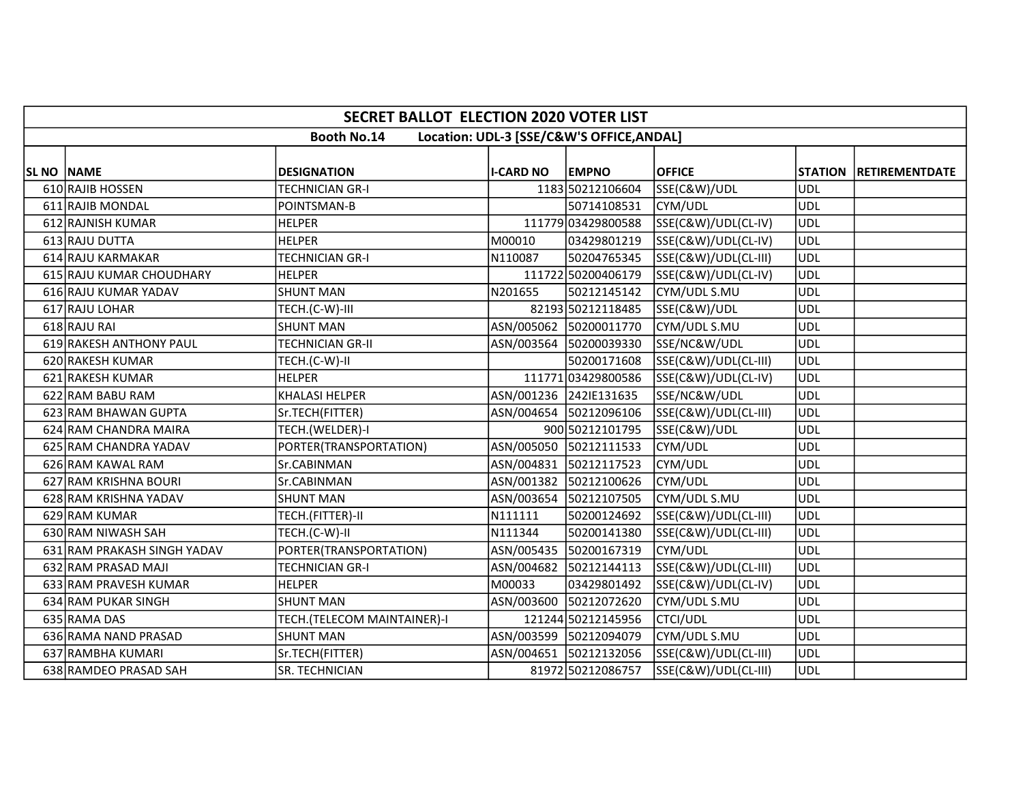| <b>SECRET BALLOT ELECTION 2020 VOTER LIST</b>                                                                   |                             |            |                        |                      |            |  |  |  |  |  |
|-----------------------------------------------------------------------------------------------------------------|-----------------------------|------------|------------------------|----------------------|------------|--|--|--|--|--|
| <b>Booth No.14</b><br>Location: UDL-3 [SSE/C&W'S OFFICE, ANDAL]                                                 |                             |            |                        |                      |            |  |  |  |  |  |
| <b>EMPNO</b><br><b>OFFICE</b><br>SL NO NAME<br><b>DESIGNATION</b><br><b>I-CARD NO</b><br>STATION RETIREMENTDATE |                             |            |                        |                      |            |  |  |  |  |  |
| 610 RAJIB HOSSEN                                                                                                | TECHNICIAN GR-I             |            | 1183 50212106604       | SSE(C&W)/UDL         | UDL        |  |  |  |  |  |
| 611 RAJIB MONDAL                                                                                                | POINTSMAN-B                 |            | 50714108531            | CYM/UDL              | UDL        |  |  |  |  |  |
| 612 RAJNISH KUMAR                                                                                               | <b>HELPER</b>               |            | 111779 03429800588     | SSE(C&W)/UDL(CL-IV)  | UDL        |  |  |  |  |  |
| 613 RAJU DUTTA                                                                                                  | <b>HELPER</b>               | M00010     | 03429801219            | SSE(C&W)/UDL(CL-IV)  | UDL        |  |  |  |  |  |
| 614 RAJU KARMAKAR                                                                                               | <b>TECHNICIAN GR-I</b>      | N110087    | 50204765345            | SSE(C&W)/UDL(CL-III) | UDL        |  |  |  |  |  |
| 615 RAJU KUMAR CHOUDHARY                                                                                        | <b>HELPER</b>               |            | 111722 50200406179     | SSE(C&W)/UDL(CL-IV)  | UDL        |  |  |  |  |  |
| 616 RAJU KUMAR YADAV                                                                                            | <b>SHUNT MAN</b>            | N201655    | 50212145142            | CYM/UDL S.MU         | UDL        |  |  |  |  |  |
| 617 RAJU LOHAR                                                                                                  | TECH.(C-W)-III              |            | 82193 50212118485      | SSE(C&W)/UDL         | <b>UDL</b> |  |  |  |  |  |
| 618 RAJU RAI                                                                                                    | <b>SHUNT MAN</b>            |            | ASN/005062 50200011770 | CYM/UDL S.MU         | <b>UDL</b> |  |  |  |  |  |
| 619 RAKESH ANTHONY PAUL                                                                                         | TECHNICIAN GR-II            |            | ASN/003564 50200039330 | SSE/NC&W/UDL         | UDL        |  |  |  |  |  |
| 620 RAKESH KUMAR                                                                                                | TECH.(C-W)-II               |            | 50200171608            | SSE(C&W)/UDL(CL-III) | <b>UDL</b> |  |  |  |  |  |
| 621 RAKESH KUMAR                                                                                                | <b>HELPER</b>               |            | 111771 03429800586     | SSE(C&W)/UDL(CL-IV)  | UDL        |  |  |  |  |  |
| 622 RAM BABU RAM                                                                                                | <b>KHALASI HELPER</b>       |            | ASN/001236 242IE131635 | SSE/NC&W/UDL         | <b>UDL</b> |  |  |  |  |  |
| 623 RAM BHAWAN GUPTA                                                                                            | Sr.TECH(FITTER)             |            | ASN/004654 50212096106 | SSE(C&W)/UDL(CL-III) | <b>UDL</b> |  |  |  |  |  |
| 624 RAM CHANDRA MAIRA                                                                                           | TECH.(WELDER)-I             |            | 900 50212101795        | SSE(C&W)/UDL         | <b>UDL</b> |  |  |  |  |  |
| 625 RAM CHANDRA YADAV                                                                                           | PORTER(TRANSPORTATION)      |            | ASN/005050 50212111533 | CYM/UDL              | <b>UDL</b> |  |  |  |  |  |
| 626 RAM KAWAL RAM                                                                                               | Sr.CABINMAN                 |            | ASN/004831 50212117523 | CYM/UDL              | <b>UDL</b> |  |  |  |  |  |
| 627 RAM KRISHNA BOURI                                                                                           | Sr.CABINMAN                 |            | ASN/001382 50212100626 | CYM/UDL              | UDL        |  |  |  |  |  |
| 628 RAM KRISHNA YADAV                                                                                           | <b>SHUNT MAN</b>            |            | ASN/003654 50212107505 | CYM/UDL S.MU         | <b>UDL</b> |  |  |  |  |  |
| 629 RAM KUMAR                                                                                                   | TECH.(FITTER)-II            | N111111    | 50200124692            | SSE(C&W)/UDL(CL-III) | <b>UDL</b> |  |  |  |  |  |
| 630 RAM NIWASH SAH                                                                                              | TECH.(C-W)-II               | N111344    | 50200141380            | SSE(C&W)/UDL(CL-III) | UDL        |  |  |  |  |  |
| 631 RAM PRAKASH SINGH YADAV                                                                                     | PORTER(TRANSPORTATION)      | ASN/005435 | 50200167319            | CYM/UDL              | UDL        |  |  |  |  |  |
| 632 RAM PRASAD MAJI                                                                                             | TECHNICIAN GR-I             |            | ASN/004682 50212144113 | SSE(C&W)/UDL(CL-III) | <b>UDL</b> |  |  |  |  |  |
| 633 RAM PRAVESH KUMAR                                                                                           | <b>HELPER</b>               | M00033     | 03429801492            | SSE(C&W)/UDL(CL-IV)  | UDL        |  |  |  |  |  |
| 634 RAM PUKAR SINGH                                                                                             | <b>SHUNT MAN</b>            |            | ASN/003600 50212072620 | CYM/UDL S.MU         | <b>UDL</b> |  |  |  |  |  |
| 635 RAMA DAS                                                                                                    | TECH.(TELECOM MAINTAINER)-I |            | 121244 50212145956     | <b>CTCI/UDL</b>      | <b>UDL</b> |  |  |  |  |  |
| 636 RAMA NAND PRASAD                                                                                            | <b>SHUNT MAN</b>            |            | ASN/003599 50212094079 | CYM/UDL S.MU         | UDL        |  |  |  |  |  |
| 637 RAMBHA KUMARI                                                                                               | Sr.TECH(FITTER)             |            | ASN/004651 50212132056 | SSE(C&W)/UDL(CL-III) | UDL        |  |  |  |  |  |
| 638 RAMDEO PRASAD SAH                                                                                           | <b>SR. TECHNICIAN</b>       |            | 81972 50212086757      | SSE(C&W)/UDL(CL-III) | UDL        |  |  |  |  |  |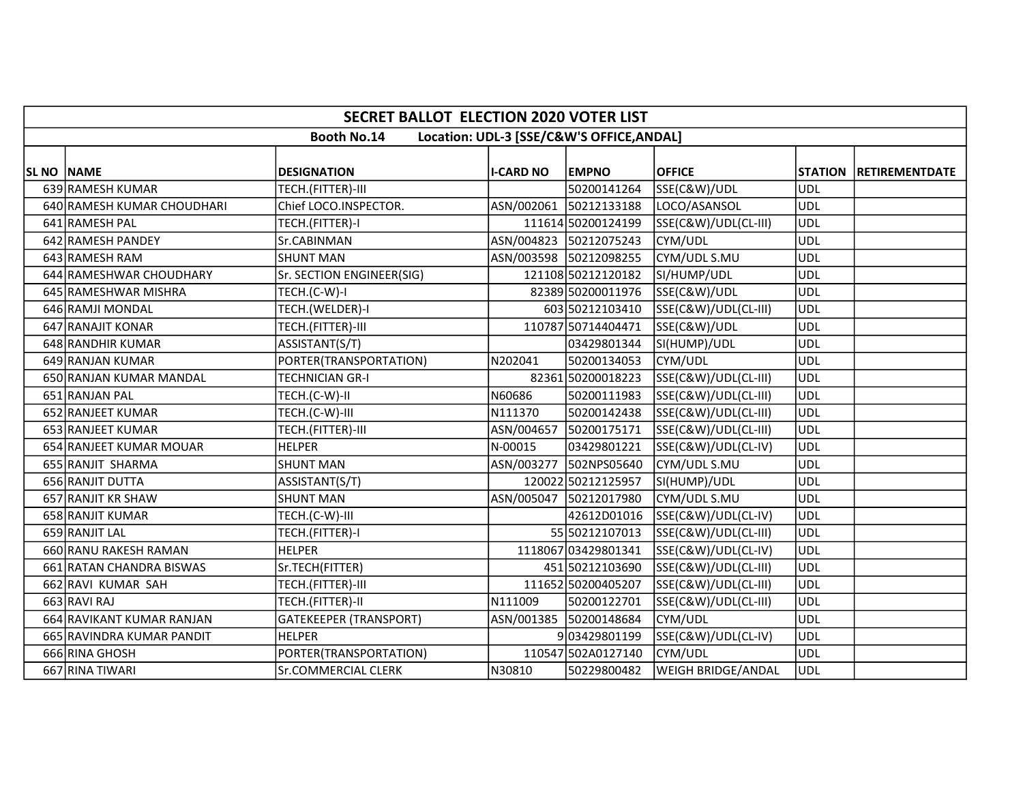|                   | <b>SECRET BALLOT ELECTION 2020 VOTER LIST</b>                   |                               |                  |                        |                      |            |                        |  |  |  |  |
|-------------------|-----------------------------------------------------------------|-------------------------------|------------------|------------------------|----------------------|------------|------------------------|--|--|--|--|
|                   | <b>Booth No.14</b><br>Location: UDL-3 [SSE/C&W'S OFFICE, ANDAL] |                               |                  |                        |                      |            |                        |  |  |  |  |
| <b>SL NO NAME</b> |                                                                 | <b>DESIGNATION</b>            | <b>I-CARD NO</b> | <b>EMPNO</b>           | <b>OFFICE</b>        |            | STATION RETIREMENTDATE |  |  |  |  |
|                   | 639 RAMESH KUMAR                                                | TECH.(FITTER)-III             |                  | 50200141264            | SSE(C&W)/UDL         | UDL        |                        |  |  |  |  |
|                   | 640 RAMESH KUMAR CHOUDHARI                                      | Chief LOCO.INSPECTOR.         |                  | ASN/002061 50212133188 | LOCO/ASANSOL         | UDL        |                        |  |  |  |  |
|                   | 641 RAMESH PAL                                                  | TECH.(FITTER)-I               |                  | 111614 50200124199     | SSE(C&W)/UDL(CL-III) | UDL        |                        |  |  |  |  |
|                   | 642 RAMESH PANDEY                                               | Sr.CABINMAN                   |                  | ASN/004823 50212075243 | CYM/UDL              | UDL        |                        |  |  |  |  |
|                   | 643 RAMESH RAM                                                  | <b>SHUNT MAN</b>              |                  | ASN/003598 50212098255 | CYM/UDL S.MU         | <b>UDL</b> |                        |  |  |  |  |
|                   | 644 RAMESHWAR CHOUDHARY                                         | Sr. SECTION ENGINEER(SIG)     |                  | 121108 50212120182     | SI/HUMP/UDL          | <b>UDL</b> |                        |  |  |  |  |
|                   | 645 RAMESHWAR MISHRA                                            | TECH.(C-W)-I                  |                  | 82389 50200011976      | SSE(C&W)/UDL         | UDL        |                        |  |  |  |  |
|                   | 646 RAMJI MONDAL                                                | TECH.(WELDER)-I               |                  | 603 50212103410        | SSE(C&W)/UDL(CL-III) | UDL        |                        |  |  |  |  |
|                   | 647 RANAJIT KONAR                                               | TECH.(FITTER)-III             |                  | 110787 50714404471     | SSE(C&W)/UDL         | <b>UDL</b> |                        |  |  |  |  |
|                   | 648 RANDHIR KUMAR                                               | ASSISTANT(S/T)                |                  | 03429801344            | SI(HUMP)/UDL         | <b>UDL</b> |                        |  |  |  |  |
|                   | 649 RANJAN KUMAR                                                | PORTER(TRANSPORTATION)        | N202041          | 50200134053            | CYM/UDL              | UDL        |                        |  |  |  |  |
|                   | 650 RANJAN KUMAR MANDAL                                         | <b>TECHNICIAN GR-I</b>        |                  | 82361 50200018223      | SSE(C&W)/UDL(CL-III) | UDL        |                        |  |  |  |  |
|                   | 651 RANJAN PAL                                                  | TECH.(C-W)-II                 | N60686           | 50200111983            | SSE(C&W)/UDL(CL-III) | UDL        |                        |  |  |  |  |
|                   | 652 RANJEET KUMAR                                               | TECH.(C-W)-III                | N111370          | 50200142438            | SSE(C&W)/UDL(CL-III) | <b>UDL</b> |                        |  |  |  |  |
|                   | 653 RANJEET KUMAR                                               | TECH.(FITTER)-III             | ASN/004657       | 50200175171            | SSE(C&W)/UDL(CL-III) | UDL        |                        |  |  |  |  |
|                   | 654 RANJEET KUMAR MOUAR                                         | <b>HELPER</b>                 | N-00015          | 03429801221            | SSE(C&W)/UDL(CL-IV)  | <b>UDL</b> |                        |  |  |  |  |
|                   | 655 RANJIT SHARMA                                               | <b>SHUNT MAN</b>              |                  | ASN/003277 502NPS05640 | CYM/UDL S.MU         | UDL        |                        |  |  |  |  |
|                   | 656 RANJIT DUTTA                                                | ASSISTANT(S/T)                |                  | 120022 50212125957     | SI(HUMP)/UDL         | <b>UDL</b> |                        |  |  |  |  |
|                   | 657 RANJIT KR SHAW                                              | <b>SHUNT MAN</b>              |                  | ASN/005047 50212017980 | CYM/UDL S.MU         | UDL        |                        |  |  |  |  |
|                   | 658 RANJIT KUMAR                                                | TECH.(C-W)-III                |                  | 42612D01016            | SSE(C&W)/UDL(CL-IV)  | ludl       |                        |  |  |  |  |
|                   | 659 RANJIT LAL                                                  | TECH.(FITTER)-I               |                  | 55 50212107013         | SSE(C&W)/UDL(CL-III) | UDL        |                        |  |  |  |  |
|                   | 660 RANU RAKESH RAMAN                                           | <b>HELPER</b>                 |                  | 1118067 03429801341    | SSE(C&W)/UDL(CL-IV)  | <b>UDL</b> |                        |  |  |  |  |
|                   | 661 RATAN CHANDRA BISWAS                                        | Sr.TECH(FITTER)               |                  | 451 50212103690        | SSE(C&W)/UDL(CL-III) | UDL        |                        |  |  |  |  |
|                   | 662 RAVI KUMAR SAH                                              | TECH.(FITTER)-III             |                  | 111652 50200405207     | SSE(C&W)/UDL(CL-III) | <b>UDL</b> |                        |  |  |  |  |
|                   | 663 RAVI RAJ                                                    | TECH.(FITTER)-II              | N111009          | 50200122701            | SSE(C&W)/UDL(CL-III) | UDL        |                        |  |  |  |  |
|                   | 664 RAVIKANT KUMAR RANJAN                                       | <b>GATEKEEPER (TRANSPORT)</b> |                  | ASN/001385 50200148684 | CYM/UDL              | UDL        |                        |  |  |  |  |
|                   | 665 RAVINDRA KUMAR PANDIT                                       | <b>HELPER</b>                 |                  | 903429801199           | SSE(C&W)/UDL(CL-IV)  | UDL        |                        |  |  |  |  |
|                   | 666 RINA GHOSH                                                  | PORTER(TRANSPORTATION)        |                  | 110547 502A0127140     | CYM/UDL              | UDL        |                        |  |  |  |  |
|                   | 667 RINA TIWARI                                                 | <b>Sr.COMMERCIAL CLERK</b>    | N30810           | 50229800482            | WEIGH BRIDGE/ANDAL   | UDL        |                        |  |  |  |  |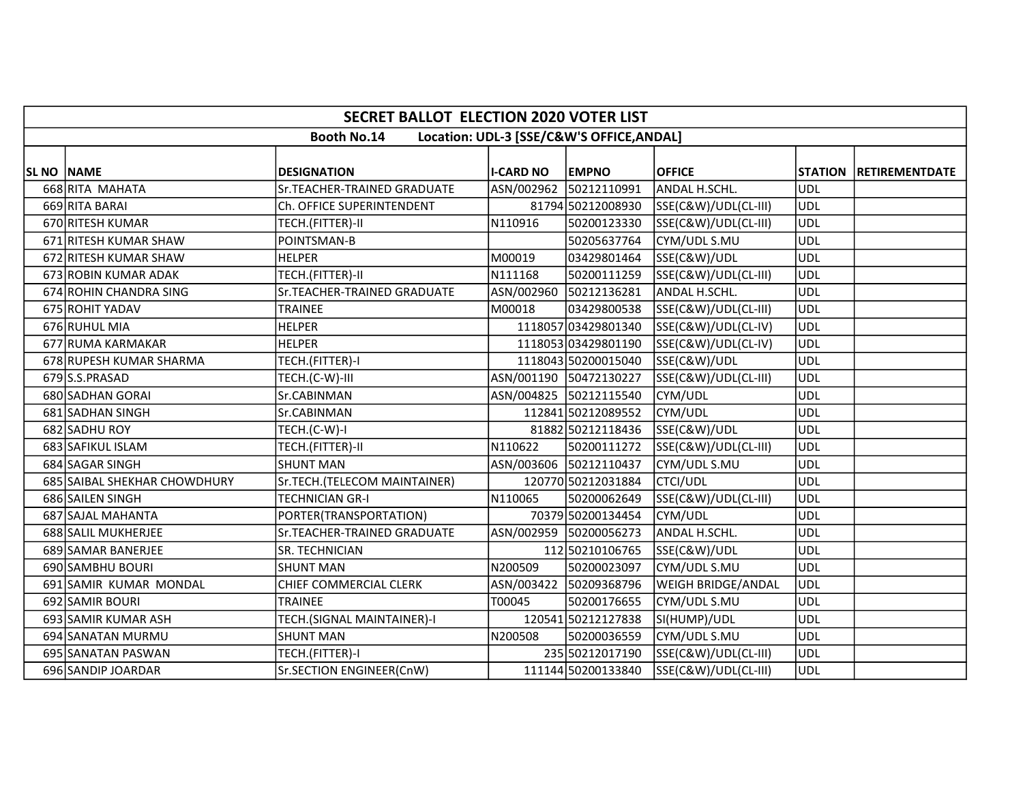|                   | <b>SECRET BALLOT ELECTION 2020 VOTER LIST</b>                   |                              |                  |                        |                      |                |                       |  |  |  |  |
|-------------------|-----------------------------------------------------------------|------------------------------|------------------|------------------------|----------------------|----------------|-----------------------|--|--|--|--|
|                   | <b>Booth No.14</b><br>Location: UDL-3 [SSE/C&W'S OFFICE, ANDAL] |                              |                  |                        |                      |                |                       |  |  |  |  |
| <b>SL NO NAME</b> |                                                                 | <b>DESIGNATION</b>           | <b>I-CARD NO</b> | <b>EMPNO</b>           | <b>OFFICE</b>        | <b>STATION</b> | <b>RETIREMENTDATE</b> |  |  |  |  |
|                   | 668 RITA MAHATA                                                 | Sr.TEACHER-TRAINED GRADUATE  |                  | ASN/002962 50212110991 | ANDAL H.SCHL.        | <b>UDL</b>     |                       |  |  |  |  |
|                   | 669 RITA BARAI                                                  | Ch. OFFICE SUPERINTENDENT    |                  | 81794 50212008930      | SSE(C&W)/UDL(CL-III) | UDL            |                       |  |  |  |  |
|                   | 670 RITESH KUMAR                                                | TECH.(FITTER)-II             | N110916          | 50200123330            | SSE(C&W)/UDL(CL-III) | UDL            |                       |  |  |  |  |
|                   | 671 RITESH KUMAR SHAW                                           | POINTSMAN-B                  |                  | 50205637764            | CYM/UDL S.MU         | <b>UDL</b>     |                       |  |  |  |  |
|                   | 672 RITESH KUMAR SHAW                                           | <b>HELPER</b>                | M00019           | 03429801464            | SSE(C&W)/UDL         | <b>UDL</b>     |                       |  |  |  |  |
|                   | 673 ROBIN KUMAR ADAK                                            | TECH.(FITTER)-II             | N111168          | 50200111259            | SSE(C&W)/UDL(CL-III) | UDL            |                       |  |  |  |  |
|                   | 674 ROHIN CHANDRA SING                                          | Sr.TEACHER-TRAINED GRADUATE  |                  | ASN/002960 50212136281 | ANDAL H.SCHL.        | UDL            |                       |  |  |  |  |
|                   | 675 ROHIT YADAV                                                 | <b>TRAINEE</b>               | M00018           | 03429800538            | SSE(C&W)/UDL(CL-III) | UDL            |                       |  |  |  |  |
|                   | 676 RUHUL MIA                                                   | <b>HELPER</b>                |                  | 1118057 03429801340    | SSE(C&W)/UDL(CL-IV)  | UDL            |                       |  |  |  |  |
|                   | 677 RUMA KARMAKAR                                               | <b>HELPER</b>                |                  | 1118053 03429801190    | SSE(C&W)/UDL(CL-IV)  | <b>UDL</b>     |                       |  |  |  |  |
|                   | 678 RUPESH KUMAR SHARMA                                         | TECH.(FITTER)-I              |                  | 1118043 50200015040    | SSE(C&W)/UDL         | <b>UDL</b>     |                       |  |  |  |  |
|                   | 679 S.S.PRASAD                                                  | TECH.(C-W)-III               |                  | ASN/001190 50472130227 | SSE(C&W)/UDL(CL-III) | <b>UDL</b>     |                       |  |  |  |  |
|                   | 680 SADHAN GORAI                                                | Sr.CABINMAN                  |                  | ASN/004825 50212115540 | CYM/UDL              | <b>UDL</b>     |                       |  |  |  |  |
|                   | 681 SADHAN SINGH                                                | Sr.CABINMAN                  |                  | 112841 50212089552     | CYM/UDL              | UDL            |                       |  |  |  |  |
|                   | 682 SADHU ROY                                                   | TECH.(C-W)-I                 |                  | 81882 50212118436      | SSE(C&W)/UDL         | <b>UDL</b>     |                       |  |  |  |  |
|                   | 683 SAFIKUL ISLAM                                               | TECH.(FITTER)-II             | N110622          | 50200111272            | SSE(C&W)/UDL(CL-III) | <b>UDL</b>     |                       |  |  |  |  |
|                   | 684 SAGAR SINGH                                                 | <b>SHUNT MAN</b>             |                  | ASN/003606 50212110437 | CYM/UDL S.MU         | <b>UDL</b>     |                       |  |  |  |  |
|                   | 685 SAIBAL SHEKHAR CHOWDHURY                                    | Sr.TECH.(TELECOM MAINTAINER) |                  | 120770 50212031884     | <b>CTCI/UDL</b>      | <b>UDL</b>     |                       |  |  |  |  |
|                   | 686 SAILEN SINGH                                                | <b>TECHNICIAN GR-I</b>       | N110065          | 50200062649            | SSE(C&W)/UDL(CL-III) | <b>UDL</b>     |                       |  |  |  |  |
|                   | 687 SAJAL MAHANTA                                               | PORTER(TRANSPORTATION)       |                  | 70379 50200134454      | CYM/UDL              | <b>UDL</b>     |                       |  |  |  |  |
|                   | 688 SALIL MUKHERJEE                                             | Sr.TEACHER-TRAINED GRADUATE  |                  | ASN/002959 50200056273 | ANDAL H.SCHL.        | UDL            |                       |  |  |  |  |
|                   | 689 SAMAR BANERJEE                                              | SR. TECHNICIAN               |                  | 112 50210106765        | SSE(C&W)/UDL         | <b>UDL</b>     |                       |  |  |  |  |
|                   | 690 SAMBHU BOURI                                                | <b>SHUNT MAN</b>             | N200509          | 50200023097            | CYM/UDL S.MU         | UDL            |                       |  |  |  |  |
|                   | 691 SAMIR KUMAR MONDAL                                          | CHIEF COMMERCIAL CLERK       | ASN/003422       | 50209368796            | WEIGH BRIDGE/ANDAL   | UDL            |                       |  |  |  |  |
|                   | 692 SAMIR BOURI                                                 | TRAINEE                      | T00045           | 50200176655            | CYM/UDL S.MU         | UDL            |                       |  |  |  |  |
|                   | 693 SAMIR KUMAR ASH                                             | TECH.(SIGNAL MAINTAINER)-I   |                  | 120541 50212127838     | SI(HUMP)/UDL         | <b>UDL</b>     |                       |  |  |  |  |
|                   | 694 SANATAN MURMU                                               | <b>SHUNT MAN</b>             | N200508          | 50200036559            | CYM/UDL S.MU         | UDL            |                       |  |  |  |  |
|                   | 695 SANATAN PASWAN                                              | TECH.(FITTER)-I              |                  | 235 50212017190        | SSE(C&W)/UDL(CL-III) | <b>UDL</b>     |                       |  |  |  |  |
|                   | 696 SANDIP JOARDAR                                              | Sr.SECTION ENGINEER(CnW)     |                  | 111144 50200133840     | SSE(C&W)/UDL(CL-III) | <b>UDL</b>     |                       |  |  |  |  |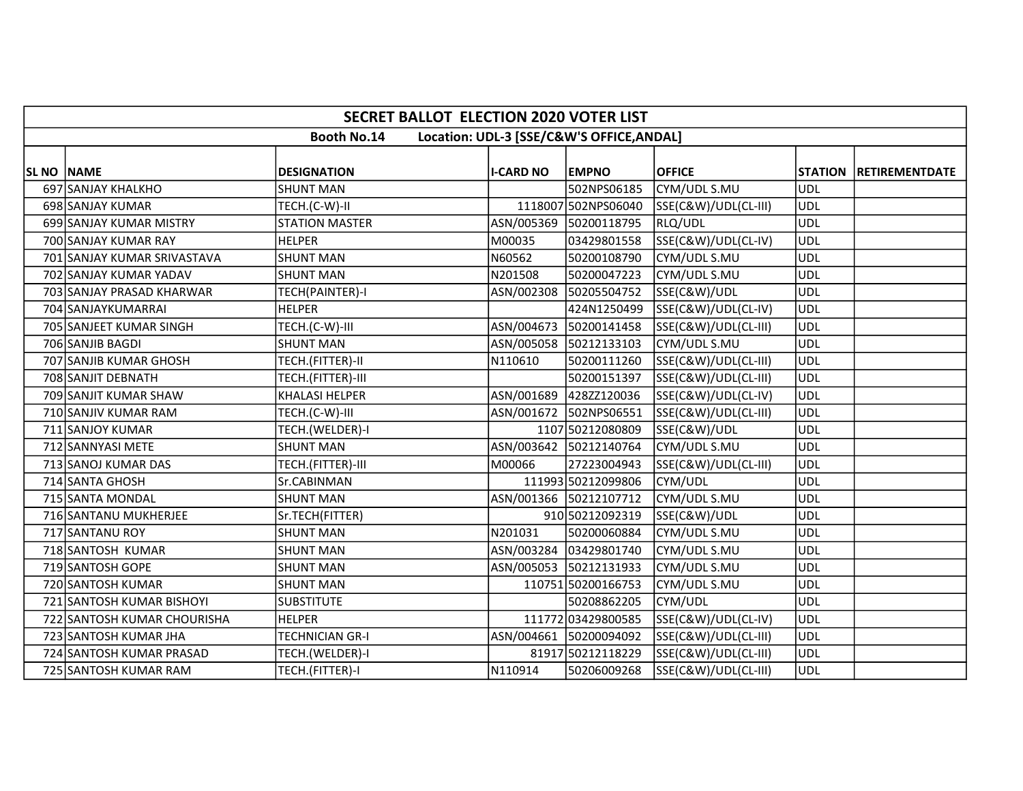|                   | <b>SECRET BALLOT ELECTION 2020 VOTER LIST</b> |                       |                  |                                           |                      |            |                        |  |  |  |  |
|-------------------|-----------------------------------------------|-----------------------|------------------|-------------------------------------------|----------------------|------------|------------------------|--|--|--|--|
|                   |                                               | <b>Booth No.14</b>    |                  | Location: UDL-3 [SSE/C&W'S OFFICE, ANDAL] |                      |            |                        |  |  |  |  |
| <b>SL NO NAME</b> |                                               | <b>DESIGNATION</b>    | <b>I-CARD NO</b> | <b>EMPNO</b>                              | <b>OFFICE</b>        |            | STATION RETIREMENTDATE |  |  |  |  |
|                   | 697 SANJAY KHALKHO                            | <b>SHUNT MAN</b>      |                  | 502NPS06185                               | CYM/UDL S.MU         | UDL        |                        |  |  |  |  |
|                   | 698 SANJAY KUMAR                              | TECH.(C-W)-II         |                  | 1118007 502NPS06040                       | SSE(C&W)/UDL(CL-III) | UDL        |                        |  |  |  |  |
|                   | 699 SANJAY KUMAR MISTRY                       | <b>STATION MASTER</b> |                  | ASN/005369 50200118795                    | RLQ/UDL              | UDL        |                        |  |  |  |  |
|                   | 700 SANJAY KUMAR RAY                          | <b>HELPER</b>         | M00035           | 03429801558                               | SSE(C&W)/UDL(CL-IV)  | UDL        |                        |  |  |  |  |
|                   | 701 SANJAY KUMAR SRIVASTAVA                   | <b>SHUNT MAN</b>      | N60562           | 50200108790                               | CYM/UDL S.MU         | UDL        |                        |  |  |  |  |
|                   | 702 SANJAY KUMAR YADAV                        | <b>SHUNT MAN</b>      | N201508          | 50200047223                               | CYM/UDL S.MU         | <b>UDL</b> |                        |  |  |  |  |
|                   | 703 SANJAY PRASAD KHARWAR                     | TECH(PAINTER)-I       |                  | ASN/002308 50205504752                    | SSE(C&W)/UDL         | <b>UDL</b> |                        |  |  |  |  |
|                   | 704 SANJAYKUMARRAI                            | <b>HELPER</b>         |                  | 424N1250499                               | SSE(C&W)/UDL(CL-IV)  | UDL        |                        |  |  |  |  |
|                   | 705 SANJEET KUMAR SINGH                       | TECH.(C-W)-III        |                  | ASN/004673 50200141458                    | SSE(C&W)/UDL(CL-III) | <b>UDL</b> |                        |  |  |  |  |
|                   | 706 SANJIB BAGDI                              | <b>SHUNT MAN</b>      |                  | ASN/005058 50212133103                    | CYM/UDL S.MU         | UDL        |                        |  |  |  |  |
|                   | 707 SANJIB KUMAR GHOSH                        | TECH.(FITTER)-II      | N110610          | 50200111260                               | SSE(C&W)/UDL(CL-III) | <b>UDL</b> |                        |  |  |  |  |
|                   | 708 SANJIT DEBNATH                            | TECH.(FITTER)-III     |                  | 50200151397                               | SSE(C&W)/UDL(CL-III) | <b>UDL</b> |                        |  |  |  |  |
|                   | 709 SANJIT KUMAR SHAW                         | <b>KHALASI HELPER</b> |                  | ASN/001689 428ZZ120036                    | SSE(C&W)/UDL(CL-IV)  | UDL        |                        |  |  |  |  |
|                   | 710 SANJIV KUMAR RAM                          | TECH.(C-W)-III        |                  | ASN/001672 502NPS06551                    | SSE(C&W)/UDL(CL-III) | <b>UDL</b> |                        |  |  |  |  |
|                   | 711 SANJOY KUMAR                              | TECH.(WELDER)-I       |                  | 1107 50212080809                          | SSE(C&W)/UDL         | UDL        |                        |  |  |  |  |
|                   | 712 SANNYASI METE                             | <b>SHUNT MAN</b>      |                  | ASN/003642 50212140764                    | CYM/UDL S.MU         | <b>UDL</b> |                        |  |  |  |  |
|                   | 713 SANOJ KUMAR DAS                           | TECH.(FITTER)-III     | M00066           | 27223004943                               | SSE(C&W)/UDL(CL-III) | UDL        |                        |  |  |  |  |
|                   | 714 SANTA GHOSH                               | Sr.CABINMAN           |                  | 111993 50212099806                        | CYM/UDL              | <b>UDL</b> |                        |  |  |  |  |
|                   | 715 SANTA MONDAL                              | <b>SHUNT MAN</b>      |                  | ASN/001366 50212107712                    | CYM/UDL S.MU         | UDL        |                        |  |  |  |  |
|                   | 716 SANTANU MUKHERJEE                         | Sr.TECH(FITTER)       |                  | 910 50212092319                           | SSE(C&W)/UDL         | UDL        |                        |  |  |  |  |
|                   | 717 SANTANU ROY                               | <b>SHUNT MAN</b>      | N201031          | 50200060884                               | CYM/UDL S.MU         | <b>UDL</b> |                        |  |  |  |  |
|                   | 718 SANTOSH KUMAR                             | <b>SHUNT MAN</b>      |                  | ASN/003284 03429801740                    | CYM/UDL S.MU         | <b>UDL</b> |                        |  |  |  |  |
|                   | 719 SANTOSH GOPE                              | <b>SHUNT MAN</b>      |                  | ASN/005053 50212131933                    | CYM/UDL S.MU         | UDL        |                        |  |  |  |  |
|                   | 720 SANTOSH KUMAR                             | <b>SHUNT MAN</b>      |                  | 110751 50200166753                        | CYM/UDL S.MU         | UDL        |                        |  |  |  |  |
|                   | 721 SANTOSH KUMAR BISHOYI                     | <b>SUBSTITUTE</b>     |                  | 50208862205                               | CYM/UDL              | UDL        |                        |  |  |  |  |
|                   | 722 SANTOSH KUMAR CHOURISHA                   | <b>HELPER</b>         |                  | 111772 03429800585                        | SSE(C&W)/UDL(CL-IV)  | <b>UDL</b> |                        |  |  |  |  |
|                   | 723 SANTOSH KUMAR JHA                         | TECHNICIAN GR-I       |                  | ASN/004661 50200094092                    | SSE(C&W)/UDL(CL-III) | UDL        |                        |  |  |  |  |
|                   | 724 SANTOSH KUMAR PRASAD                      | TECH.(WELDER)-I       |                  | 81917 50212118229                         | SSE(C&W)/UDL(CL-III) | UDL        |                        |  |  |  |  |
|                   | 725 SANTOSH KUMAR RAM                         | TECH.(FITTER)-I       | N110914          | 50206009268                               | SSE(C&W)/UDL(CL-III) | UDL        |                        |  |  |  |  |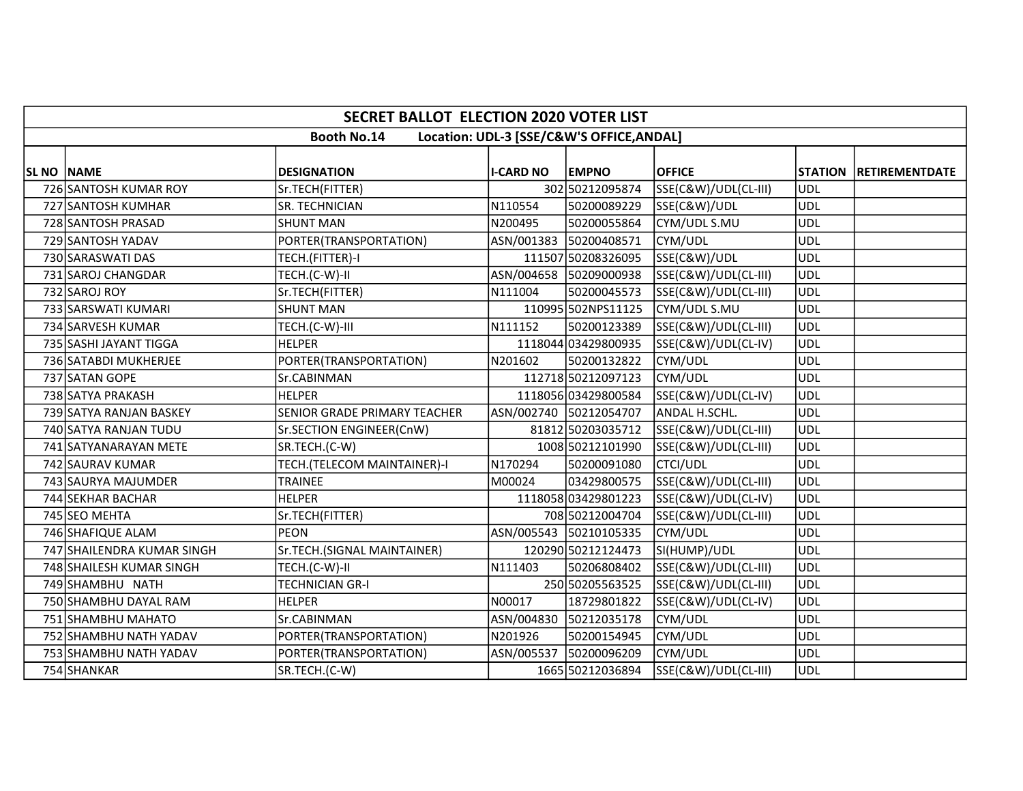|                   | <b>SECRET BALLOT ELECTION 2020 VOTER LIST</b> |                              |                  |                                           |                      |            |                        |  |  |  |  |
|-------------------|-----------------------------------------------|------------------------------|------------------|-------------------------------------------|----------------------|------------|------------------------|--|--|--|--|
|                   |                                               | <b>Booth No.14</b>           |                  | Location: UDL-3 [SSE/C&W'S OFFICE, ANDAL] |                      |            |                        |  |  |  |  |
|                   |                                               |                              |                  |                                           |                      |            |                        |  |  |  |  |
| <b>SL NO NAME</b> |                                               | <b>DESIGNATION</b>           | <b>I-CARD NO</b> | <b>EMPNO</b>                              | <b>OFFICE</b>        |            | STATION RETIREMENTDATE |  |  |  |  |
|                   | 726 SANTOSH KUMAR ROY                         | Sr.TECH(FITTER)              |                  | 302 50212095874                           | SSE(C&W)/UDL(CL-III) | UDL        |                        |  |  |  |  |
|                   | 727 SANTOSH KUMHAR                            | SR. TECHNICIAN               | N110554          | 50200089229                               | SSE(C&W)/UDL         | <b>UDL</b> |                        |  |  |  |  |
|                   | 728 SANTOSH PRASAD                            | <b>SHUNT MAN</b>             | N200495          | 50200055864                               | CYM/UDL S.MU         | <b>UDL</b> |                        |  |  |  |  |
|                   | 729 SANTOSH YADAV                             | PORTER(TRANSPORTATION)       |                  | ASN/001383 50200408571                    | CYM/UDL              | <b>UDL</b> |                        |  |  |  |  |
|                   | 730 SARASWATI DAS                             | TECH.(FITTER)-I              |                  | 111507 50208326095                        | SSE(C&W)/UDL         | <b>UDL</b> |                        |  |  |  |  |
|                   | 731 SAROJ CHANGDAR                            | TECH.(C-W)-II                |                  | ASN/004658 50209000938                    | SSE(C&W)/UDL(CL-III) | UDL        |                        |  |  |  |  |
|                   | 732 SAROJ ROY                                 | Sr.TECH(FITTER)              | N111004          | 50200045573                               | SSE(C&W)/UDL(CL-III) | ludl       |                        |  |  |  |  |
|                   | 733 SARSWATI KUMARI                           | <b>SHUNT MAN</b>             |                  | 110995 502NPS11125                        | CYM/UDL S.MU         | UDL        |                        |  |  |  |  |
|                   | 734 SARVESH KUMAR                             | TECH.(C-W)-III               | N111152          | 50200123389                               | SSE(C&W)/UDL(CL-III) | <b>UDL</b> |                        |  |  |  |  |
|                   | 735 SASHI JAYANT TIGGA                        | <b>HELPER</b>                |                  | 1118044 03429800935                       | SSE(C&W)/UDL(CL-IV)  | UDL        |                        |  |  |  |  |
|                   | 736 SATABDI MUKHERJEE                         | PORTER(TRANSPORTATION)       | N201602          | 50200132822                               | CYM/UDL              | <b>UDL</b> |                        |  |  |  |  |
|                   | 737 SATAN GOPE                                | Sr.CABINMAN                  |                  | 112718 50212097123                        | CYM/UDL              | <b>UDL</b> |                        |  |  |  |  |
|                   | 738 SATYA PRAKASH                             | <b>HELPER</b>                |                  | 1118056 03429800584                       | SSE(C&W)/UDL(CL-IV)  | UDL        |                        |  |  |  |  |
|                   | 739 SATYA RANJAN BASKEY                       | SENIOR GRADE PRIMARY TEACHER |                  | ASN/002740 50212054707                    | <b>ANDAL H.SCHL.</b> | <b>UDL</b> |                        |  |  |  |  |
|                   | 740 SATYA RANJAN TUDU                         | Sr.SECTION ENGINEER(CnW)     |                  | 81812 50203035712                         | SSE(C&W)/UDL(CL-III) | UDL        |                        |  |  |  |  |
|                   | 741 SATYANARAYAN METE                         | SR.TECH.(C-W)                |                  | 1008 50212101990                          | SSE(C&W)/UDL(CL-III) | <b>UDL</b> |                        |  |  |  |  |
|                   | 742 SAURAV KUMAR                              | TECH.(TELECOM MAINTAINER)-I  | N170294          | 50200091080                               | <b>CTCI/UDL</b>      | UDL        |                        |  |  |  |  |
|                   | 743 SAURYA MAJUMDER                           | <b>TRAINEE</b>               | M00024           | 03429800575                               | SSE(C&W)/UDL(CL-III) | UDL        |                        |  |  |  |  |
|                   | 744 SEKHAR BACHAR                             | <b>HELPER</b>                |                  | 1118058 03429801223                       | SSE(C&W)/UDL(CL-IV)  | UDL        |                        |  |  |  |  |
|                   | 745 SEO MEHTA                                 | Sr.TECH(FITTER)              |                  | 708 50212004704                           | SSE(C&W)/UDL(CL-III) | ludl       |                        |  |  |  |  |
|                   | 746 SHAFIQUE ALAM                             | <b>PEON</b>                  |                  | ASN/005543 50210105335                    | CYM/UDL              | UDL        |                        |  |  |  |  |
|                   | 747 SHAILENDRA KUMAR SINGH                    | Sr.TECH.(SIGNAL MAINTAINER)  |                  | 120290 50212124473                        | SI(HUMP)/UDL         | <b>UDL</b> |                        |  |  |  |  |
|                   | 748 SHAILESH KUMAR SINGH                      | TECH.(C-W)-II                | N111403          | 50206808402                               | SSE(C&W)/UDL(CL-III) | UDL        |                        |  |  |  |  |
|                   | 749 SHAMBHU NATH                              | TECHNICIAN GR-I              |                  | 250 50205563525                           | SSE(C&W)/UDL(CL-III) | UDL        |                        |  |  |  |  |
|                   | 750 SHAMBHU DAYAL RAM                         | <b>HELPER</b>                | N00017           | 18729801822                               | SSE(C&W)/UDL(CL-IV)  | UDL        |                        |  |  |  |  |
|                   | 751 SHAMBHU MAHATO                            | Sr.CABINMAN                  |                  | ASN/004830 50212035178                    | CYM/UDL              | <b>UDL</b> |                        |  |  |  |  |
|                   | 752 SHAMBHU NATH YADAV                        | PORTER(TRANSPORTATION)       | N201926          | 50200154945                               | CYM/UDL              | UDL        |                        |  |  |  |  |
|                   | 753 SHAMBHU NATH YADAV                        | PORTER(TRANSPORTATION)       |                  | ASN/005537 50200096209                    | CYM/UDL              | UDL        |                        |  |  |  |  |
|                   | 754 SHANKAR                                   | SR.TECH.(C-W)                |                  | 1665 50212036894                          | SSE(C&W)/UDL(CL-III) | UDL        |                        |  |  |  |  |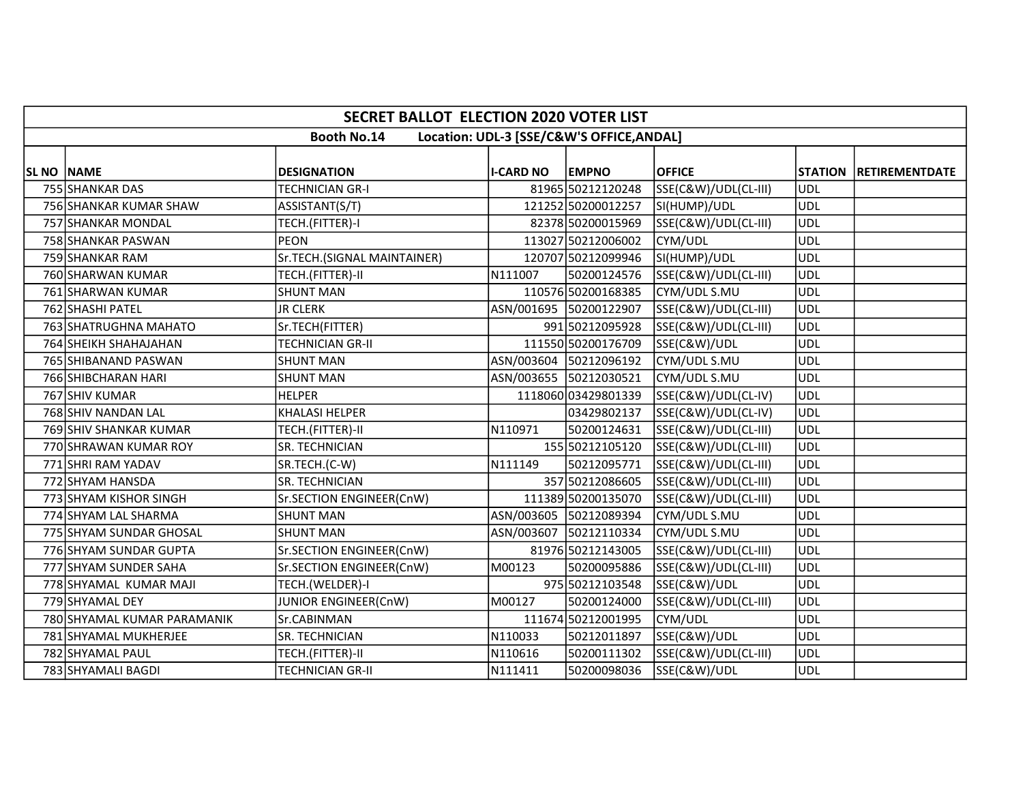|                   | <b>SECRET BALLOT ELECTION 2020 VOTER LIST</b> |                             |                  |                                           |                      |            |                        |  |  |  |  |
|-------------------|-----------------------------------------------|-----------------------------|------------------|-------------------------------------------|----------------------|------------|------------------------|--|--|--|--|
|                   |                                               | <b>Booth No.14</b>          |                  | Location: UDL-3 [SSE/C&W'S OFFICE, ANDAL] |                      |            |                        |  |  |  |  |
| <b>SL NO NAME</b> |                                               | <b>DESIGNATION</b>          | <b>I-CARD NO</b> | <b>EMPNO</b>                              | <b>OFFICE</b>        |            | STATION RETIREMENTDATE |  |  |  |  |
|                   | 755 SHANKAR DAS                               | TECHNICIAN GR-I             |                  | 81965 50212120248                         | SSE(C&W)/UDL(CL-III) | UDL        |                        |  |  |  |  |
|                   | 756 SHANKAR KUMAR SHAW                        | ASSISTANT(S/T)              |                  | 121252 50200012257                        | SI(HUMP)/UDL         | <b>UDL</b> |                        |  |  |  |  |
|                   | 757 SHANKAR MONDAL                            | TECH.(FITTER)-I             |                  | 82378 50200015969                         | SSE(C&W)/UDL(CL-III) | UDL        |                        |  |  |  |  |
|                   | 758 SHANKAR PASWAN                            | PEON                        |                  | 113027 50212006002                        | CYM/UDL              | <b>UDL</b> |                        |  |  |  |  |
|                   | 759 SHANKAR RAM                               | Sr.TECH.(SIGNAL MAINTAINER) |                  | 120707 50212099946                        | SI(HUMP)/UDL         | <b>UDL</b> |                        |  |  |  |  |
|                   | 760 SHARWAN KUMAR                             | TECH.(FITTER)-II            | N111007          | 50200124576                               | SSE(C&W)/UDL(CL-III) | UDL        |                        |  |  |  |  |
|                   | 761 SHARWAN KUMAR                             | <b>SHUNT MAN</b>            |                  | 110576 50200168385                        | CYM/UDL S.MU         | UDL        |                        |  |  |  |  |
|                   | 762 SHASHI PATEL                              | <b>JR CLERK</b>             |                  | ASN/001695 50200122907                    | SSE(C&W)/UDL(CL-III) | UDL        |                        |  |  |  |  |
|                   | 763 SHATRUGHNA MAHATO                         | Sr.TECH(FITTER)             |                  | 991 50212095928                           | SSE(C&W)/UDL(CL-III) | <b>UDL</b> |                        |  |  |  |  |
|                   | 764 SHEIKH SHAHAJAHAN                         | <b>TECHNICIAN GR-II</b>     |                  | 111550 50200176709                        | SSE(C&W)/UDL         | UDL        |                        |  |  |  |  |
|                   | 765 SHIBANAND PASWAN                          | <b>SHUNT MAN</b>            |                  | ASN/003604 50212096192                    | CYM/UDL S.MU         | <b>UDL</b> |                        |  |  |  |  |
|                   | 766 SHIBCHARAN HARI                           | <b>SHUNT MAN</b>            |                  | ASN/003655 50212030521                    | CYM/UDL S.MU         | <b>UDL</b> |                        |  |  |  |  |
|                   | 767 SHIV KUMAR                                | <b>HELPER</b>               |                  | 1118060 03429801339                       | SSE(C&W)/UDL(CL-IV)  | UDL        |                        |  |  |  |  |
|                   | 768 SHIV NANDAN LAL                           | <b>KHALASI HELPER</b>       |                  | 03429802137                               | SSE(C&W)/UDL(CL-IV)  | <b>UDL</b> |                        |  |  |  |  |
|                   | 769 SHIV SHANKAR KUMAR                        | TECH.(FITTER)-II            | N110971          | 50200124631                               | SSE(C&W)/UDL(CL-III) | UDL        |                        |  |  |  |  |
|                   | 770 SHRAWAN KUMAR ROY                         | SR. TECHNICIAN              |                  | 155 50212105120                           | SSE(C&W)/UDL(CL-III) | <b>UDL</b> |                        |  |  |  |  |
|                   | 771 SHRI RAM YADAV                            | SR.TECH.(C-W)               | N111149          | 50212095771                               | SSE(C&W)/UDL(CL-III) | UDL        |                        |  |  |  |  |
|                   | 772 SHYAM HANSDA                              | SR. TECHNICIAN              |                  | 357 50212086605                           | SSE(C&W)/UDL(CL-III) | UDL        |                        |  |  |  |  |
|                   | 773 SHYAM KISHOR SINGH                        | Sr.SECTION ENGINEER(CnW)    |                  | 111389 50200135070                        | SSE(C&W)/UDL(CL-III) | UDL        |                        |  |  |  |  |
|                   | 774 SHYAM LAL SHARMA                          | <b>SHUNT MAN</b>            |                  | ASN/003605 50212089394                    | CYM/UDL S.MU         | UDL        |                        |  |  |  |  |
|                   | 775 SHYAM SUNDAR GHOSAL                       | <b>SHUNT MAN</b>            |                  | ASN/003607 50212110334                    | CYM/UDL S.MU         | <b>UDL</b> |                        |  |  |  |  |
|                   | 776 SHYAM SUNDAR GUPTA                        | Sr.SECTION ENGINEER(CnW)    |                  | 81976 50212143005                         | SSE(C&W)/UDL(CL-III) | <b>UDL</b> |                        |  |  |  |  |
|                   | 777 SHYAM SUNDER SAHA                         | Sr.SECTION ENGINEER(CnW)    | M00123           | 50200095886                               | SSE(C&W)/UDL(CL-III) | UDL        |                        |  |  |  |  |
|                   | 778 SHYAMAL KUMAR MAJI                        | TECH.(WELDER)-I             |                  | 975 50212103548                           | SSE(C&W)/UDL         | UDL        |                        |  |  |  |  |
|                   | 779 SHYAMAL DEY                               | JUNIOR ENGINEER(CnW)        | M00127           | 50200124000                               | SSE(C&W)/UDL(CL-III) | UDL        |                        |  |  |  |  |
|                   | 780 SHYAMAL KUMAR PARAMANIK                   | Sr.CABINMAN                 |                  | 111674 50212001995                        | CYM/UDL              | <b>UDL</b> |                        |  |  |  |  |
|                   | 781 SHYAMAL MUKHERJEE                         | SR. TECHNICIAN              | N110033          | 50212011897                               | SSE(C&W)/UDL         | <b>UDL</b> |                        |  |  |  |  |
|                   | 782 SHYAMAL PAUL                              | TECH.(FITTER)-II            | N110616          | 50200111302                               | SSE(C&W)/UDL(CL-III) | <b>UDL</b> |                        |  |  |  |  |
|                   | 783 SHYAMALI BAGDI                            | <b>TECHNICIAN GR-II</b>     | N111411          | 50200098036                               | SSE(C&W)/UDL         | UDL        |                        |  |  |  |  |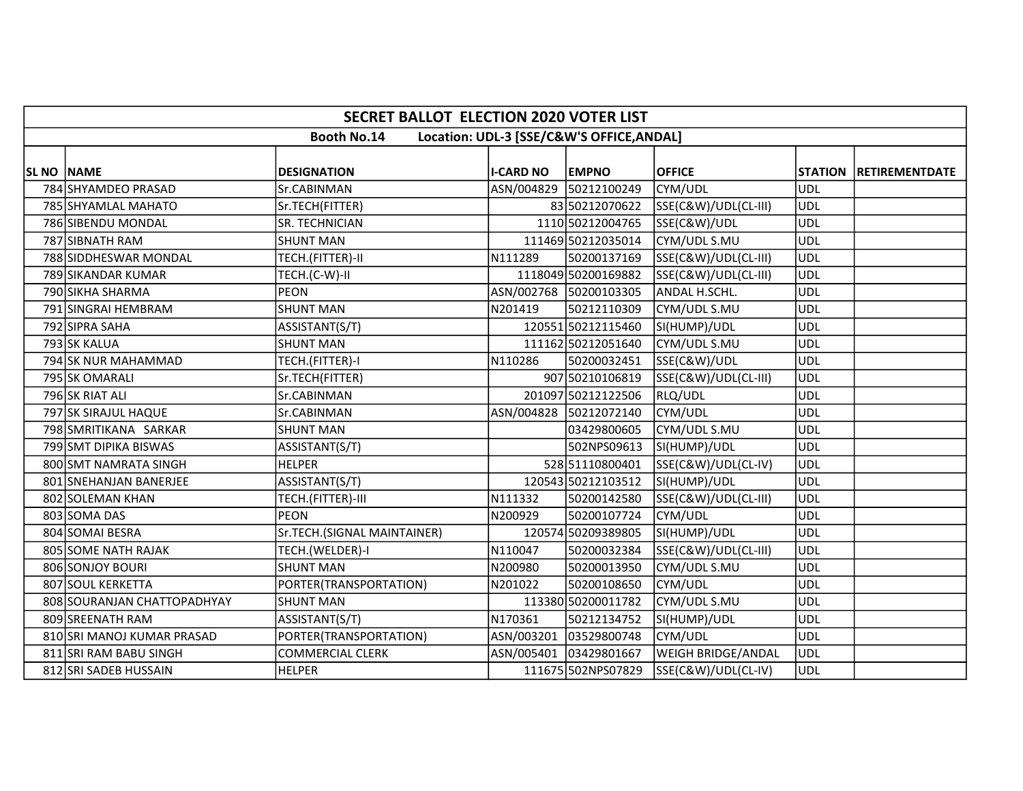|                   | <b>SECRET BALLOT ELECTION 2020 VOTER LIST</b> |                             |                  |                                           |                      |            |                        |  |  |  |  |
|-------------------|-----------------------------------------------|-----------------------------|------------------|-------------------------------------------|----------------------|------------|------------------------|--|--|--|--|
|                   |                                               | <b>Booth No.14</b>          |                  | Location: UDL-3 [SSE/C&W'S OFFICE, ANDAL] |                      |            |                        |  |  |  |  |
| <b>SL NO NAME</b> |                                               | <b>DESIGNATION</b>          | <b>I-CARD NO</b> | <b>EMPNO</b>                              | <b>OFFICE</b>        |            | STATION RETIREMENTDATE |  |  |  |  |
|                   | 784 SHYAMDEO PRASAD                           | Sr.CABINMAN                 |                  | ASN/004829 50212100249                    | CYM/UDL              | <b>UDL</b> |                        |  |  |  |  |
|                   | 785 SHYAMLAL MAHATO                           | Sr.TECH(FITTER)             |                  | 83 50212070622                            | SSE(C&W)/UDL(CL-III) | UDL        |                        |  |  |  |  |
|                   | 786 SIBENDU MONDAL                            | SR. TECHNICIAN              |                  | 1110 50212004765                          | SSE(C&W)/UDL         | <b>UDL</b> |                        |  |  |  |  |
|                   | 787 SIBNATH RAM                               | <b>SHUNT MAN</b>            |                  | 111469 50212035014                        | CYM/UDL S.MU         | UDL        |                        |  |  |  |  |
|                   | 788 SIDDHESWAR MONDAL                         | TECH.(FITTER)-II            | N111289          | 50200137169                               | SSE(C&W)/UDL(CL-III) | <b>UDL</b> |                        |  |  |  |  |
|                   | 789 SIKANDAR KUMAR                            | TECH.(C-W)-II               |                  | 1118049 50200169882                       | SSE(C&W)/UDL(CL-III) | UDL        |                        |  |  |  |  |
|                   | 790 SIKHA SHARMA                              | PEON                        |                  | ASN/002768 50200103305                    | ANDAL H.SCHL.        | UDL        |                        |  |  |  |  |
|                   | 791 SINGRAI HEMBRAM                           | <b>SHUNT MAN</b>            | N201419          | 50212110309                               | CYM/UDL S.MU         | <b>UDL</b> |                        |  |  |  |  |
|                   | 792 SIPRA SAHA                                | ASSISTANT(S/T)              |                  | 120551 50212115460                        | SI(HUMP)/UDL         | <b>UDL</b> |                        |  |  |  |  |
|                   | 793 SK KALUA                                  | <b>SHUNT MAN</b>            |                  | 111162 50212051640                        | CYM/UDL S.MU         | UDL        |                        |  |  |  |  |
|                   | 794 SK NUR MAHAMMAD                           | TECH.(FITTER)-I             | N110286          | 50200032451                               | SSE(C&W)/UDL         | <b>UDL</b> |                        |  |  |  |  |
|                   | 795 SK OMARALI                                | Sr.TECH(FITTER)             |                  | 907 50210106819                           | SSE(C&W)/UDL(CL-III) | <b>UDL</b> |                        |  |  |  |  |
|                   | 796 SK RIAT ALI                               | Sr.CABINMAN                 |                  | 201097 50212122506                        | RLQ/UDL              | UDL        |                        |  |  |  |  |
|                   | 797 SK SIRAJUL HAQUE                          | Sr.CABINMAN                 |                  | ASN/004828 50212072140                    | CYM/UDL              | UDL        |                        |  |  |  |  |
|                   | 798 SMRITIKANA SARKAR                         | <b>SHUNT MAN</b>            |                  | 03429800605                               | CYM/UDL S.MU         | UDL        |                        |  |  |  |  |
|                   | 799 SMT DIPIKA BISWAS                         | ASSISTANT(S/T)              |                  | 502NPS09613                               | SI(HUMP)/UDL         | <b>UDL</b> |                        |  |  |  |  |
|                   | 800 SMT NAMRATA SINGH                         | <b>HELPER</b>               |                  | 528 51110800401                           | SSE(C&W)/UDL(CL-IV)  | UDL        |                        |  |  |  |  |
|                   | 801 SNEHANJAN BANERJEE                        | ASSISTANT(S/T)              |                  | 120543 50212103512                        | SI(HUMP)/UDL         | <b>UDL</b> |                        |  |  |  |  |
|                   | 802 SOLEMAN KHAN                              | TECH.(FITTER)-III           | N111332          | 50200142580                               | SSE(C&W)/UDL(CL-III) | <b>UDL</b> |                        |  |  |  |  |
|                   | 803 SOMA DAS                                  | <b>PEON</b>                 | N200929          | 50200107724                               | CYM/UDL              | UDL        |                        |  |  |  |  |
|                   | 804 SOMAI BESRA                               | Sr.TECH.(SIGNAL MAINTAINER) |                  | 120574 50209389805                        | SI(HUMP)/UDL         | <b>UDL</b> |                        |  |  |  |  |
|                   | 805 SOME NATH RAJAK                           | TECH.(WELDER)-I             | N110047          | 50200032384                               | SSE(C&W)/UDL(CL-III) | <b>UDL</b> |                        |  |  |  |  |
|                   | 806 SONJOY BOURI                              | <b>SHUNT MAN</b>            | N200980          | 50200013950                               | CYM/UDL S.MU         | <b>UDL</b> |                        |  |  |  |  |
|                   | 807 SOUL KERKETTA                             | PORTER(TRANSPORTATION)      | N201022          | 50200108650                               | CYM/UDL              | <b>UDL</b> |                        |  |  |  |  |
|                   | 808 SOURANJAN CHATTOPADHYAY                   | <b>SHUNT MAN</b>            |                  | 113380 50200011782                        | CYM/UDL S.MU         | UDL        |                        |  |  |  |  |
|                   | 809 SREENATH RAM                              | ASSISTANT(S/T)              | N170361          | 50212134752                               | SI(HUMP)/UDL         | <b>UDL</b> |                        |  |  |  |  |
|                   | 810 SRI MANOJ KUMAR PRASAD                    | PORTER(TRANSPORTATION)      |                  | ASN/003201 03529800748                    | CYM/UDL              | UDL        |                        |  |  |  |  |
|                   | 811 SRI RAM BABU SINGH                        | <b>COMMERCIAL CLERK</b>     |                  | ASN/005401 03429801667                    | WEIGH BRIDGE/ANDAL   | UDL        |                        |  |  |  |  |
|                   | 812 SRI SADEB HUSSAIN                         | <b>HELPER</b>               |                  | 111675 502NPS07829                        | SSE(C&W)/UDL(CL-IV)  | <b>UDL</b> |                        |  |  |  |  |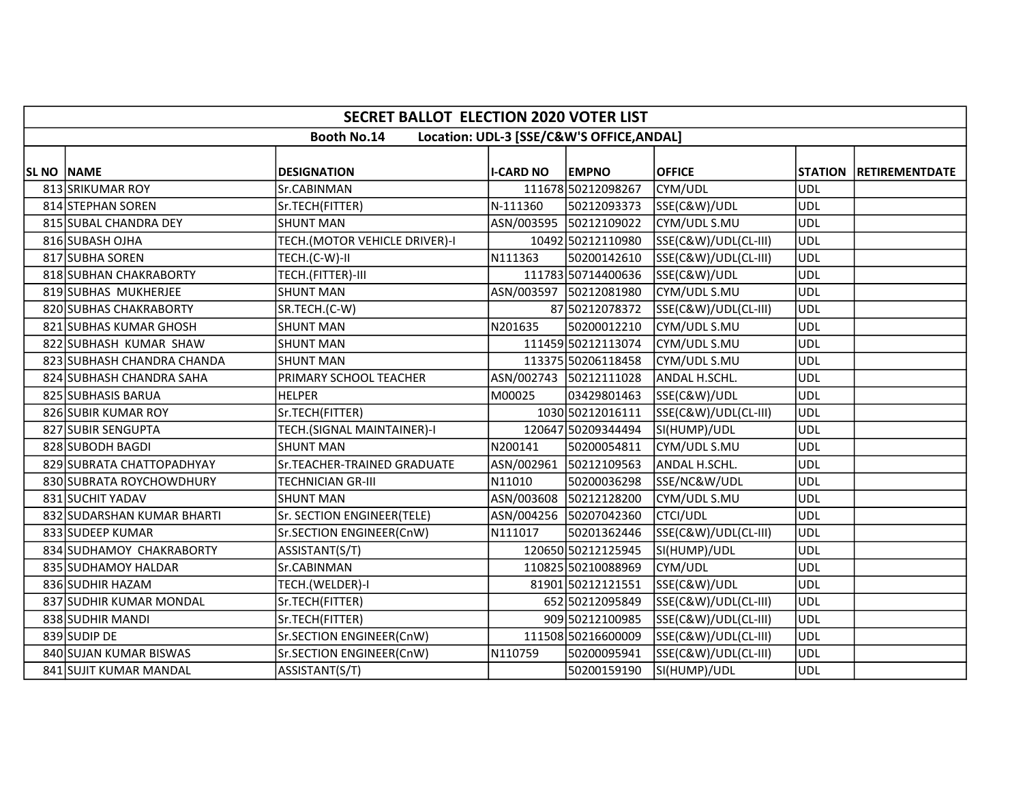|            | <b>SECRET BALLOT ELECTION 2020 VOTER LIST</b> |                               |                  |                                           |                      |                |                       |  |  |  |  |
|------------|-----------------------------------------------|-------------------------------|------------------|-------------------------------------------|----------------------|----------------|-----------------------|--|--|--|--|
|            |                                               | <b>Booth No.14</b>            |                  | Location: UDL-3 [SSE/C&W'S OFFICE, ANDAL] |                      |                |                       |  |  |  |  |
|            |                                               |                               |                  |                                           |                      |                |                       |  |  |  |  |
| SL NO NAME |                                               | <b>DESIGNATION</b>            | <b>I-CARD NO</b> | <b>EMPNO</b>                              | <b>OFFICE</b>        | <b>STATION</b> | <b>RETIREMENTDATE</b> |  |  |  |  |
|            | 813 SRIKUMAR ROY                              | Sr.CABINMAN                   |                  | 111678 50212098267                        | CYM/UDL              | UDL            |                       |  |  |  |  |
|            | 814 STEPHAN SOREN                             | Sr.TECH(FITTER)               | N-111360         | 50212093373                               | SSE(C&W)/UDL         | <b>UDL</b>     |                       |  |  |  |  |
|            | 815 SUBAL CHANDRA DEY                         | <b>SHUNT MAN</b>              |                  | ASN/003595 50212109022                    | CYM/UDL S.MU         | UDL            |                       |  |  |  |  |
|            | 816 SUBASH OJHA                               | TECH.(MOTOR VEHICLE DRIVER)-I |                  | 10492 50212110980                         | SSE(C&W)/UDL(CL-III) | UDL            |                       |  |  |  |  |
|            | 817 SUBHA SOREN                               | TECH.(C-W)-II                 | N111363          | 50200142610                               | SSE(C&W)/UDL(CL-III) | <b>UDL</b>     |                       |  |  |  |  |
|            | 818 SUBHAN CHAKRABORTY                        | TECH.(FITTER)-III             |                  | 111783 50714400636                        | SSE(C&W)/UDL         | <b>UDL</b>     |                       |  |  |  |  |
|            | 819 SUBHAS MUKHERJEE                          | <b>SHUNT MAN</b>              |                  | ASN/003597 50212081980                    | CYM/UDL S.MU         | UDL            |                       |  |  |  |  |
|            | 820 SUBHAS CHAKRABORTY                        | SR.TECH.(C-W)                 |                  | 87 50212078372                            | SSE(C&W)/UDL(CL-III) | UDL            |                       |  |  |  |  |
|            | 821 SUBHAS KUMAR GHOSH                        | <b>SHUNT MAN</b>              | N201635          | 50200012210                               | CYM/UDL S.MU         | <b>UDL</b>     |                       |  |  |  |  |
|            | 822 SUBHASH KUMAR SHAW                        | <b>SHUNT MAN</b>              |                  | 111459 50212113074                        | CYM/UDL S.MU         | UDL            |                       |  |  |  |  |
|            | 823 SUBHASH CHANDRA CHANDA                    | <b>SHUNT MAN</b>              |                  | 113375 50206118458                        | CYM/UDL S.MU         | <b>UDL</b>     |                       |  |  |  |  |
|            | 824 SUBHASH CHANDRA SAHA                      | PRIMARY SCHOOL TEACHER        |                  | ASN/002743 50212111028                    | ANDAL H.SCHL.        | UDL            |                       |  |  |  |  |
|            | 825 SUBHASIS BARUA                            | <b>HELPER</b>                 | M00025           | 03429801463                               | SSE(C&W)/UDL         | UDL            |                       |  |  |  |  |
|            | 826 SUBIR KUMAR ROY                           | Sr.TECH(FITTER)               |                  | 1030 50212016111                          | SSE(C&W)/UDL(CL-III) | UDL            |                       |  |  |  |  |
|            | 827 SUBIR SENGUPTA                            | TECH.(SIGNAL MAINTAINER)-I    |                  | 120647 50209344494                        | SI(HUMP)/UDL         | UDL            |                       |  |  |  |  |
|            | 828 SUBODH BAGDI                              | <b>SHUNT MAN</b>              | N200141          | 50200054811                               | CYM/UDL S.MU         | UDL            |                       |  |  |  |  |
|            | 829 SUBRATA CHATTOPADHYAY                     | Sr.TEACHER-TRAINED GRADUATE   |                  | ASN/002961 50212109563                    | ANDAL H.SCHL.        | <b>UDL</b>     |                       |  |  |  |  |
|            | 830 SUBRATA ROYCHOWDHURY                      | <b>TECHNICIAN GR-III</b>      | N11010           | 50200036298                               | SSE/NC&W/UDL         | <b>UDL</b>     |                       |  |  |  |  |
|            | 831 SUCHIT YADAV                              | <b>SHUNT MAN</b>              |                  | ASN/003608 50212128200                    | CYM/UDL S.MU         | <b>UDL</b>     |                       |  |  |  |  |
|            | 832 SUDARSHAN KUMAR BHARTI                    | Sr. SECTION ENGINEER(TELE)    |                  | ASN/004256 50207042360                    | <b>CTCI/UDL</b>      | <b>UDL</b>     |                       |  |  |  |  |
|            | 833 SUDEEP KUMAR                              | Sr.SECTION ENGINEER(CnW)      | N111017          | 50201362446                               | SSE(C&W)/UDL(CL-III) | UDL            |                       |  |  |  |  |
|            | 834 SUDHAMOY CHAKRABORTY                      | ASSISTANT(S/T)                |                  | 120650 50212125945                        | SI(HUMP)/UDL         | <b>UDL</b>     |                       |  |  |  |  |
|            | 835 SUDHAMOY HALDAR                           | Sr.CABINMAN                   |                  | 110825 50210088969                        | CYM/UDL              | <b>UDL</b>     |                       |  |  |  |  |
|            | 836 SUDHIR HAZAM                              | TECH.(WELDER)-I               |                  | 81901 50212121551                         | SSE(C&W)/UDL         | <b>UDL</b>     |                       |  |  |  |  |
|            | 837 SUDHIR KUMAR MONDAL                       | Sr.TECH(FITTER)               |                  | 652 50212095849                           | SSE(C&W)/UDL(CL-III) | ludl           |                       |  |  |  |  |
|            | 838 SUDHIR MANDI                              | Sr.TECH(FITTER)               |                  | 909 50212100985                           | SSE(C&W)/UDL(CL-III) | UDL            |                       |  |  |  |  |
|            | 839 SUDIP DE                                  | Sr.SECTION ENGINEER(CnW)      |                  | 111508 50216600009                        | SSE(C&W)/UDL(CL-III) | UDL            |                       |  |  |  |  |
|            | 840 SUJAN KUMAR BISWAS                        | Sr.SECTION ENGINEER(CnW)      | N110759          | 50200095941                               | SSE(C&W)/UDL(CL-III) | UDL            |                       |  |  |  |  |
|            | 841 SUJIT KUMAR MANDAL                        | ASSISTANT(S/T)                |                  | 50200159190                               | SI(HUMP)/UDL         | UDL            |                       |  |  |  |  |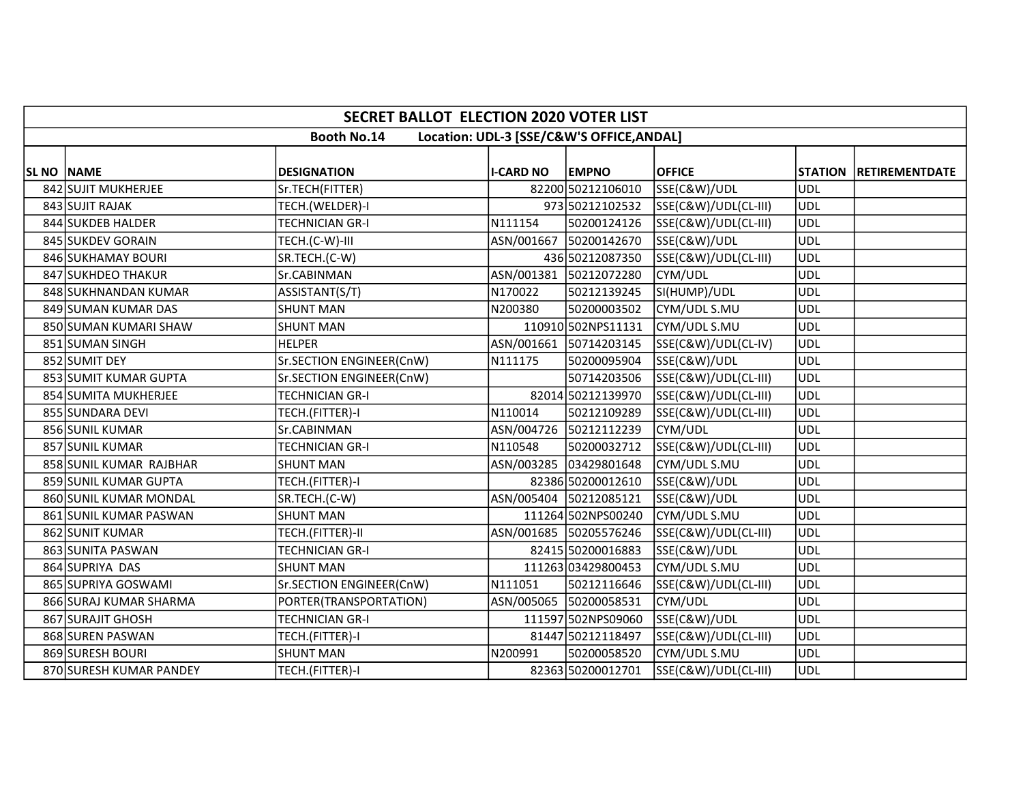|                   | <b>SECRET BALLOT ELECTION 2020 VOTER LIST</b> |                          |                  |                                           |                      |                |                       |  |  |  |  |
|-------------------|-----------------------------------------------|--------------------------|------------------|-------------------------------------------|----------------------|----------------|-----------------------|--|--|--|--|
|                   |                                               | <b>Booth No.14</b>       |                  | Location: UDL-3 [SSE/C&W'S OFFICE, ANDAL] |                      |                |                       |  |  |  |  |
|                   |                                               |                          |                  |                                           |                      |                |                       |  |  |  |  |
| <b>SL NO NAME</b> |                                               | <b>DESIGNATION</b>       | <b>I-CARD NO</b> | <b>EMPNO</b>                              | <b>OFFICE</b>        | <b>STATION</b> | <b>RETIREMENTDATE</b> |  |  |  |  |
|                   | 842 SUJIT MUKHERJEE                           | Sr.TECH(FITTER)          |                  | 82200 50212106010                         | SSE(C&W)/UDL         | UDL            |                       |  |  |  |  |
|                   | 843 SUJIT RAJAK                               | TECH.(WELDER)-I          |                  | 973 50212102532                           | SSE(C&W)/UDL(CL-III) | UDL            |                       |  |  |  |  |
|                   | 844 SUKDEB HALDER                             | <b>TECHNICIAN GR-I</b>   | N111154          | 50200124126                               | SSE(C&W)/UDL(CL-III) | UDL            |                       |  |  |  |  |
|                   | 845 SUKDEV GORAIN                             | TECH.(C-W)-III           |                  | ASN/001667 50200142670                    | SSE(C&W)/UDL         | <b>UDL</b>     |                       |  |  |  |  |
|                   | 846 SUKHAMAY BOURI                            | SR.TECH.(C-W)            |                  | 436 50212087350                           | SSE(C&W)/UDL(CL-III) | UDL            |                       |  |  |  |  |
|                   | 847 SUKHDEO THAKUR                            | Sr.CABINMAN              |                  | ASN/001381 50212072280                    | CYM/UDL              | <b>UDL</b>     |                       |  |  |  |  |
|                   | 848 SUKHNANDAN KUMAR                          | ASSISTANT(S/T)           | N170022          | 50212139245                               | SI(HUMP)/UDL         | UDL            |                       |  |  |  |  |
|                   | 849 SUMAN KUMAR DAS                           | <b>SHUNT MAN</b>         | N200380          | 50200003502                               | CYM/UDL S.MU         | <b>UDL</b>     |                       |  |  |  |  |
|                   | 850 SUMAN KUMARI SHAW                         | <b>SHUNT MAN</b>         |                  | 110910 502NPS11131                        | CYM/UDL S.MU         | <b>UDL</b>     |                       |  |  |  |  |
|                   | 851 SUMAN SINGH                               | <b>HELPER</b>            |                  | ASN/001661 50714203145                    | SSE(C&W)/UDL(CL-IV)  | <b>UDL</b>     |                       |  |  |  |  |
|                   | 852 SUMIT DEY                                 | Sr.SECTION ENGINEER(CnW) | N111175          | 50200095904                               | SSE(C&W)/UDL         | UDL            |                       |  |  |  |  |
|                   | 853 SUMIT KUMAR GUPTA                         | Sr.SECTION ENGINEER(CnW) |                  | 50714203506                               | SSE(C&W)/UDL(CL-III) | UDL            |                       |  |  |  |  |
|                   | 854 SUMITA MUKHERJEE                          | TECHNICIAN GR-I          |                  | 82014 50212139970                         | SSE(C&W)/UDL(CL-III) | UDL            |                       |  |  |  |  |
|                   | 855 SUNDARA DEVI                              | TECH.(FITTER)-I          | N110014          | 50212109289                               | SSE(C&W)/UDL(CL-III) | UDL            |                       |  |  |  |  |
|                   | 856 SUNIL KUMAR                               | Sr.CABINMAN              |                  | ASN/004726 50212112239                    | CYM/UDL              | <b>UDL</b>     |                       |  |  |  |  |
|                   | 857 SUNIL KUMAR                               | <b>TECHNICIAN GR-I</b>   | N110548          | 50200032712                               | SSE(C&W)/UDL(CL-III) | <b>UDL</b>     |                       |  |  |  |  |
|                   | 858 SUNIL KUMAR RAJBHAR                       | <b>SHUNT MAN</b>         |                  | ASN/003285 03429801648                    | CYM/UDL S.MU         | <b>UDL</b>     |                       |  |  |  |  |
|                   | 859 SUNIL KUMAR GUPTA                         | TECH.(FITTER)-I          |                  | 82386 50200012610                         | SSE(C&W)/UDL         | UDL            |                       |  |  |  |  |
|                   | 860 SUNIL KUMAR MONDAL                        | SR.TECH.(C-W)            |                  | ASN/005404 50212085121                    | SSE(C&W)/UDL         | <b>UDL</b>     |                       |  |  |  |  |
|                   | 861 SUNIL KUMAR PASWAN                        | <b>SHUNT MAN</b>         |                  | 111264 502NPS00240                        | CYM/UDL S.MU         | <b>UDL</b>     |                       |  |  |  |  |
|                   | 862 SUNIT KUMAR                               | TECH.(FITTER)-II         |                  | ASN/001685 50205576246                    | SSE(C&W)/UDL(CL-III) | UDL            |                       |  |  |  |  |
|                   | 863 SUNITA PASWAN                             | <b>TECHNICIAN GR-I</b>   |                  | 82415 50200016883                         | SSE(C&W)/UDL         | UDL            |                       |  |  |  |  |
|                   | 864 SUPRIYA DAS                               | <b>SHUNT MAN</b>         |                  | 111263 03429800453                        | CYM/UDL S.MU         | <b>UDL</b>     |                       |  |  |  |  |
|                   | 865 SUPRIYA GOSWAMI                           | Sr.SECTION ENGINEER(CnW) | N111051          | 50212116646                               | SSE(C&W)/UDL(CL-III) | UDL            |                       |  |  |  |  |
|                   | 866 SURAJ KUMAR SHARMA                        | PORTER(TRANSPORTATION)   |                  | ASN/005065 50200058531                    | CYM/UDL              | <b>UDL</b>     |                       |  |  |  |  |
|                   | 867 SURAJIT GHOSH                             | TECHNICIAN GR-I          |                  | 111597 502NPS09060                        | SSE(C&W)/UDL         | <b>UDL</b>     |                       |  |  |  |  |
|                   | 868 SUREN PASWAN                              | TECH.(FITTER)-I          |                  | 81447 50212118497                         | SSE(C&W)/UDL(CL-III) | UDL            |                       |  |  |  |  |
|                   | 869 SURESH BOURI                              | <b>SHUNT MAN</b>         | N200991          | 50200058520                               | CYM/UDL S.MU         | UDL            |                       |  |  |  |  |
|                   | 870 SURESH KUMAR PANDEY                       | TECH.(FITTER)-I          |                  | 82363 50200012701                         | SSE(C&W)/UDL(CL-III) | UDL            |                       |  |  |  |  |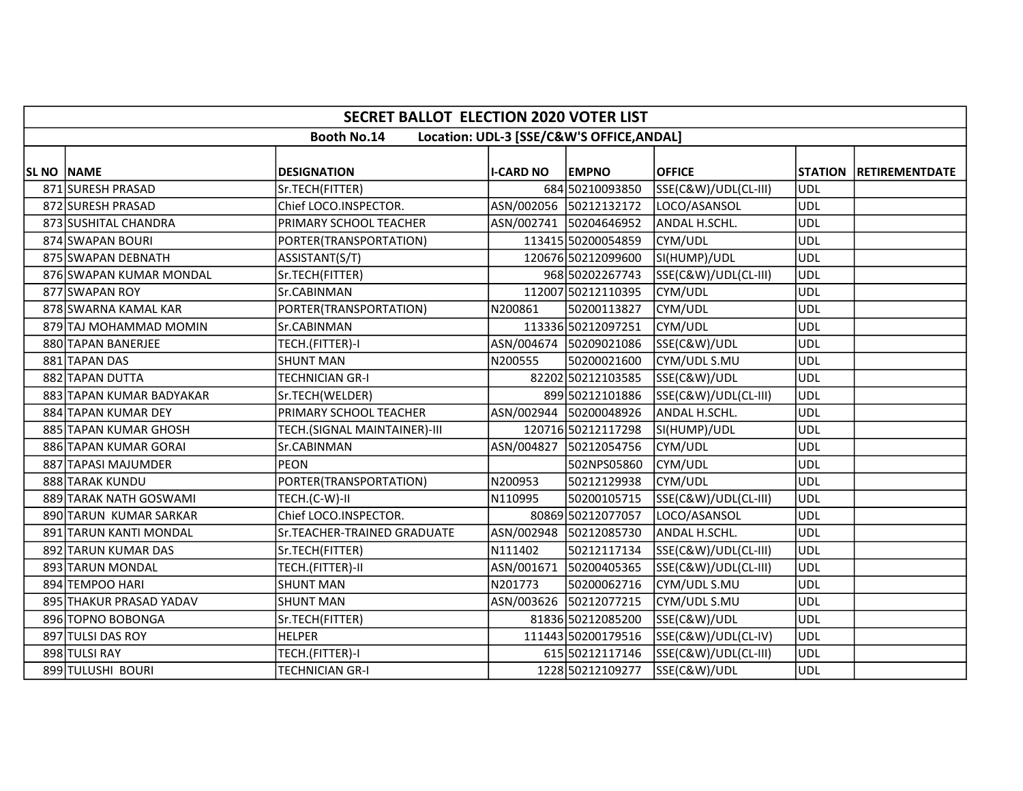|            | <b>SECRET BALLOT ELECTION 2020 VOTER LIST</b> |                              |                  |                                           |                      |            |                        |  |  |  |  |
|------------|-----------------------------------------------|------------------------------|------------------|-------------------------------------------|----------------------|------------|------------------------|--|--|--|--|
|            |                                               | <b>Booth No.14</b>           |                  | Location: UDL-3 [SSE/C&W'S OFFICE, ANDAL] |                      |            |                        |  |  |  |  |
| SL NO NAME |                                               | <b>DESIGNATION</b>           | <b>I-CARD NO</b> | <b>EMPNO</b>                              | <b>OFFICE</b>        |            | STATION RETIREMENTDATE |  |  |  |  |
|            | 871 SURESH PRASAD                             | Sr.TECH(FITTER)              |                  | 684 50210093850                           | SSE(C&W)/UDL(CL-III) | <b>UDL</b> |                        |  |  |  |  |
|            | 872 SURESH PRASAD                             | Chief LOCO.INSPECTOR.        |                  | ASN/002056 50212132172                    | LOCO/ASANSOL         | <b>UDL</b> |                        |  |  |  |  |
|            | 873 SUSHITAL CHANDRA                          | PRIMARY SCHOOL TEACHER       |                  | ASN/002741 50204646952                    | ANDAL H.SCHL.        | UDL        |                        |  |  |  |  |
|            | 874 SWAPAN BOURI                              | PORTER(TRANSPORTATION)       |                  | 113415 50200054859                        | CYM/UDL              | <b>UDL</b> |                        |  |  |  |  |
|            | 875 SWAPAN DEBNATH                            | ASSISTANT(S/T)               |                  | 120676 50212099600                        | SI(HUMP)/UDL         | <b>UDL</b> |                        |  |  |  |  |
|            | 876 SWAPAN KUMAR MONDAL                       | Sr.TECH(FITTER)              |                  | 968 50202267743                           | SSE(C&W)/UDL(CL-III) | <b>UDL</b> |                        |  |  |  |  |
|            | 877 SWAPAN ROY                                | Sr.CABINMAN                  |                  | 112007 50212110395                        | CYM/UDL              | <b>UDL</b> |                        |  |  |  |  |
|            | 878 SWARNA KAMAL KAR                          | PORTER(TRANSPORTATION)       | N200861          | 50200113827                               | CYM/UDL              | <b>UDL</b> |                        |  |  |  |  |
|            | 879 TAJ MOHAMMAD MOMIN                        | Sr.CABINMAN                  |                  | 113336 50212097251                        | CYM/UDL              | <b>UDL</b> |                        |  |  |  |  |
|            | 880 TAPAN BANERJEE                            | TECH.(FITTER)-I              |                  | ASN/004674  50209021086                   | SSE(C&W)/UDL         | <b>UDL</b> |                        |  |  |  |  |
|            | 881 TAPAN DAS                                 | <b>SHUNT MAN</b>             | N200555          | 50200021600                               | CYM/UDL S.MU         | <b>UDL</b> |                        |  |  |  |  |
|            | 882 TAPAN DUTTA                               | <b>TECHNICIAN GR-I</b>       |                  | 82202 50212103585                         | SSE(C&W)/UDL         | <b>UDL</b> |                        |  |  |  |  |
|            | 883 TAPAN KUMAR BADYAKAR                      | Sr.TECH(WELDER)              |                  | 899 50212101886                           | SSE(C&W)/UDL(CL-III) | <b>UDL</b> |                        |  |  |  |  |
|            | 884 TAPAN KUMAR DEY                           | PRIMARY SCHOOL TEACHER       | ASN/002944       | 50200048926                               | ANDAL H.SCHL.        | <b>UDL</b> |                        |  |  |  |  |
|            | 885 TAPAN KUMAR GHOSH                         | TECH.(SIGNAL MAINTAINER)-III |                  | 120716 50212117298                        | SI(HUMP)/UDL         | <b>UDL</b> |                        |  |  |  |  |
|            | 886 TAPAN KUMAR GORAI                         | Sr.CABINMAN                  |                  | ASN/004827 50212054756                    | CYM/UDL              | UDL        |                        |  |  |  |  |
|            | 887 TAPASI MAJUMDER                           | <b>PEON</b>                  |                  | 502NPS05860                               | CYM/UDL              | <b>UDL</b> |                        |  |  |  |  |
|            | 888 TARAK KUNDU                               | PORTER(TRANSPORTATION)       | N200953          | 50212129938                               | CYM/UDL              | <b>UDL</b> |                        |  |  |  |  |
|            | 889 TARAK NATH GOSWAMI                        | TECH.(C-W)-II                | N110995          | 50200105715                               | SSE(C&W)/UDL(CL-III) | <b>UDL</b> |                        |  |  |  |  |
|            | 890 TARUN KUMAR SARKAR                        | Chief LOCO.INSPECTOR.        |                  | 80869 50212077057                         | LOCO/ASANSOL         | <b>UDL</b> |                        |  |  |  |  |
|            | 891 TARUN KANTI MONDAL                        | Sr.TEACHER-TRAINED GRADUATE  |                  | ASN/002948 50212085730                    | ANDAL H.SCHL.        | <b>UDL</b> |                        |  |  |  |  |
|            | 892 TARUN KUMAR DAS                           | Sr.TECH(FITTER)              | N111402          | 50212117134                               | SSE(C&W)/UDL(CL-III) | <b>UDL</b> |                        |  |  |  |  |
|            | 893 TARUN MONDAL                              | TECH.(FITTER)-II             | ASN/001671       | 50200405365                               | SSE(C&W)/UDL(CL-III) | <b>UDL</b> |                        |  |  |  |  |
|            | 894 TEMPOO HARI                               | <b>SHUNT MAN</b>             | N201773          | 50200062716                               | CYM/UDL S.MU         | <b>UDL</b> |                        |  |  |  |  |
|            | 895 THAKUR PRASAD YADAV                       | <b>SHUNT MAN</b>             |                  | ASN/003626 50212077215                    | CYM/UDL S.MU         | <b>UDL</b> |                        |  |  |  |  |
|            | 896 TOPNO BOBONGA                             | Sr.TECH(FITTER)              |                  | 81836 50212085200                         | SSE(C&W)/UDL         | <b>UDL</b> |                        |  |  |  |  |
|            | 897 TULSI DAS ROY                             | <b>HELPER</b>                |                  | 111443 50200179516                        | SSE(C&W)/UDL(CL-IV)  | <b>UDL</b> |                        |  |  |  |  |
|            | 898 TULSI RAY                                 | TECH.(FITTER)-I              |                  | 615 50212117146                           | SSE(C&W)/UDL(CL-III) | <b>UDL</b> |                        |  |  |  |  |
|            | 899 TULUSHI BOURI                             | <b>TECHNICIAN GR-I</b>       |                  | 1228 50212109277                          | SSE(C&W)/UDL         | <b>UDL</b> |                        |  |  |  |  |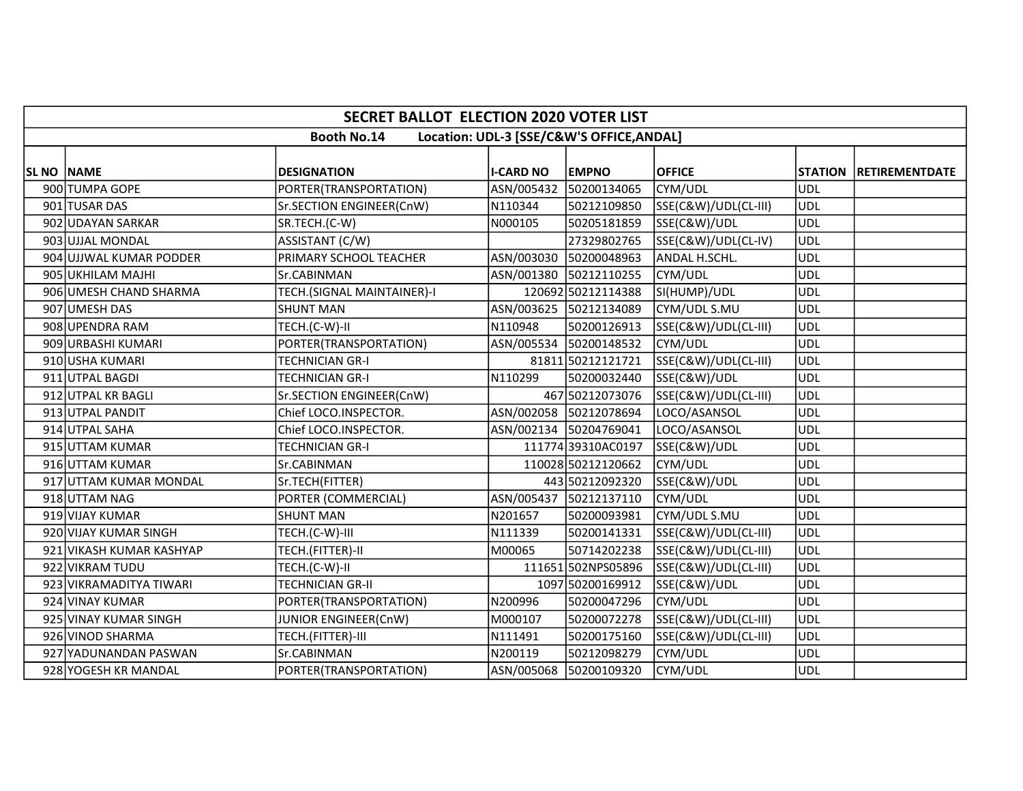|                   | <b>SECRET BALLOT ELECTION 2020 VOTER LIST</b> |                            |                  |                                           |                      |            |                        |  |  |  |  |
|-------------------|-----------------------------------------------|----------------------------|------------------|-------------------------------------------|----------------------|------------|------------------------|--|--|--|--|
|                   |                                               | <b>Booth No.14</b>         |                  | Location: UDL-3 [SSE/C&W'S OFFICE, ANDAL] |                      |            |                        |  |  |  |  |
| <b>SL NO NAME</b> |                                               | <b>DESIGNATION</b>         | <b>I-CARD NO</b> | <b>EMPNO</b>                              | <b>OFFICE</b>        |            | STATION RETIREMENTDATE |  |  |  |  |
|                   | 900 TUMPA GOPE                                | PORTER(TRANSPORTATION)     | ASN/005432       | 50200134065                               | CYM/UDL              | <b>UDL</b> |                        |  |  |  |  |
|                   | 901 TUSAR DAS                                 | Sr.SECTION ENGINEER(CnW)   | N110344          | 50212109850                               | SSE(C&W)/UDL(CL-III) | <b>UDL</b> |                        |  |  |  |  |
|                   | 902 UDAYAN SARKAR                             | SR.TECH.(C-W)              | N000105          | 50205181859                               | SSE(C&W)/UDL         | UDL        |                        |  |  |  |  |
|                   | 903 UJJAL MONDAL                              | ASSISTANT (C/W)            |                  | 27329802765                               | SSE(C&W)/UDL(CL-IV)  | UDL        |                        |  |  |  |  |
|                   | 904 UJJWAL KUMAR PODDER                       | PRIMARY SCHOOL TEACHER     | ASN/003030       | 50200048963                               | ANDAL H.SCHL.        | UDL        |                        |  |  |  |  |
|                   | 905 UKHILAM MAJHI                             | Sr.CABINMAN                |                  | ASN/001380 50212110255                    | CYM/UDL              | UDL        |                        |  |  |  |  |
|                   | 906 UMESH CHAND SHARMA                        | TECH.(SIGNAL MAINTAINER)-I |                  | 120692 50212114388                        | SI(HUMP)/UDL         | <b>UDL</b> |                        |  |  |  |  |
|                   | 907 UMESH DAS                                 | <b>SHUNT MAN</b>           |                  | ASN/003625 50212134089                    | CYM/UDL S.MU         | <b>UDL</b> |                        |  |  |  |  |
|                   | 908 UPENDRA RAM                               | TECH.(C-W)-II              | N110948          | 50200126913                               | SSE(C&W)/UDL(CL-III) | UDL        |                        |  |  |  |  |
|                   | 909 URBASHI KUMARI                            | PORTER(TRANSPORTATION)     |                  | ASN/005534 50200148532                    | CYM/UDL              | <b>UDL</b> |                        |  |  |  |  |
|                   | 910 USHA KUMARI                               | TECHNICIAN GR-I            |                  | 81811 50212121721                         | SSE(C&W)/UDL(CL-III) | <b>UDL</b> |                        |  |  |  |  |
|                   | 911 UTPAL BAGDI                               | <b>TECHNICIAN GR-I</b>     | N110299          | 50200032440                               | SSE(C&W)/UDL         | UDL        |                        |  |  |  |  |
|                   | 912 UTPAL KR BAGLI                            | Sr.SECTION ENGINEER(CnW)   |                  | 467 50212073076                           | SSE(C&W)/UDL(CL-III) | UDL        |                        |  |  |  |  |
|                   | 913 UTPAL PANDIT                              | Chief LOCO.INSPECTOR.      |                  | ASN/002058 50212078694                    | LOCO/ASANSOL         | <b>UDL</b> |                        |  |  |  |  |
|                   | 914 UTPAL SAHA                                | Chief LOCO.INSPECTOR.      |                  | ASN/002134 50204769041                    | LOCO/ASANSOL         | <b>UDL</b> |                        |  |  |  |  |
|                   | 915 UTTAM KUMAR                               | TECHNICIAN GR-I            |                  | 11177439310AC0197                         | SSE(C&W)/UDL         | UDL        |                        |  |  |  |  |
|                   | 916 UTTAM KUMAR                               | Sr.CABINMAN                |                  | 110028 50212120662                        | CYM/UDL              | <b>UDL</b> |                        |  |  |  |  |
|                   | 917 UTTAM KUMAR MONDAL                        | Sr.TECH(FITTER)            |                  | 443 50212092320                           | SSE(C&W)/UDL         | <b>UDL</b> |                        |  |  |  |  |
|                   | 918 UTTAM NAG                                 | PORTER (COMMERCIAL)        |                  | ASN/005437 50212137110                    | CYM/UDL              | UDL        |                        |  |  |  |  |
|                   | 919 VIJAY KUMAR                               | <b>SHUNT MAN</b>           | N201657          | 50200093981                               | CYM/UDL S.MU         | <b>UDL</b> |                        |  |  |  |  |
|                   | 920 VIJAY KUMAR SINGH                         | TECH.(C-W)-III             | N111339          | 50200141331                               | SSE(C&W)/UDL(CL-III) | UDL        |                        |  |  |  |  |
|                   | 921 VIKASH KUMAR KASHYAP                      | TECH.(FITTER)-II           | M00065           | 50714202238                               | SSE(C&W)/UDL(CL-III) | UDL        |                        |  |  |  |  |
|                   | 922 VIKRAM TUDU                               | TECH.(C-W)-II              |                  | 111651 502NPS05896                        | SSE(C&W)/UDL(CL-III) | <b>UDL</b> |                        |  |  |  |  |
|                   | 923 VIKRAMADITYA TIWARI                       | <b>TECHNICIAN GR-II</b>    |                  | 1097 50200169912                          | SSE(C&W)/UDL         | <b>UDL</b> |                        |  |  |  |  |
|                   | 924 VINAY KUMAR                               | PORTER(TRANSPORTATION)     | N200996          | 50200047296                               | CYM/UDL              | <b>UDL</b> |                        |  |  |  |  |
|                   | 925 VINAY KUMAR SINGH                         | JUNIOR ENGINEER(CnW)       | M000107          | 50200072278                               | SSE(C&W)/UDL(CL-III) | UDL        |                        |  |  |  |  |
|                   | 926 VINOD SHARMA                              | TECH.(FITTER)-III          | N111491          | 50200175160                               | SSE(C&W)/UDL(CL-III) | <b>UDL</b> |                        |  |  |  |  |
|                   | 927 YADUNANDAN PASWAN                         | Sr.CABINMAN                | N200119          | 50212098279                               | CYM/UDL              | <b>UDL</b> |                        |  |  |  |  |
|                   | 928 YOGESH KR MANDAL                          | PORTER(TRANSPORTATION)     |                  | ASN/005068 50200109320                    | CYM/UDL              | UDL        |                        |  |  |  |  |